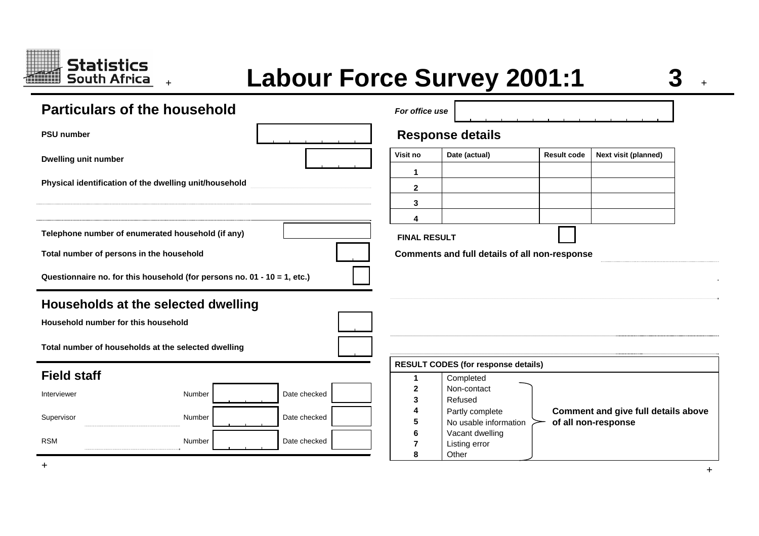

# **<sup>+</sup>Labour Force Survey 2001:1 3 <sup>+</sup>**

**+**

| <b>Particulars of the household</b>                                        | For office use |                         |                                                         |                    |                                                                   |  |  |  |  |  |
|----------------------------------------------------------------------------|----------------|-------------------------|---------------------------------------------------------|--------------------|-------------------------------------------------------------------|--|--|--|--|--|
| <b>PSU number</b>                                                          |                | <b>Response details</b> |                                                         |                    |                                                                   |  |  |  |  |  |
| <b>Dwelling unit number</b>                                                |                | Visit no                | Date (actual)                                           | <b>Result code</b> | Next visit (planned)                                              |  |  |  |  |  |
| Physical identification of the dwelling unit/household                     |                | 1                       |                                                         |                    |                                                                   |  |  |  |  |  |
|                                                                            |                | $\mathbf{2}$<br>3       |                                                         |                    |                                                                   |  |  |  |  |  |
|                                                                            |                | 4                       |                                                         |                    |                                                                   |  |  |  |  |  |
| Telephone number of enumerated household (if any)                          |                | <b>FINAL RESULT</b>     |                                                         |                    |                                                                   |  |  |  |  |  |
| Total number of persons in the household                                   |                |                         | Comments and full details of all non-response           |                    |                                                                   |  |  |  |  |  |
| Questionnaire no. for this household (for persons no. 01 - 10 = 1, etc.)   |                |                         |                                                         |                    |                                                                   |  |  |  |  |  |
| Households at the selected dwelling<br>Household number for this household |                |                         |                                                         |                    |                                                                   |  |  |  |  |  |
| Total number of households at the selected dwelling                        |                |                         |                                                         |                    |                                                                   |  |  |  |  |  |
| <b>Field staff</b>                                                         |                | 1                       | <b>RESULT CODES (for response details)</b><br>Completed |                    |                                                                   |  |  |  |  |  |
| Number<br>Interviewer                                                      | Date checked   | 2<br>3                  | Non-contact<br>Refused                                  |                    |                                                                   |  |  |  |  |  |
| Supervisor<br>Number                                                       | Date checked   | 5                       | Partly complete<br>No usable information                |                    | <b>Comment and give full details above</b><br>of all non-response |  |  |  |  |  |
| <b>RSM</b><br>Number                                                       | Date checked   | 8                       | Vacant dwelling<br>Listing error<br>Other               |                    |                                                                   |  |  |  |  |  |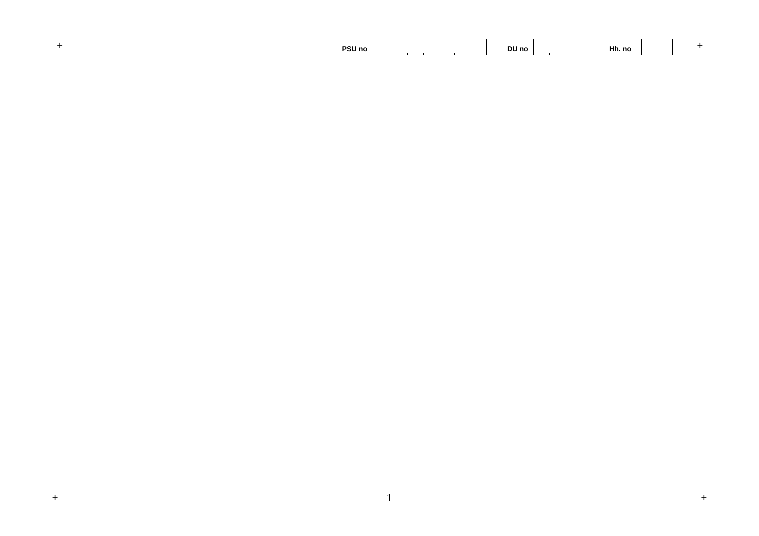|  | PSU no |  | DU no |  | 1 H.<br>Hh. no |  |  |
|--|--------|--|-------|--|----------------|--|--|
|--|--------|--|-------|--|----------------|--|--|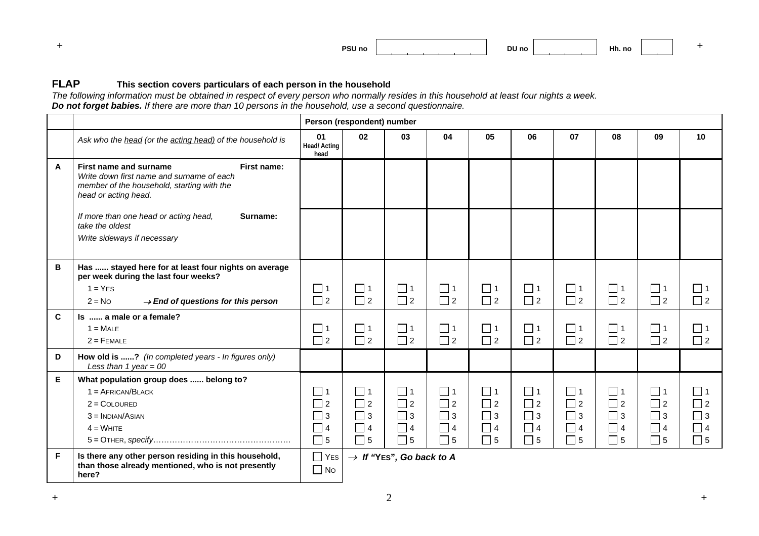| PSU no |  | <b>DU</b><br>ı no<br>___ |  | 1 H.<br>Hh. no |  |  |
|--------|--|--------------------------|--|----------------|--|--|
|--------|--|--------------------------|--|----------------|--|--|

#### **FLAPThis section covers particulars of each person in the household**

*The following information must be obtained in respect of every person who normally resides in this household at least four nights a week. Do not forget babies. If there are more than 10 persons in the household, use a second questionnaire.*

|    |                                                                                                                                                          |                                  | Person (respondent) number |                                      |                      |                      |                      |                         |                      |                      |                      |
|----|----------------------------------------------------------------------------------------------------------------------------------------------------------|----------------------------------|----------------------------|--------------------------------------|----------------------|----------------------|----------------------|-------------------------|----------------------|----------------------|----------------------|
|    | Ask who the head (or the acting head) of the household is                                                                                                | 01<br><b>Head/Acting</b><br>head | 02                         | 03                                   | 04                   | 05                   | 06                   | 07                      | 08                   | 09                   | 10                   |
| A  | First name and surname<br>First name:<br>Write down first name and surname of each<br>member of the household, starting with the<br>head or acting head. |                                  |                            |                                      |                      |                      |                      |                         |                      |                      |                      |
|    | If more than one head or acting head,<br>Surname:<br>take the oldest<br>Write sideways if necessary                                                      |                                  |                            |                                      |                      |                      |                      |                         |                      |                      |                      |
| В  | Has  stayed here for at least four nights on average<br>per week during the last four weeks?                                                             |                                  |                            |                                      |                      |                      |                      |                         |                      |                      |                      |
|    | $1 = YES$                                                                                                                                                | $\Box$ 1                         | $\Box$ 1                   | $\Box$ 1                             | $\Box$ 1             | $\Box$ 1             | $\Box$ 1             | $\Box$ 1                | $\Box$ 1             | $\Box$ 1             | $\Box$ 1             |
|    | $2 = No$<br>$\rightarrow$ End of questions for this person                                                                                               | $\Box$ 2                         | $\Box$ 2                   | $\Box$ 2                             | $\Box$ 2             | $\Box$ 2             | $\Box$ 2             | $\Box$ 2                | $\Box$ 2             | $\Box$ 2             | $\Box$ 2             |
| C  | Is  a male or a female?                                                                                                                                  |                                  |                            |                                      |                      |                      |                      |                         |                      |                      |                      |
|    | $1 = \text{MALE}$                                                                                                                                        | $\Box$ 1                         | $\Box$ 1                   | $\Box$ 1                             | $\Box$ 1             | $\Box$ 1             | $\square$ 1          | $\Box$ 1                | $\Box$ 1             | $\square$ 1          | $\Box$ 1             |
|    | $2 =$ FEMALE                                                                                                                                             | $\Box$ 2                         | $\Box$ 2                   | $\Box$ 2                             | $\Box$ 2             | $\Box$ 2             | $\Box$ 2             | $\Box$ 2                | $\Box$ 2             | $\Box$ 2             | $\Box$ 2             |
| D  | How old is ? (In completed years - In figures only)<br>Less than 1 year = $00$                                                                           |                                  |                            |                                      |                      |                      |                      |                         |                      |                      |                      |
| E. | What population group does  belong to?                                                                                                                   |                                  |                            |                                      |                      |                      |                      |                         |                      |                      |                      |
|    | $1 = AFRICAN/BLACK$                                                                                                                                      | $\Box$ 1                         | $\Box$ 1                   | $\Box$ 1                             | $\Box$ 1             | $\Box$ 1             | $\Box$ 1             | $\Box$ 1                | $\Box$ 1             | $\Box$ 1             | $\Box$ 1             |
|    | $2 =$ COLOURED                                                                                                                                           | $\Box$ 2                         | $\Box$ 2                   | $\Box$ 2                             | $\Box$ 2             | $\Box$ 2             | $\Box$ 2             | $\Box$ 2                | $\Box$ 2             | $\Box$ 2             | $\Box$ 2             |
|    | $3 = \text{INDIAN/ASIAN}$<br>$4 =$ WHITE                                                                                                                 | $\Box$ 3<br>$\Box$ 4             | $\Box$ 3<br>$\Box$ 4       | $\Box$ 3<br>$\Box$ 4                 | $\Box$ 3<br>$\Box$ 4 | $\Box$ 3<br>$\Box$ 4 | $\Box$ 3<br>$\Box$ 4 | $\square$ 3<br>$\Box$ 4 | $\Box$ 3<br>$\Box$ 4 | $\Box$ 3<br>$\Box$ 4 | $\Box$ 3<br>$\Box$ 4 |
|    |                                                                                                                                                          | $\square$ 5                      | $\Box$ 5                   | $\Box$ 5                             | $\Box$ 5             | $\Box$ 5             | $\Box$ 5             | $\Box$ 5                | $\Box$ 5             | $\Box$ 5             | $\square$ 5          |
|    |                                                                                                                                                          |                                  |                            |                                      |                      |                      |                      |                         |                      |                      |                      |
| F  | Is there any other person residing in this household,<br>than those already mentioned, who is not presently<br>here?                                     | $\Box$ Yes<br>$\Box$ No          |                            | $\rightarrow$ If "YES", Go back to A |                      |                      |                      |                         |                      |                      |                      |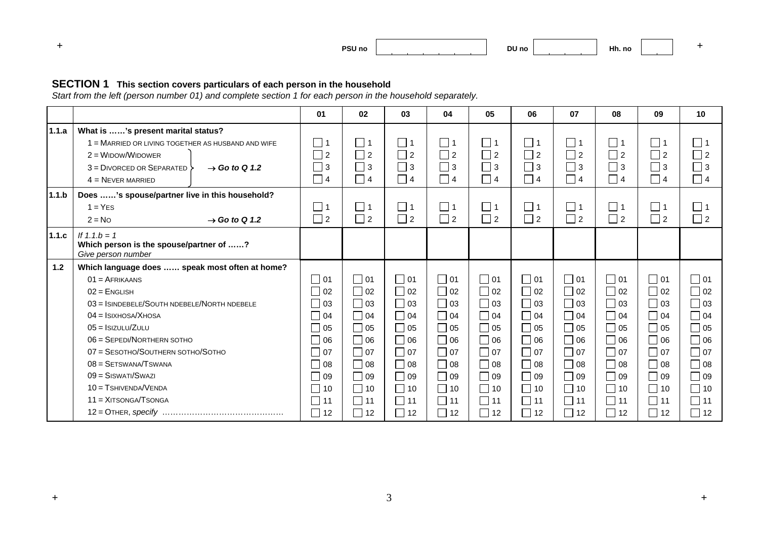

#### **SECTION 1 This section covers particulars of each person in the household**

*Start from the left (person number 01) and complete section 1 for each person in the household separately.* 

| 1.1.a |                                                                                                                                                                                                                                                                                                               |                                                                                                                                          |                                                                                                                                                                                 | 03                                                                                                                                                | 04                                                                                                                                          | 05                                                                                                                                         | 06                                                                                                                                          | 07                                                                                                                                          | 08                                                                                                                          | 09                                                                                                                                          | 10                                                                                                                                                       |
|-------|---------------------------------------------------------------------------------------------------------------------------------------------------------------------------------------------------------------------------------------------------------------------------------------------------------------|------------------------------------------------------------------------------------------------------------------------------------------|---------------------------------------------------------------------------------------------------------------------------------------------------------------------------------|---------------------------------------------------------------------------------------------------------------------------------------------------|---------------------------------------------------------------------------------------------------------------------------------------------|--------------------------------------------------------------------------------------------------------------------------------------------|---------------------------------------------------------------------------------------------------------------------------------------------|---------------------------------------------------------------------------------------------------------------------------------------------|-----------------------------------------------------------------------------------------------------------------------------|---------------------------------------------------------------------------------------------------------------------------------------------|----------------------------------------------------------------------------------------------------------------------------------------------------------|
|       | What is 's present marital status?<br>1 = MARRIED OR LIVING TOGETHER AS HUSBAND AND WIFE<br>$2 =$ WIDOW/WIDOWER<br>$3 = DivORCEDOR$ SEPARATED $3$<br>$\rightarrow$ Go to Q 1.2<br>$4 =$ NEVER MARRIED                                                                                                         | $\Box$ 1<br>$\Box$ 2<br>$\Box$ 3<br>$\Box$ 4                                                                                             | $\Box$ 1<br>$\Box$ 2<br>$\Box$ 3<br>$\Box$ 4                                                                                                                                    | $\Box$ 1<br>$\Box$ 2<br>$\Box$ 3<br>$\Box$ 4                                                                                                      | $\Box$ 1<br>$\Box$ 2<br>$\Box$ 3<br>$\Box$ 4                                                                                                | $\Box$ 1<br>$\Box$ 2<br>$\Box$ 3<br>$\Box$ 4                                                                                               | $\Box$ 1<br>$\Box$ 2<br>$\Box$ 3<br>$\Box$ 4                                                                                                | $\Box$ 1<br>$\Box$ 2<br>$\Box$ 3<br>$\Box$ 4                                                                                                | $\Box$ 1<br>$\Box$ 2<br>$\Box$ 3<br>$\Box$ 4                                                                                | $\Box$ 1<br>$\Box$ 2<br>$\Box$ 3<br>$\Box$ 4                                                                                                | $\Box$ 1<br>$\Box$ 2<br>$\Box$ 3<br>$\Box$ 4                                                                                                             |
| 1.1.b | Does 's spouse/partner live in this household?<br>$1 = YES$<br>$2 = No$<br>$\rightarrow$ Go to Q 1.2                                                                                                                                                                                                          | $\Box$ 1<br>$\Box$ 2                                                                                                                     | $\Box$ 1<br>$\Box$ 2                                                                                                                                                            | $\Box$ 1<br>$\Box$ 2                                                                                                                              | $\Box$ 1<br>$\Box$ 2                                                                                                                        | $\Box$ 1<br>$\Box$ 2                                                                                                                       | $\Box$ 1<br>$\Box$ 2                                                                                                                        | $\Box$ 1<br>$\Box$ 2                                                                                                                        | $\Box$ 1<br>$\Box$ 2                                                                                                        | $\Box$ 1<br>$\Box$ 2                                                                                                                        | $\Box$ 1<br>$\Box$ 2                                                                                                                                     |
| 1.1.c | If $1.1.b = 1$<br>Which person is the spouse/partner of ?<br>Give person number                                                                                                                                                                                                                               |                                                                                                                                          |                                                                                                                                                                                 |                                                                                                                                                   |                                                                                                                                             |                                                                                                                                            |                                                                                                                                             |                                                                                                                                             |                                                                                                                             |                                                                                                                                             |                                                                                                                                                          |
|       | $01 = AFRIKAANS$<br>$02$ = ENGLISH<br>$03 =$ ISINDEBELE/SOUTH NDEBELE/NORTH NDEBELE<br>$04 =$ ISIXHOSA/XHOSA<br>$05 =$ ISIZULU/ZULU<br>06 = SEPEDI/NORTHERN SOTHO<br>07 = SESOTHO/SOUTHERN SOTHO/SOTHO<br>$08 =$ SETSWANA/TSWANA<br>$09 =$ SISWATI/SWAZI<br>$10 = T$ SHIVENDA/VENDA<br>$11 = XITSONGA/TSONGA$ | $\Box$ 01<br>$\Box$ 02<br>$\Box$ 03<br>$\bigcup$ 04<br>$\Box$ 05<br>06<br>$\Box$ 07<br>$\Box$ 08<br>$\Box$ 09<br>$\vert$ 10<br>$\Box$ 11 | $\Box$ 01<br>$\overline{\phantom{0}}$ 02<br>$\Box$ 03<br>$\Box$ 04<br>$\overline{\phantom{0}}$ 05<br>$\Box$ 06<br>$\Box$ 07<br>$\Box$ 08<br>$\Box$ 09<br>$\Box$ 10<br>$\Box$ 11 | $\square$ 01<br>$\Box$ 02<br>$\Box$ 03<br>$\Box$ 04<br>$\Box$ 05<br>$\Box$ 06<br>$\Box$ 07<br>$\Box$ 08<br>$\Box$ 09<br>$\Box$ 10<br>$\square$ 11 | $\Box$ 01<br>$\Box$ 02<br>$\Box$ 03<br>$\Box$ 04<br>$\Box$ 05<br>$\Box$ 06<br>$\Box$ 07<br>$\Box$ 08<br>$\Box$ 09<br>$\Box$ 10<br>$\Box$ 11 | $\Box$ 01<br>$\Box$ 02<br>$\Box$ 03<br>$\Box$ 04<br>$\Box$ 05<br>$\Box$ 06<br>$\Box$ 07<br>$\Box$ 08<br>$\Box$ 09<br>$ $   10<br>$\Box$ 11 | $\Box$ 01<br>$\Box$ 02<br>$\Box$ 03<br>$\Box$ 04<br>$\Box$ 05<br>$\Box$ 06<br>$\Box$ 07<br>$\Box$ 08<br>$\Box$ 09<br>$\Box$ 10<br>$\Box$ 11 | $\Box$ 01<br>$\Box$ 02<br>$\Box$ 03<br>$\Box$ 04<br>$\Box$ 05<br>$\Box$ 06<br>$\Box$ 07<br>$\Box$ 08<br>$\Box$ 09<br>$\Box$ 10<br>$\Box$ 11 | $\Box$ 01<br>$\Box$ 02<br>    03<br>$\Box$ 04<br>$\Box$ 05<br>$\Box$ 06<br>$\Box$ 07<br>$\Box$ 09<br>$\Box$ 10<br>$\Box$ 11 | $\Box$ 01<br>$\Box$ 02<br>$\Box$ 03<br>$\Box$ 04<br>$\Box$ 05<br>$\Box$ 06<br>$\Box$ 07<br>$\Box$ 08<br>$\Box$ 09<br>$\Box$ 10<br>$\Box$ 11 | $\Box$ 01<br>$\Box$ 02<br>$\Box$ 03<br>$\Box$ 04<br>$\Box$ 05<br>$\Box$ 06<br>$\Box$ 07<br>$\Box$ 08<br>$\Box$ 09<br>$\Box$ 10<br>$\Box$ 11<br>$\Box$ 12 |
| 1.2   | Which language does  speak most often at home?                                                                                                                                                                                                                                                                | $\Box$ 12                                                                                                                                | $\Box$ 12                                                                                                                                                                       | $\Box$ 12                                                                                                                                         | $\Box$ 12                                                                                                                                   | $\Box$ 12                                                                                                                                  | $\Box$ 12                                                                                                                                   | $\Box$ 12                                                                                                                                   |                                                                                                                             | $\vert$ 12                                                                                                                                  | $\Box$ 12                                                                                                                                                |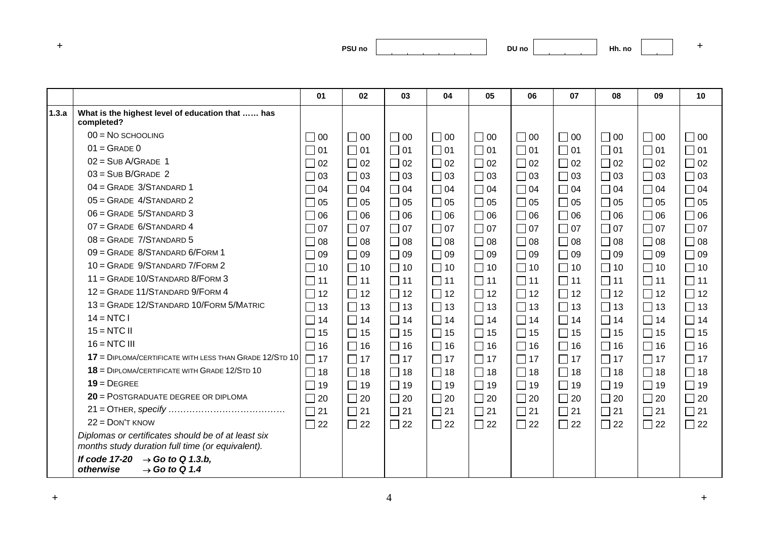| ___ | PSU <sub>no</sub> |
|-----|-------------------|
|     |                   |

|       |                                                                                                        | 01        | 02        | 03        | 04        | 05        | 06        | 07        | 08        | 09        | 10        |
|-------|--------------------------------------------------------------------------------------------------------|-----------|-----------|-----------|-----------|-----------|-----------|-----------|-----------|-----------|-----------|
| 1.3.a | What is the highest level of education that  has<br>completed?                                         |           |           |           |           |           |           |           |           |           |           |
|       | $00 = No$ SCHOOLING                                                                                    | $\Box$ 00 | $\Box$ 00 | $\Box$ 00 | $\Box$ 00 | $\Box$ 00 | $\Box$ 00 | $\Box$ 00 | $\Box$ 00 | $\Box$ 00 | $\Box$ 00 |
|       | $01 =$ GRADE 0                                                                                         | $\Box$ 01 | $\Box$ 01 | $\Box$ 01 | $\Box$ 01 | $\Box$ 01 | $\Box$ 01 | $\Box$ 01 | $\Box$ 01 | $\Box$ 01 | $\Box$ 01 |
|       | $02 = SUB A/GRAPHE 1$                                                                                  | $\Box$ 02 | $\Box$ 02 | $\Box$ 02 | $\Box$ 02 | $\Box$ 02 | $\Box$ 02 | $\Box$ 02 | $\Box$ 02 | $\Box$ 02 | $\Box$ 02 |
|       | $03 = SUB B/GRAPH2$                                                                                    | $\Box$ 03 | $\Box$ 03 | $\Box$ 03 | $\Box$ 03 | $\Box$ 03 | $\Box$ 03 | $\Box$ 03 | $\Box$ 03 | $\Box$ 03 | $\Box$ 03 |
|       | 04 = GRADE 3/STANDARD 1                                                                                | $\Box$ 04 | $\Box$ 04 | $\Box$ 04 | $\Box$ 04 | $\Box$ 04 | $\Box$ 04 | $\Box$ 04 | $\Box$ 04 | $\Box$ 04 | $\Box$ 04 |
|       | $05 =$ GRADE 4/STANDARD 2                                                                              | $\Box$ 05 | $\Box$ 05 | $\Box$ 05 | $\Box$ 05 | $\Box$ 05 | $\Box$ 05 | $\Box$ 05 | $\Box$ 05 | $\Box$ 05 | $\Box$ 05 |
|       | $06 =$ GRADE 5/STANDARD 3                                                                              | $\Box$ 06 | $\Box$ 06 | $\Box$ 06 | $\Box$ 06 | $\Box$ 06 | $\Box$ 06 | $\Box$ 06 | $\Box$ 06 | $\Box$ 06 | $\Box$ 06 |
|       | $07 =$ GRADE 6/STANDARD 4                                                                              | $\Box$ 07 | $\Box$ 07 | $\Box$ 07 | $\Box$ 07 | $\Box$ 07 | $\Box$ 07 | $\Box$ 07 | $\Box$ 07 | $\Box$ 07 | $\Box$ 07 |
|       | $08 =$ GRADE $7/$ STANDARD 5                                                                           | $\Box$ 08 | $\Box$ 08 | $\Box$ 08 | $\Box$ 08 | $\Box$ 08 | $\Box$ 08 | $\Box$ 08 | $\Box$ 08 | $\Box$ 08 | $\Box$ 08 |
|       | 09 = GRADE 8/STANDARD 6/FORM 1                                                                         | $\Box$ 09 | $\Box$ 09 | $\Box$ 09 | $\Box$ 09 | $\Box$ 09 | $\Box$ 09 | $\Box$ 09 | $\Box$ 09 | $\Box$ 09 | $\Box$ 09 |
|       | 10 = GRADE 9/STANDARD 7/FORM 2                                                                         | $\Box$ 10 | $\Box$ 10 | $\Box$ 10 | $\Box$ 10 | $\Box$ 10 | $\Box$ 10 | $\Box$ 10 | $\Box$ 10 | $\Box$ 10 | $\Box$ 10 |
|       | 11 = GRADE 10/STANDARD 8/FORM 3                                                                        | $\Box$ 11 | $\Box$ 11 | $\Box$ 11 | $\Box$ 11 | $\Box$ 11 | $\Box$ 11 | $\Box$ 11 | $\Box$ 11 | $\Box$ 11 | $\Box$ 11 |
|       | 12 = GRADE 11/STANDARD 9/FORM 4                                                                        | $\Box$ 12 | $\Box$ 12 | $\Box$ 12 | $\Box$ 12 | $\Box$ 12 | $\Box$ 12 | $\Box$ 12 | $\Box$ 12 | $\Box$ 12 | $\Box$ 12 |
|       | 13 = GRADE 12/STANDARD 10/FORM 5/MATRIC                                                                | $\Box$ 13 | $\Box$ 13 | $\Box$ 13 | $\Box$ 13 | $\Box$ 13 | $\Box$ 13 | $\Box$ 13 | $\Box$ 13 | $\Box$ 13 | $\Box$ 13 |
|       | $14 = NTC$                                                                                             | $\Box$ 14 | $\Box$ 14 | $\Box$ 14 | $\Box$ 14 | $\Box$ 14 | $\Box$ 14 | $\Box$ 14 | $\Box$ 14 | $\Box$ 14 | $\Box$ 14 |
|       | $15 = NTC$ II                                                                                          | $\Box$ 15 | $\Box$ 15 | $\Box$ 15 | $\Box$ 15 | $\Box$ 15 | $\Box$ 15 | $\Box$ 15 | $\Box$ 15 | $\Box$ 15 | $\Box$ 15 |
|       | $16 = NTC$ III                                                                                         | $\Box$ 16 | $\Box$ 16 | $\Box$ 16 | $\Box$ 16 | $\Box$ 16 | $\Box$ 16 | $\Box$ 16 | $\Box$ 16 | $\Box$ 16 | $\Box$ 16 |
|       | $17$ = DIPLOMA/CERTIFICATE WITH LESS THAN GRADE 12/STD 10                                              | $\Box$ 17 | $\Box$ 17 | $\Box$ 17 | $\Box$ 17 | $\Box$ 17 | $\Box$ 17 | $\Box$ 17 | $\Box$ 17 | $\Box$ 17 | $\Box$ 17 |
|       | $18$ = DIPLOMA/CERTIFICATE WITH GRADE 12/STD 10                                                        | $\Box$ 18 | $\Box$ 18 | $\Box$ 18 | $\Box$ 18 | $\Box$ 18 | $\Box$ 18 | $\Box$ 18 | $\Box$ 18 | $\Box$ 18 | $\Box$ 18 |
|       | $19 =$ DFGRFF                                                                                          | $\Box$ 19 | $\Box$ 19 | $\Box$ 19 | $\Box$ 19 | $\Box$ 19 | $\Box$ 19 | $\Box$ 19 | $\Box$ 19 | $\Box$ 19 | $\Box$ 19 |
|       | 20 = POSTGRADUATE DEGREE OR DIPLOMA                                                                    | $\Box$ 20 | $\Box$ 20 | $\Box$ 20 | $\Box$ 20 | $\Box$ 20 | $\Box$ 20 | $\Box$ 20 | $\Box$ 20 | $\Box$ 20 | $\Box$ 20 |
|       |                                                                                                        | $\Box$ 21 | $\Box$ 21 | $\Box$ 21 | $\Box$ 21 | $\Box$ 21 | $\Box$ 21 | $\Box$ 21 | $\Box$ 21 | $\Box$ 21 | $\Box$ 21 |
|       | $22 =$ DON'T KNOW                                                                                      | $\Box$ 22 | $\Box$ 22 | $\Box$ 22 | $\Box$ 22 | $\Box$ 22 | $\Box$ 22 | $\Box$ 22 | $\Box$ 22 | $\Box$ 22 | $\Box$ 22 |
|       | Diplomas or certificates should be of at least six<br>months study duration full time (or equivalent). |           |           |           |           |           |           |           |           |           |           |
|       | $\rightarrow$ Go to Q 1.3.b,<br>If code 17-20<br>$\rightarrow$ Go to Q 1.4<br>otherwise                |           |           |           |           |           |           |           |           |           |           |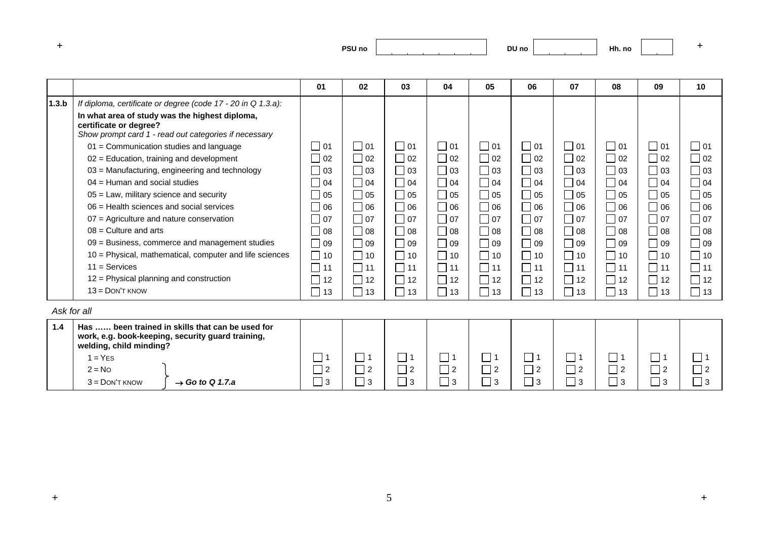| and the first process. | PSU <sub>no</sub><br>___ |
|------------------------|--------------------------|
|------------------------|--------------------------|

**DU no Hh. no <sup>+</sup>**

|             |                                                                                                                                                                                                                                                                                                                                                                                                                                                                                                                                                                                                                                                                                                                                                       | 01                                                                                                                                                                              | 02                                                                                                                                                         | 03                                                                                                                                                                                                                         | 04                                                                                                                                                                    | 05                                                                                                                                                                    | 06                                                                                                                                             | 07                                                                                                                                                                    | 08                                                                                                                                                                    | 09                                                                                                               | 10                                                                                                                                                                    |
|-------------|-------------------------------------------------------------------------------------------------------------------------------------------------------------------------------------------------------------------------------------------------------------------------------------------------------------------------------------------------------------------------------------------------------------------------------------------------------------------------------------------------------------------------------------------------------------------------------------------------------------------------------------------------------------------------------------------------------------------------------------------------------|---------------------------------------------------------------------------------------------------------------------------------------------------------------------------------|------------------------------------------------------------------------------------------------------------------------------------------------------------|----------------------------------------------------------------------------------------------------------------------------------------------------------------------------------------------------------------------------|-----------------------------------------------------------------------------------------------------------------------------------------------------------------------|-----------------------------------------------------------------------------------------------------------------------------------------------------------------------|------------------------------------------------------------------------------------------------------------------------------------------------|-----------------------------------------------------------------------------------------------------------------------------------------------------------------------|-----------------------------------------------------------------------------------------------------------------------------------------------------------------------|------------------------------------------------------------------------------------------------------------------|-----------------------------------------------------------------------------------------------------------------------------------------------------------------------|
| 1.3.b       | If diploma, certificate or degree (code 17 - 20 in Q 1.3.a):<br>In what area of study was the highest diploma,<br>certificate or degree?<br>Show prompt card 1 - read out categories if necessary<br>$01 =$ Communication studies and language<br>$02$ = Education, training and development<br>03 = Manufacturing, engineering and technology<br>$04$ = Human and social studies<br>$05$ = Law, military science and security<br>$06$ = Health sciences and social services<br>$07$ = Agriculture and nature conservation<br>$08$ = Culture and arts<br>09 = Business, commerce and management studies<br>10 = Physical, mathematical, computer and life sciences<br>$11 =$ Services<br>12 = Physical planning and construction<br>$13 =$ DON'T KNOW | $\Box$ 01<br>$\Box$ 02<br>$\Box$<br>03<br>$\Box$ 04<br>$\Box$ 05<br>$\Box$ 06<br>$\Box$ 07<br>$\Box$ 08<br>$\Box$ 09<br>$\Box$<br>10<br>$\Box$<br>11<br>$\Box$<br>12<br>П<br>13 | l 101<br>$\Box$ 02<br>$\Box$ 03<br>$\Box$ 04<br>  105<br>$\Box$ 06<br>    07<br>$\Box$ 08<br>$\Box$ 09<br>$\Box$ 10<br>$\Box$ 11<br>$\Box$ 12<br>$\Box$ 13 | $\bigcap$ 01<br>$\Box$ 02<br>$\sqsupset$ 03<br>$\bigcap$ 04<br>$\bigcap$ 05<br>$\overline{\phantom{0}}$ 06<br>ヿ 07<br>$\sqsupset$ 08<br>$\Box$ 09<br>$\Box$ 10<br>$\Box$ 11<br>12<br>$\overline{\phantom{a}}$<br>$\Box$ 13 | $\Box$ 01<br>$\Box$ 02<br>$\Box$ 03<br>$\Box$ 04<br>$\Box$ 05<br>$\Box$ 06<br>$\Box$ 07<br>$\Box$ 08<br>$\Box$ 09<br>$\Box$ 10<br>$\Box$ 11<br>$\Box$ 12<br>$\Box$ 13 | $\Box$ 01<br>$\Box$ 02<br>$\Box$ 03<br>$\Box$ 04<br>$\Box$ 05<br>$\Box$ 06<br>$\Box$ 07<br>$\Box$ 08<br>$\Box$ 09<br>$\Box$ 10<br>$\Box$ 11<br>$\Box$ 12<br>$\Box$ 13 | $\Box$ 01<br>$\Box$ 02<br>03<br>$\Box$ 04<br>05<br>$\Box$ 06<br>$\vert$ $\vert$ 07<br>$\Box$ 08<br>$\Box$ 09<br>10<br>$\Box$<br>11<br>12<br>13 | $\Box$ 01<br>$\Box$ 02<br>$\Box$ 03<br>$\Box$ 04<br>$\Box$ 05<br>$\Box$ 06<br>$\Box$ 07<br>$\Box$ 08<br>$\Box$ 09<br>$\Box$ 10<br>$\Box$ 11<br>$\Box$ 12<br>$\Box$ 13 | $\Box$ 01<br>$\Box$ 02<br>$\Box$ 03<br>$\Box$ 04<br>$\Box$ 05<br>$\Box$ 06<br>$\Box$ 07<br>$\Box$ 08<br>$\Box$ 09<br>$\Box$ 10<br>$\Box$ 11<br>$\Box$ 12<br>$\Box$ 13 | 01<br>$\Box$ 02<br>  03<br>$\Box$ 04<br>    05<br>$\Box$ 06<br>    07<br>    08<br>  109<br>10<br>11<br>12<br>13 | $\Box$ 01<br>$\Box$ 02<br>$\Box$ 03<br>$\Box$ 04<br>$\Box$ 05<br>$\Box$ 06<br>$\Box$ 07<br>$\Box$ 08<br>$\Box$ 09<br>$\Box$ 10<br>$\Box$ 11<br>$\Box$ 12<br>$\Box$ 13 |
| Ask for all |                                                                                                                                                                                                                                                                                                                                                                                                                                                                                                                                                                                                                                                                                                                                                       |                                                                                                                                                                                 |                                                                                                                                                            |                                                                                                                                                                                                                            |                                                                                                                                                                       |                                                                                                                                                                       |                                                                                                                                                |                                                                                                                                                                       |                                                                                                                                                                       |                                                                                                                  |                                                                                                                                                                       |
| 1.4         | Has  been trained in skills that can be used for<br>work, e.g. book-keeping, security guard training,<br>welding, child minding?<br>$1 = YES$                                                                                                                                                                                                                                                                                                                                                                                                                                                                                                                                                                                                         | $\Box$                                                                                                                                                                          | $\Box$ 1                                                                                                                                                   | $\Box$ 1                                                                                                                                                                                                                   |                                                                                                                                                                       | $\Box$ 1                                                                                                                                                              | ┓<br>$\overline{\mathbf{1}}$                                                                                                                   | $\Box$ 1                                                                                                                                                              | $\Box$ 1                                                                                                                                                              | ヿ1                                                                                                               | $\Box$ 1                                                                                                                                                              |
|             | $2 = No$<br>$3 =$ DON'T KNOW<br>$\rightarrow$ Go to Q 1.7.a                                                                                                                                                                                                                                                                                                                                                                                                                                                                                                                                                                                                                                                                                           | $\overline{2}$<br>3                                                                                                                                                             | $\Box$ 2<br>П<br>3                                                                                                                                         | $\Box$ 2<br>$\Box$ 3                                                                                                                                                                                                       | $\Box$ 2<br>3                                                                                                                                                         | $\Box$ 2<br>$\Box$ 3                                                                                                                                                  | $\overline{1}2$<br>┓<br>3                                                                                                                      | $\Box$ 2<br>3                                                                                                                                                         | $\Box$ 2<br>$\sqsupset$ 3                                                                                                                                             | $\overline{1}$ 2<br>$\sqsupset$ 3                                                                                | $\overline{\phantom{a}}$<br>$\overline{2}$<br>Г<br>3                                                                                                                  |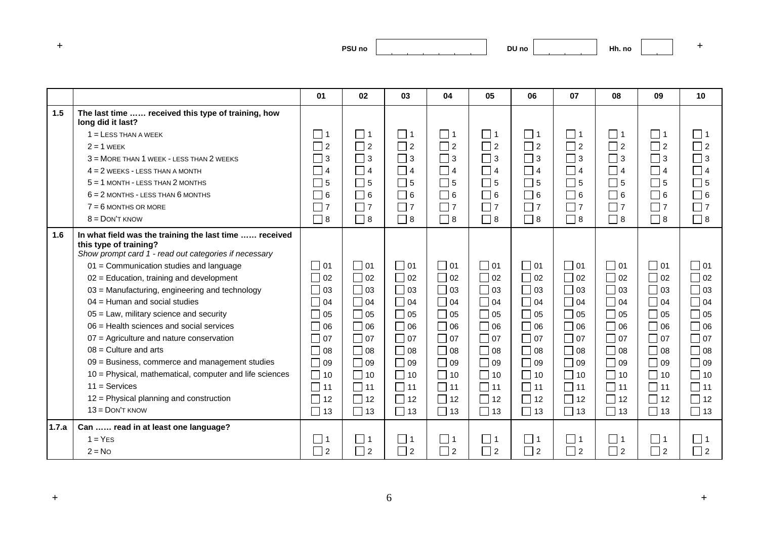| and the first process. | PSU <sub>no</sub> |
|------------------------|-------------------|
|------------------------|-------------------|

|       |                                                                                                                                                                                      | 01                             | 02                  | 03        | 04                         | 05        | 06                                 | 07                         | 08        | 09                          | 10            |
|-------|--------------------------------------------------------------------------------------------------------------------------------------------------------------------------------------|--------------------------------|---------------------|-----------|----------------------------|-----------|------------------------------------|----------------------------|-----------|-----------------------------|---------------|
| 1.5   | The last time  received this type of training, how<br>long did it last?                                                                                                              |                                |                     |           |                            |           |                                    |                            |           |                             |               |
|       | $1 =$ LESS THAN A WEEK                                                                                                                                                               | $\Box$ 1                       | $\Box$ 1            | 1         | $\Box$ 1                   | $\Box$ 1  | 1                                  | $\square$ 1                | $\Box$ 1  | $\Box$ 1                    | $\Box$ 1      |
|       | $2 = 1$ WEEK                                                                                                                                                                         | $\sqsupset$ 2                  | $\Box$ 2            | $\Box$ 2  | $\Box$ 2                   | $\Box$ 2  | $\Box$ 2                           | $\Box$ 2                   | $\Box$ 2  | $\Box$ 2                    | $\Box$ 2      |
|       | 3 = MORE THAN 1 WEEK - LESS THAN 2 WEEKS                                                                                                                                             | 3                              | $\Box$ 3            | $\Box$ 3  | $\Box$ 3                   | $\Box$ 3  | $\Box$ 3                           | $\sqsupset$ 3              | $\Box$ 3  | $\Box$ 3                    | $\sqsupset$ 3 |
|       | $4 = 2$ WEEKS - LESS THAN A MONTH                                                                                                                                                    | $\overline{4}$                 | $\Box$ 4            | $\Box$ 4  | $\Box$ 4                   | $\Box$ 4  | $\Box$ 4                           | $\bigcap$ 4                | $\Box$ 4  | $\Box$ 4                    | $\Box$ 4      |
|       | $5 = 1$ MONTH - LESS THAN 2 MONTHS                                                                                                                                                   | J.<br>5                        | $\Box$ 5            | $\Box$ 5  | $\overline{\phantom{0}}$ 5 | $\Box$ 5  | $\Box$ 5                           | $\Box$ 5                   | $\Box$ 5  | $\Box$ 5                    | $\Box$ 5      |
|       | $6 = 2$ MONTHS - LESS THAN $6$ MONTHS                                                                                                                                                | 6                              | $\Box$ 6            | $\Box$ 6  | $\Box$ 6                   | $\Box$ 6  | $\Box$ 6                           | $\overline{\phantom{0}}$ 6 | $\Box$ 6  | $\Box$ 6                    | $\Box$ 6      |
|       | $7 = 6$ MONTHS OR MORE                                                                                                                                                               | $\overline{7}$                 | $\Box$ 7            | $\Box$ 7  | $\Box$ 7                   | $\Box$ 7  | $\Box$ 7                           | $\Box$ 7                   | $\Box$ 7  | $\Box$ 7                    | $\Box$ 7      |
|       | $8 =$ DON'T KNOW                                                                                                                                                                     | ヿ 8                            | $\Box$ 8            | $\Box$ 8  | $\Box$ 8                   | $\Box$ 8  | $\Box$ 8                           | $\sqsupset$ 8              | $\Box$ 8  | $\Box$ 8                    | $\Box$ 8      |
| 1.6   | In what field was the training the last time  received<br>this type of training?<br>Show prompt card 1 - read out categories if necessary<br>01 = Communication studies and language | $\Box$ 01                      | $\Box$ 01           | $\Box$ 01 | $\Box$ 01                  | $\Box$ 01 | $\bigcap$ 01                       | $\Box$ 01                  | $\Box$ 01 | $\bigcap$ 01                | $\Box$ 01     |
|       | 02 = Education, training and development                                                                                                                                             | П<br>02                        | $\Box$ 02           | $\Box$ 02 | $\Box$ 02                  | $\Box$ 02 | $\overline{\phantom{0}}$ 02        | $\Box$ 02                  | $\Box$ 02 | $\sqsupset$ 02              | $\Box$ 02     |
|       | 03 = Manufacturing, engineering and technology                                                                                                                                       | $\mathcal{L}$<br>03            | $\Box$ 03           | $\Box$ 03 | $\Box$ 03                  | $\Box$ 03 | $\Box$ 03                          | $\Box$ 03                  | $\Box$ 03 | $\Box$ 03                   | $\Box$ 03     |
|       | $04$ = Human and social studies                                                                                                                                                      | 04                             | $\Box$ 04           | $\Box$ 04 | $\Box$ 04                  | $\Box$ 04 | $\mathcal{L}_{\mathcal{A}}$<br> 04 | $\Box$ 04                  | $\Box$ 04 | 04                          | $\Box$ 04     |
|       | $05$ = Law, military science and security                                                                                                                                            | 05                             | $\Box$ 05           | $\Box$ 05 | $\Box$ 05                  | $\Box$ 05 | $\Box$ 05                          | $\Box$ 05                  | $\Box$ 05 | 05                          | $\Box$ 05     |
|       | $06$ = Health sciences and social services                                                                                                                                           | 06                             | $\Box$ 06           | $\Box$ 06 | $\Box$ 06                  | $\Box$ 06 | $\overline{\phantom{0}}$ 06        | $\Box$ 06                  | $\Box$ 06 | $\overline{\phantom{0}}$ 06 | $\Box$ 06     |
|       | 07 = Agriculture and nature conservation                                                                                                                                             | 07<br>$\mathcal{L}$            | $\Box$ 07           | $\Box$ 07 | $\Box$ 07                  | $\Box$ 07 | $\bigcap$ 07                       | $\Box$ 07                  | $\Box$ 07 | 07                          | $\Box$ 07     |
|       | $08$ = Culture and arts                                                                                                                                                              | $\overline{\phantom{a}}$<br>08 | $\Box$ 08           | $\Box$ 08 | $\Box$ 08                  | $\Box$ 08 | $\Box$ 08                          | $\Box$ 08                  | $\Box$ 08 | $\sqsupset$ 08              | $\Box$ 08     |
|       | 09 = Business, commerce and management studies                                                                                                                                       | 09                             | $\Box$ 09           | $\Box$ 09 | $\Box$ 09                  | $\Box$ 09 | Γ<br>09                            | $\Box$ 09                  | $\Box$ 09 | 09                          | $\Box$ 09     |
|       | 10 = Physical, mathematical, computer and life sciences                                                                                                                              | $\Box$<br>10                   | $\Box$ 10           | $\Box$ 10 | $\Box$<br>10               | $\Box$ 10 | $\Box$ 10                          | П<br>10                    | $\Box$ 10 | $\overline{\phantom{0}}$ 10 | $\Box$ 10     |
|       | $11 =$ Services                                                                                                                                                                      | $\Box$<br>11                   | $\Box$ 11           | $\Box$ 11 | $\Box$ 11                  | $\Box$ 11 | $\Box$ 11                          | $\Box$ 11                  | $\Box$ 11 | $\Box$ 11                   | $\Box$ 11     |
|       | 12 = Physical planning and construction                                                                                                                                              | in 1<br>12                     | $\Box$ 12           | $\Box$ 12 | $\Box$<br>12               | $\Box$ 12 | $\Box$ 12                          | $\Box$<br>12               | $\Box$ 12 | $\sqsupset$ 12              | П<br>12       |
|       | $13 =$ DON'T KNOW                                                                                                                                                                    | П<br>13                        | $\Box$ 13           | $\Box$ 13 | $\Box$ 13                  | $\Box$ 13 | $\Box$ 13                          | $\Box$ 13                  | $\Box$ 13 | $\Box$ 13                   | $\Box$ 13     |
| 1.7.a | Can  read in at least one language?                                                                                                                                                  |                                |                     |           |                            |           |                                    |                            |           |                             |               |
|       | $1 = YES$                                                                                                                                                                            | □ 1                            | $\Box$ 1            | │ │ 1     | $\sqsupset$ 1              | $\Box$ 1  | $\sqsupset$ 1                      | $\sqsupset$ 1              | $\Box$ 1  | □ 1 1                       | $\Box$ 1      |
|       | $2 = No$                                                                                                                                                                             | $\Box$ 2                       | П<br>$\overline{2}$ | $\Box$ 2  | $\Box$ 2                   | $\Box$ 2  | $\Box$ 2                           | $\sqsupset$ 2              | $\Box$ 2  | $\Box$ 2                    | $\Box$ 2      |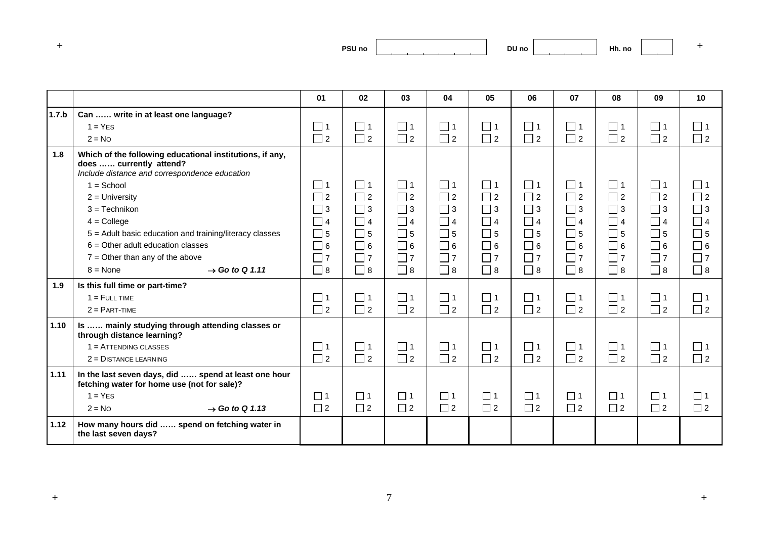| and the first process. | PSU <sub>no</sub><br>___ |
|------------------------|--------------------------|
|------------------------|--------------------------|

|       |                                                                                                                                      | 01          | 02          | 03          | 04          | 05          | 06                         | 07          | 08       | 09       | 10          |
|-------|--------------------------------------------------------------------------------------------------------------------------------------|-------------|-------------|-------------|-------------|-------------|----------------------------|-------------|----------|----------|-------------|
| 1.7.b | Can  write in at least one language?                                                                                                 |             |             |             |             |             |                            |             |          |          |             |
|       | $1 = YES$                                                                                                                            | 囗 1         | $\Box$ 1    | $\Box$ 1    | $\Box$ 1    | $\Box$ 1    | $\Box$ 1                   | $\Box$ 1    | $\Box$ 1 | $\Box$ 1 | $\Box$ 1    |
|       | $2 = No$                                                                                                                             | $\Box$ 2    | $\Box$ 2    | $\Box$ 2    | $\Box$ 2    | $\Box$ 2    | $\Box$ 2                   | $\Box$ 2    | $\Box$ 2 | $\Box$ 2 | $\Box$ 2    |
| 1.8   | Which of the following educational institutions, if any,<br>does  currently attend?<br>Include distance and correspondence education |             |             |             |             |             |                            |             |          |          |             |
|       | $1 =$ School                                                                                                                         | $\square$ 1 | $\Box$ 1    | $\Box$ 1    | $\square$ 1 | $\Box$ 1    | $\Box$ 1                   | $\Box$ 1    | $\Box$ 1 | $\Box$ 1 | $\Box$ 1    |
|       | $2 =$ University                                                                                                                     | $\Box$ 2    | $\Box$ 2    | $\Box$ 2    | $\Box$ 2    | $\Box$ 2    | $\Box$ 2                   | $\Box$ 2    | $\Box$ 2 | $\Box$ 2 | $\Box$ 2    |
|       | $3 = Technikon$                                                                                                                      | $\Box$ 3    | $\Box$ 3    | $\Box$ 3    | $\Box$ 3    | $\Box$ 3    | $\Box$ 3                   | $\Box$ 3    | $\Box$ 3 | $\Box$ 3 | $\Box$ 3    |
|       | $4 =$ College                                                                                                                        | $\Box$ 4    | $\Box$ 4    | $\Box$ 4    | $\Box$ 4    | $\Box$ 4    | $\overline{\phantom{0}}$ 4 | $\Box$ 4    | $\Box$ 4 | $\Box$ 4 | $\Box$ 4    |
|       | 5 = Adult basic education and training/literacy classes                                                                              | $\Box$ 5    | $\Box$ 5    | $\square$ 5 | $\Box$ 5    | $\Box$ 5    | $\Box$ 5                   | $\Box$ 5    | $\Box$ 5 | $\Box$ 5 | $\Box$ 5    |
|       | $6 =$ Other adult education classes                                                                                                  | $\Box$ 6    | $\Box$ 6    | $\Box$ 6    | $\Box$ 6    | $\Box$ 6    | $\Box$ 6                   | $\Box$ 6    | $\Box$ 6 | $\Box$ 6 | $\Box$ 6    |
|       | $7 =$ Other than any of the above                                                                                                    | $\square$ 7 | $\square$ 7 | $\Box$ 7    | $\Box$ 7    | $\Box$ 7    | $\Box$ 7                   | $\Box$ 7    | $\Box$ 7 | $\Box$ 7 | $\Box$ 7    |
|       | $\rightarrow$ Go to Q 1.11<br>$8 = \text{None}$                                                                                      | $\square$ 8 | $\Box$ 8    | $\Box$ 8    | $\Box$ 8    | $\Box$ 8    | $\sqsupset$ 8              | $\Box$ 8    | $\Box$ 8 | $\Box$ 8 | $\Box$ 8    |
| 1.9   | Is this full time or part-time?                                                                                                      |             |             |             |             |             |                            |             |          |          |             |
|       | $1 =$ FULL TIME                                                                                                                      | $\Box$ 1    | $\Box$ 1    | $\Box$ 1    | $\Box$ 1    | $\square$ 1 | $\Box$ 1                   | $\Box$ 1    | $\Box$ 1 | $\Box$ 1 | $\Box$ 1    |
|       | $2 = PART-TIME$                                                                                                                      | $\Box$ 2    | $\Box$ 2    | $\Box$ 2    | $\Box$ 2    | $\Box$ 2    | $\Box$ 2                   | $\Box$ 2    | $\Box$ 2 | $\Box$ 2 | $\Box$ 2    |
| 1.10  | Is  mainly studying through attending classes or<br>through distance learning?                                                       |             |             |             |             |             |                            |             |          |          |             |
|       | $1 =$ ATTENDING CLASSES                                                                                                              | $\Box$ 1    | $\square$ 1 | $\Box$ 1    | $\square$ 1 | $\Box$ 1    | $\Box$ 1                   | $\square$ 1 | $\Box$ 1 | コ1       | $\square$ 1 |
|       | $2 =$ DISTANCE LEARNING                                                                                                              | $\Box$ 2    | $\Box$ 2    | $\Box$ 2    | $\Box$ 2    | $\Box$ 2    | $\Box$ 2                   | $\Box$ 2    | $\Box$ 2 | $\Box$ 2 | $\Box$ 2    |
| 1.11  | In the last seven days, did  spend at least one hour<br>fetching water for home use (not for sale)?                                  |             |             |             |             |             |                            |             |          |          |             |
|       | $1 = YES$                                                                                                                            | $\Box$ 1    | $\Box$ 1    | $\Box$ 1    | $\Box$ 1    | $\Box$ 1    | $\Box$ 1                   | $\Box$ 1    | $\Box$ 1 | $\Box$ 1 | $\Box$ 1    |
|       | $2 = No$<br>$\rightarrow$ Go to Q 1.13                                                                                               | $\Box$ 2    | $\Box$ 2    | $\Box$ 2    | $\Box$ 2    | $\Box$ 2    | $\Box$ 2                   | $\Box$ 2    | $\Box$ 2 | $\Box$ 2 | $\Box$ 2    |
| 1.12  | How many hours did  spend on fetching water in<br>the last seven days?                                                               |             |             |             |             |             |                            |             |          |          |             |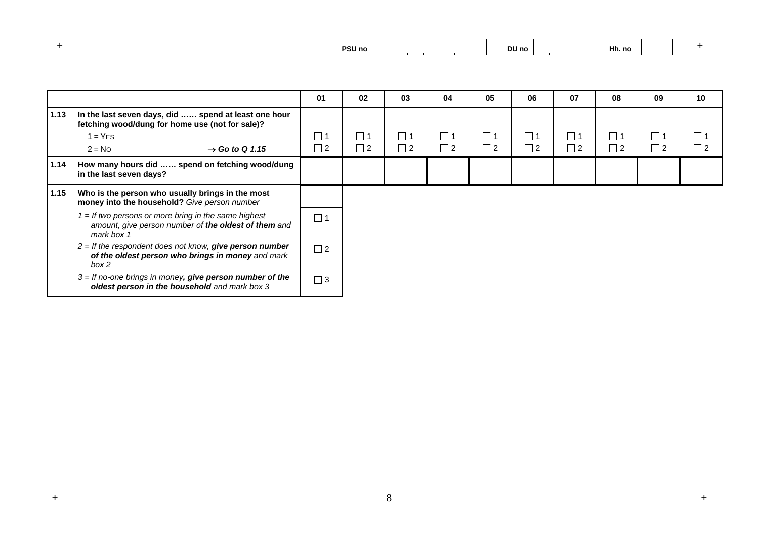| and the first process. | PSU <sub>no</sub> |
|------------------------|-------------------|
|                        |                   |

|      |                                                                                                                              | 01       | 02       | 03       | 04       | 05       | 06       | 07       | 08          | 09                         | 10          |
|------|------------------------------------------------------------------------------------------------------------------------------|----------|----------|----------|----------|----------|----------|----------|-------------|----------------------------|-------------|
|      |                                                                                                                              |          |          |          |          |          |          |          |             |                            |             |
| 1.13 | In the last seven days, did  spend at least one hour<br>fetching wood/dung for home use (not for sale)?                      |          |          |          |          |          |          |          |             |                            |             |
|      | $1 = YES$                                                                                                                    | $\Box$ 1 | $\Box$ 1 | $\Box$ 1 | $\Box$ 1 | $\Box$ 1 | $\Box$ 1 | $\Box$ 1 | $\square$ 1 | ヿ1                         | $\square$ 1 |
|      | $2 = No$<br>$\rightarrow$ Go to Q 1.15                                                                                       | $\Box$ 2 | $\Box$ 2 | $\Box$ 2 | $\Box$ 2 | $\Box$ 2 | $\Box$ 2 | $\Box$ 2 | $\Box$ 2    | $\overline{\phantom{a}}$ 2 | $\Box$ 2    |
| 1.14 | How many hours did  spend on fetching wood/dung<br>in the last seven days?                                                   |          |          |          |          |          |          |          |             |                            |             |
| 1.15 | Who is the person who usually brings in the most<br>money into the household? Give person number                             |          |          |          |          |          |          |          |             |                            |             |
|      | $1 =$ If two persons or more bring in the same highest<br>amount, give person number of the oldest of them and<br>mark box 1 | $\Box$ 1 |          |          |          |          |          |          |             |                            |             |
|      | $2 =$ If the respondent does not know, give person number<br>of the oldest person who brings in money and mark<br>box 2      | $\Box$ 2 |          |          |          |          |          |          |             |                            |             |
|      | $3 =$ If no-one brings in money, give person number of the<br>oldest person in the household and mark box 3                  | $\Box$ 3 |          |          |          |          |          |          |             |                            |             |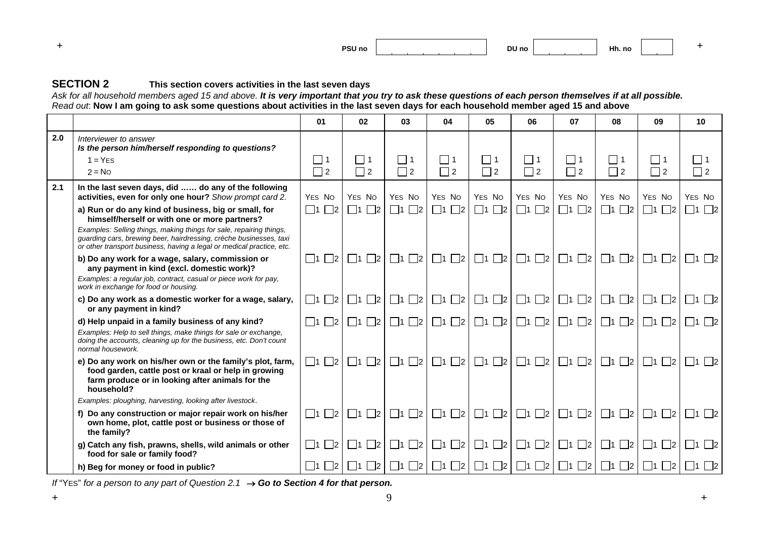

#### **SECTION 2This section covers activities in the last seven days**

Ask for all household members aged 15 and above. **It is very important that you try to ask these questions of each person themselves if at all possible.** *Read out*: **Now I am going to ask some questions about activities in the last seven days for each household member aged 15 and above**

|     |                                                                                                                                                                                                                                                                                                                             | 01                            | 02                         | 03                        | 04                                         | 05                            | 06                        | 07                                         | 08                       | 09                                     | 10                      |
|-----|-----------------------------------------------------------------------------------------------------------------------------------------------------------------------------------------------------------------------------------------------------------------------------------------------------------------------------|-------------------------------|----------------------------|---------------------------|--------------------------------------------|-------------------------------|---------------------------|--------------------------------------------|--------------------------|----------------------------------------|-------------------------|
| 2.0 | Interviewer to answer<br>Is the person him/herself responding to questions?<br>$1 = YFS$<br>$2 = No$                                                                                                                                                                                                                        | $\Box$ 1<br>$\Box$ 2          | $\Box$ 1<br>$\Box$ 2       | $\Box$ 1<br>$\Box$ 2      | $\Box$ 1<br>$\Box$ 2                       | $\Box$ 1<br>$\Box$ 2          | $\Box$ 1<br>$\Box$ 2      | $\Box$ 1<br>$\Box$ 2                       | $\vert$ 1<br>$\Box$ 2    | $\Box$ 1<br>$\Box$ 2                   | $\Box$ 1<br>$\Box$ 2    |
| 2.1 | In the last seven days, did  do any of the following<br>activities, even for only one hour? Show prompt card 2.                                                                                                                                                                                                             | YES NO                        | YES NO                     | YES NO                    | YES NO                                     | YES NO                        | YES NO                    | YES NO                                     | YES NO                   | YES NO                                 | YES NO                  |
|     | a) Run or do any kind of business, big or small, for<br>himself/herself or with one or more partners?<br>Examples: Selling things, making things for sale, repairing things,<br>guarding cars, brewing beer, hairdressing, crèche businesses, taxi<br>or other transport business, having a legal or medical practice, etc. | $\Box$ 1<br>$\mathbb{Z}^2$    | $\Box$ 1<br>$\Box$ 2       | $\Box$ 1 $\Box$ 2         | $\Box$ 2<br>$\Box$ 1                       | $\square$ 1 $\square$ 2       | $\Box$ 1 $\Box$ 2         | $\Box$ 1<br>$\Box$ 2                       | $\Box$ 1 $\Box$ 2        | $\Box$ 1<br> 2                         | $\Box$ 1<br>$\Box$ 2    |
|     | b) Do any work for a wage, salary, commission or<br>any payment in kind (excl. domestic work)?<br>Examples: a regular job, contract, casual or piece work for pay,<br>work in exchange for food or housing.                                                                                                                 | $\Box$ 2<br>$\Box$ 1          | $\Box$ 1 $\Box$ 2          | $\Box$ 1 $\Box$ 2         | $\Box$ 1 $\Box$ 2                          | $\Box$ 1 $\Box$ 2             | $\Box$ 1 $\Box$ 2         | $\Box$ 1 $\Box$ 2                          | $\Box$ 1 $\Box$ 2        | $\Box$ 1 $\Box$ 2                      | $\Box$ 1 $\Box$ 2       |
|     | c) Do any work as a domestic worker for a wage, salary,<br>or any payment in kind?                                                                                                                                                                                                                                          | $\Box$ 1<br>$\overline{2}$    | $\Box$ 1<br>$\Box$ 2       | $\Box$ 1 $\Box$ 2         | $\Box$ 2<br>$\vert$  1                     | $\square$ 1 $\square$ 2       | $\Box$ 1 $\Box$ 2         | $\Box$ 1<br>$\Box$ 2                       | $\Box$ 2<br>$\Box$ 1     | $\overline{\phantom{a}}$ 2<br>$\Box$ 1 | $\vert$  1<br>$\vert$ 2 |
|     | d) Help unpaid in a family business of any kind?<br>Examples: Help to sell things, make things for sale or exchange,<br>doing the accounts, cleaning up for the business, etc. Don't count<br>normal housework.                                                                                                             | $\Box$ 1 $\Box$ 2             | $\Box$ 1 $\Box$ 2          | $\Box$ 1 $\Box$ 2         | $\Box$ 1 $\Box$ 2                          | $\Box$ 1 $\Box$ 2             | $\Box$ 1 $\Box$ 2         | $\Box$ 1 $\Box$ 2                          | $\Box$ 1 $\Box$ 2        | $\Box$ 1 $\Box$ 2                      | $\Box$ 1 $\Box$ 2       |
|     | e) Do any work on his/her own or the family's plot, farm,<br>food garden, cattle post or kraal or help in growing<br>farm produce or in looking after animals for the<br>household?                                                                                                                                         | $\Box$ 1 $\Box$ 2             | $\Box$ 1 $\Box$ 2          | $\Box$ 1 $\Box$ 2         | $\Box$ 1 $\Box$ 2                          | $\Box$ 1 $\Box$ 2             | $\Box$ 1 $\Box$ 2         | $\Box$ 1 $\Box$ 2                          | $\Box$ 1 $\Box$ 2        | $\Box$ 1 $\Box$ 2                      | $\Box$ 1 $\Box$ 2       |
|     | Examples: ploughing, harvesting, looking after livestock.                                                                                                                                                                                                                                                                   |                               |                            |                           |                                            |                               |                           |                                            |                          |                                        |                         |
|     | f) Do any construction or major repair work on his/her<br>own home, plot, cattle post or business or those of<br>the family?                                                                                                                                                                                                | $\square$ 1<br>$\mathbb{Z}^2$ | $\Box$ 1<br>$\mathbb{Z}^2$ | $\Box$ 1 $\Box$ 2         | $\Box$ 2<br>$\Box$ 1                       | $\Box$ 1 $\Box$ 2             | $\Box$ 1 $\Box$ 2 $\vert$ | $\Box$ 1<br>$\Box$ 2                       | $\Box$ 2<br>$\Box$ 1     | $\Box$ 1<br>$\mathbb{Z}^2$             | $\Box$ 1 $\Box$ 2       |
|     | g) Catch any fish, prawns, shells, wild animals or other<br>food for sale or family food?                                                                                                                                                                                                                                   | $\overline{2}$<br>$\Box$ 1    | $\Box$ 2<br>$\Box$ 1       | $\Box$ 1 $\Box$ 2 $\vert$ | $\Box$ 1<br>$\Box$ 2                       | $\square$ 1 $\square$ 2       | $\Box$ 1 $\Box$ 2         | $\Box$ 1<br>$\Box$ 2                       | $\Box$ 2<br>$\Box$ 1     | $\Box$ 1<br>$\mathbb{Z}^2$             | $\Box$ 1<br>$\Box$ 2    |
|     | h) Beg for money or food in public?                                                                                                                                                                                                                                                                                         | $\Box$ 2<br>$\Box$ 1          | $\Box$ 1 $\Box$ 2 $\Box$   |                           | $\Box$ 1 $\Box$ 2 $\Box$ 1 $\Box$ 2 $\Box$ | $\Box$ 1 $\Box$ 2 $\parallel$ |                           | $\Box$ 1 $\Box$ 2 $\Box$ 1 $\Box$ 2 $\Box$ | $\Box$ 1 $\Box$ 2 $\Box$ | $\Box$ 1 $\Box$ 2                      | $\Box$ 1 $\Box$ 2       |

*If* "YES" for a person to any part of Question 2.1 → Go to Section 4 for that person.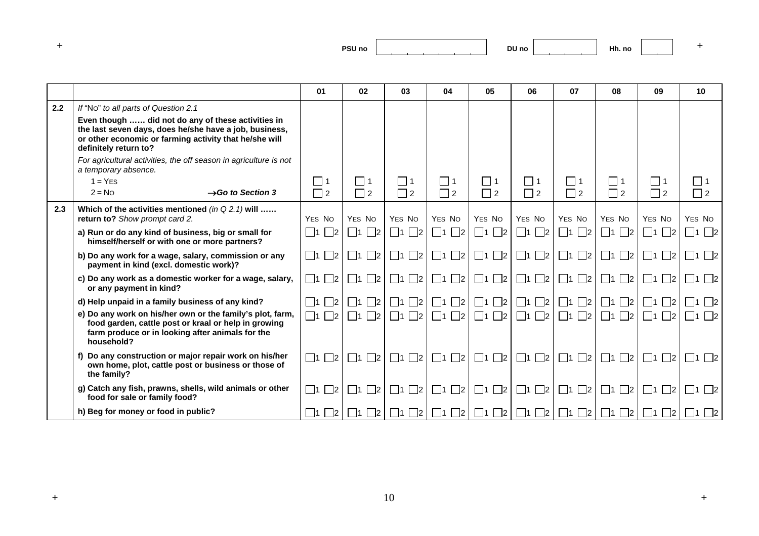| and the first process. | PSU <sub>no</sub> |  |
|------------------------|-------------------|--|
|                        |                   |  |

|     |                                                                                                                                                                                                 | 01                | 02                | 03                                    | 04                         | 05                            | 06                       | 07                        | 08                      | 09                    | 10                |
|-----|-------------------------------------------------------------------------------------------------------------------------------------------------------------------------------------------------|-------------------|-------------------|---------------------------------------|----------------------------|-------------------------------|--------------------------|---------------------------|-------------------------|-----------------------|-------------------|
| 2.2 | If "No" to all parts of Question 2.1                                                                                                                                                            |                   |                   |                                       |                            |                               |                          |                           |                         |                       |                   |
|     | Even though  did not do any of these activities in<br>the last seven days, does he/she have a job, business,<br>or other economic or farming activity that he/she will<br>definitely return to? |                   |                   |                                       |                            |                               |                          |                           |                         |                       |                   |
|     | For agricultural activities, the off season in agriculture is not<br>a temporary absence.                                                                                                       |                   |                   |                                       |                            |                               |                          |                           |                         |                       |                   |
|     | $1 = YES$                                                                                                                                                                                       | $\Box$ 1          | $\Box$ 1          | $\Box$ 1                              | $\Box$ 1                   | $\Box$ 1                      | $\Box$ 1                 | $\Box$ 1                  | $\Box$ 1                | $\Box$ 1              | $\Box$ 1          |
|     | $2 = No$<br>$\rightarrow$ Go to Section 3                                                                                                                                                       | $\Box$ 2          | $\Box$ 2          | $\Box$ 2                              | $\Box$ 2                   | $\Box$ 2                      | $\Box$ 2                 | $\Box$ 2                  | $\Box$ 2                | $\Box$ 2              | $\Box$ 2          |
| 2.3 | Which of the activities mentioned (in $Q$ 2.1) will<br>return to? Show prompt card 2.                                                                                                           | YES NO            | YES NO            | YES NO                                | YES NO                     | YES NO                        | YES NO                   | YES NO                    | YES NO                  | YES NO                | YES NO            |
|     | a) Run or do any kind of business, big or small for<br>himself/herself or with one or more partners?                                                                                            | $\Box$ 1 $\Box$ 2 | $\Box$ 1 $\Box$ 2 | $\Box$ 1 $\Box$ 2                     | $\Box$ 1 $\Box$ 2          | $\Box$ 1 $\Box$ 2             | $\Box$ 1 $\Box$ 2        | $\Box$ 1 $\Box$ 2         | $\prod_1 \prod_2$       | $\Box$ 1 $\Box$ 2     | $\Box$ 1 $\Box$ 2 |
|     | b) Do any work for a wage, salary, commission or any<br>payment in kind (excl. domestic work)?                                                                                                  | $\Box$ 1 $\Box$ 2 | $\Box$ 1 $\Box$ 2 | $\Box$ 1 $\Box$ 2 $\Box$              | $\Box$ 1 $\Box$ 2 $\Box$   | $\Box$ 1 $\Box$ 2             | $\Box$ 1 $\Box$ 2        | $\Box$ 1 $\Box$ 2 $\vert$ | $\Box$ 1 $\Box$ 2       | $\Box$ 1 $\Box$ 2     | $\Box$ 1 $\Box$ 2 |
|     | c) Do any work as a domestic worker for a wage, salary,<br>or any payment in kind?                                                                                                              | $\Box$ 1 $\Box$ 2 | $\Box$ 1 $\Box$ 2 | $\Box$ 1 $\Box$ 2 $\Box$              | $\Box$ 1 $\Box$ 2 $\Box$   | $\Box$ 1 $\Box$ 2             | $\Box$ 1 $\Box$ 2 $\Box$ | $\Box$ 1 $\Box$ 2 $\vert$ | $\Box$ 1 $\Box$ 2       | $\Box$ 1 $\Box$ 2     | $\Box$ 1 $\Box$ 2 |
|     | d) Help unpaid in a family business of any kind?                                                                                                                                                | $\Box$ 1 $\Box$ 2 | $\Box$ 1 $\Box$ 2 | $\prod_{1}$ $\prod_{2}$               | $\mathbb{Z}^2$<br>$\Box$ 1 | $\Box$ 1 $\Box$ 2 $\parallel$ | $\Box$ 1 $\Box$ 2 $\Box$ | $\Box$ 1 $\Box$ 2 $\Box$  | $\Box$ 1 $\Box$ 2       | $\Box$ 1 $\Box$ 2     | $\Box$ 1 $\Box$ 2 |
|     | e) Do any work on his/her own or the family's plot, farm,<br>food garden, cattle post or kraal or help in growing<br>farm produce or in looking after animals for the<br>household?             | $\Box$ 1 $\Box$ 2 | $\Box$ 1 $\Box$ 2 | $\Box$ 1 $\Box$ 2                     | $\Box$ 1 $\Box$ 2          | $\Box$ 1 $\Box$ 2             | $\Box$ 1 $\Box$ 2 $\Box$ | $\Box$ 1 $\Box$ 2 $\vert$ | $\Box$ 1 $\Box$ 2       | $\Box$ 1 $\Box$ 2     | $\Box$ 1 $\Box$ 2 |
|     | f) Do any construction or major repair work on his/her<br>own home, plot, cattle post or business or those of<br>the family?                                                                    | $\Box$ 1 $\Box$ 2 | $\Box$ 1 $\Box$ 2 | $\Box$ 2<br>$\mathsf{L}$ $\mathsf{L}$ | $\Box$ 1<br>$\mathbb{Z}^2$ | $\Box$ 1 $\Box$ 2             | $\Box$ 1 $\Box$ 2 $\Box$ | $\Box$ 1 $\Box$ 2         | $\Box$ 1<br>$\Box$ 2    | $\Box$ 1<br>$\vert$ 2 | $\Box$ 1 $\Box$ 2 |
|     | g) Catch any fish, prawns, shells, wild animals or other<br>food for sale or family food?                                                                                                       | $\Box$ 1 $\Box$ 2 | $\Box$ 1 $\Box$ 2 | $\Box$ 1 $\Box$ 2 $\Box$              | $\square$ 2<br>$\Box$ 1 [  | $\Box$ 1 $\Box$ 2             | $\Box$ 1 $\Box$ 2 $\Box$ | $\Box$ 1 $\Box$ 2 $\vert$ | $\Box$ 1 $\Box$ 2       | $\Box$ 1 $\Box$ 2     | $\Box$ 1 $\Box$ 2 |
|     | h) Beg for money or food in public?                                                                                                                                                             | $\vert 1 \vert$ 2 | l 11<br>$\vert$ 2 | $\Box$ 2                              | $\Box$ 2<br>$\vert$ 11     | $\Box$ 1 $\Box$ 2             | $\Box$ 1 $\Box$ 2        | $\Box$ 1 $\Box$ 2         | $\Box$ 1<br>$\square$ 2 | l 11<br> 2            | 11 2              |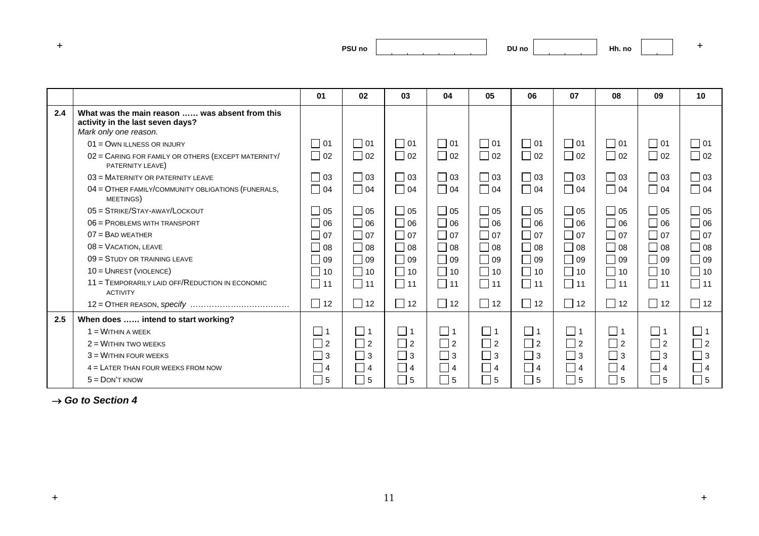| and the first process. | <b>PSU no</b> |
|------------------------|---------------|
|------------------------|---------------|

|     |                                                                                                             | 01                   | 02        | 03        | 04        | 05        | 06        | 07                | 08        | 09        | 10           |
|-----|-------------------------------------------------------------------------------------------------------------|----------------------|-----------|-----------|-----------|-----------|-----------|-------------------|-----------|-----------|--------------|
| 2.4 | What was the main reason  was absent from this<br>activity in the last seven days?<br>Mark only one reason. |                      |           |           |           |           |           |                   |           |           |              |
|     | $01 =$ OWN ILLNESS OR INJURY                                                                                | $\Box$ 01            | $\Box$ 01 | $\Box$ 01 | $\Box$ 01 | $\Box$ 01 | $\Box$ 01 | $\Box$ 01         | $\Box$ 01 | $\Box$ 01 | $\square$ 01 |
|     | 02 = CARING FOR FAMILY OR OTHERS (EXCEPT MATERNITY/<br>PATERNITY LEAVE)                                     | $\Box$ 02            | $\Box$ 02 | $\Box$ 02 | $\Box$ 02 | $\Box$ 02 | $\Box$ 02 | $\Box$ 02         | $\Box$ 02 | $\Box$ 02 | $\Box$ 02    |
|     | $03 =$ MATERNITY OR PATERNITY LEAVE                                                                         | $\Box$ 03            | $\Box$ 03 | $\Box$ 03 | $\Box$ 03 | $\Box$ 03 | $\Box$ 03 | $\Box$ 03         | $\Box$ 03 | $\Box$ 03 | $\Box$ 03    |
|     | 04 = OTHER FAMILY/COMMUNITY OBLIGATIONS (FUNERALS,<br>MEETINGS)                                             | $\Box$ 04            | $\Box$ 04 | $\Box$ 04 | $\Box$ 04 | $\Box$ 04 | $\Box$ 04 | $\Box$ 04         | $\Box$ 04 | $\Box$ 04 | $\Box$ 04    |
|     | $05 =$ STRIKE/STAY-AWAY/LOCKOUT                                                                             | $\overline{0}$ 05    | $\Box$ 05 | $\Box$ 05 | $\Box$ 05 | $\Box$ 05 | $\Box$ 05 | $\overline{0}$ 05 | $\Box$ 05 | $\Box$ 05 | $\Box$ 05    |
|     | 06 = PROBLEMS WITH TRANSPORT                                                                                | 06                   | $\Box$ 06 | $\Box$ 06 | $\Box$ 06 | $\Box$ 06 | $\Box$ 06 | $\Box$ 06         | $\Box$ 06 | $\Box$ 06 | $\Box$ 06    |
|     | $07 =$ BAD WEATHER                                                                                          | 07                   | $\Box$ 07 | $\Box$ 07 | $\Box$ 07 | $\Box$ 07 | $\Box$ 07 | $\Box$ 07         | $\Box$ 07 | $\Box$ 07 | $\Box$ 07    |
|     | $08 =$ VACATION, LEAVE                                                                                      | $\bigcap$ 08         | $\Box$ 08 | $\Box$ 08 | $\Box$ 08 | $\Box$ 08 | $\Box$ 08 | $\Box$ 08         | $\Box$ 08 | $\Box$ 08 | $\Box$ 08    |
|     | $09 =$ STUDY OR TRAINING LEAVE                                                                              | 09                   | $\Box$ 09 | $\Box$ 09 | $\Box$ 09 | $\Box$ 09 | $\Box$ 09 | $\Box$ 09         | $\Box$ 09 | $\Box$ 09 | $\square$ 09 |
|     | 10 = UNREST (VIOLENCE)                                                                                      | $\blacksquare$<br>10 | $\Box$ 10 | $\Box$ 10 | $\Box$ 10 | $\Box$ 10 | $\Box$ 10 | $\Box$ 10         | $\Box$ 10 | $\Box$ 10 | $\Box$ 10    |
|     | 11 = TEMPORARILY LAID OFF/REDUCTION IN ECONOMIC<br><b>ACTIVITY</b>                                          | $\Box$ 11            | $\Box$ 11 | $\Box$ 11 | $\Box$ 11 | $\Box$ 11 | $\Box$ 11 | $\Box$ 11         | $\Box$ 11 | $\Box$ 11 | $\Box$ 11    |
|     |                                                                                                             | $\Box$ 12            | $\Box$ 12 | $\Box$ 12 | $\Box$ 12 | $\Box$ 12 | $\Box$ 12 | $\Box$ 12         | $\Box$ 12 | $\Box$ 12 | $\Box$ 12    |
| 2.5 | When does  intend to start working?                                                                         |                      |           |           |           |           |           |                   |           |           |              |
|     | $1 = W$ ITHIN A WEEK                                                                                        |                      | $\Box$ 1  | $\Box$ 1  | $\Box$ 1  | $\Box$ 1  | $\Box$ 1  | $\Box$ 1          | $\Box$ 1  | $\Box$ 1  | $\Box$ 1     |
|     | $2 =$ WITHIN TWO WEEKS                                                                                      | 2                    | $\Box$ 2  | $\Box$ 2  | 2 ٦       | $\Box$ 2  | $\Box$ 2  | $\Box$ 2          | $\Box$ 2  | $\Box$ 2  | $\Box$ 2     |
|     | $3$ = WITHIN FOUR WEEKS                                                                                     | 3                    | $\Box$ 3  | $\Box$ 3  | 3         | $\Box$ 3  | $\Box$ 3  | l 3               | $\Box$ 3  | $\Box$ 3  | l I3         |
|     | $4 =$ LATER THAN FOUR WEEKS FROM NOW                                                                        | 4                    | $\Box$ 4  | $\Box$ 4  | $\vert$ 4 | $\Box$ 4  | $\Box$ 4  | 4                 | $\Box$ 4  | $\Box$ 4  | $ $   4      |
|     | $5 =$ DON'T KNOW                                                                                            | l 15                 | $\Box$ 5  | $\Box$ 5  | $\vert$ 5 | $\Box$ 5  | $\Box$ 5  | $ $ 15            | $\Box$ 5  | $\Box$ 5  | 5            |

→ *Go to Section 4*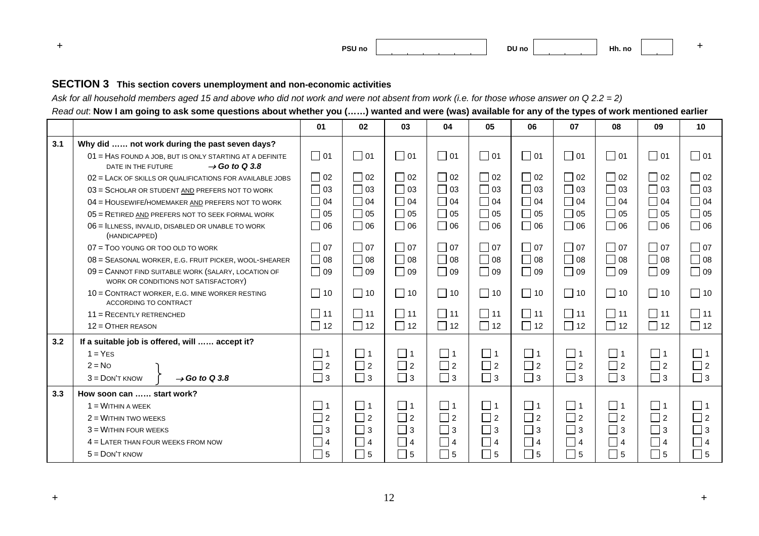**+ PSU noDU no Hh. no <sup>+</sup>**

#### **SECTION 3 This section covers unemployment and non-economic activities**

*Ask for all household members aged 15 and above who did not work and were not absent from work (i.e. for those whose answer on Q 2.2 = 2)* 

*Read out*: **Now I am going to ask some questions about whether you (……) wanted and were (was) available for any of the types of work mentioned earlier**

|     |                                                                                                             | 01        | 02                         | 03        | 04        | 05                         | 06                          | 07        | 08          | 09                          | 10        |
|-----|-------------------------------------------------------------------------------------------------------------|-----------|----------------------------|-----------|-----------|----------------------------|-----------------------------|-----------|-------------|-----------------------------|-----------|
| 3.1 | Why did  not work during the past seven days?                                                               |           |                            |           |           |                            |                             |           |             |                             |           |
|     | 01 = HAS FOUND A JOB, BUT IS ONLY STARTING AT A DEFINITE<br>$\rightarrow$ Go to Q 3.8<br>DATE IN THE FUTURE | $\Box$ 01 | $\Box$ 01                  | $\Box$ 01 | $\Box$ 01 | $\Box$ 01                  | $\square$ 01                | $\Box$ 01 | $\Box$ 01   | $\bigcap$ 01                | $\Box$ 01 |
|     | $02$ = LACK OF SKILLS OR QUALIFICATIONS FOR AVAILABLE JOBS                                                  | $\Box$ 02 | $\Box$ 02                  | $\Box$ 02 | $\Box$ 02 | $\Box$ 02                  | $\Box$ 02                   | $\Box$ 02 | $\Box$ 02   | $\sqsupset$ 02              | $\Box$ 02 |
|     | 03 = SCHOLAR OR STUDENT AND PREFERS NOT TO WORK                                                             | $\Box$ 03 | $\Box$ 03                  | $\Box$ 03 | $\Box$ 03 | $\Box$ 03                  | $\Box$ 03                   | $\Box$ 03 | $\Box$ 03   | $\overline{)03}$            | $\Box$ 03 |
|     | 04 = HOUSEWIFE/HOMEMAKER AND PREFERS NOT TO WORK                                                            | $\Box$ 04 | $\Box$ 04                  | $\Box$ 04 | $\Box$ 04 | $\Box$ 04                  | $\Box$ 04                   | $\Box$ 04 | $\Box$ 04   | $\sqsupset$ 04              | $\Box$ 04 |
|     | 05 = RETIRED AND PREFERS NOT TO SEEK FORMAL WORK                                                            | $\Box$ 05 | $\Box$ 05                  | $\Box$ 05 | $\Box$ 05 | $\Box$ 05                  | $\Box$ 05                   | $\Box$ 05 | $\Box$ 05   | 05                          | $\Box$ 05 |
|     | 06 = ILLNESS, INVALID, DISABLED OR UNABLE TO WORK<br>(HANDICAPPED)                                          | $\Box$ 06 | $\Box$ 06                  | $\Box$ 06 | $\Box$ 06 | $\Box$ 06                  | $\Box$ 06                   | $\Box$ 06 | $\Box$ 06   | $\overline{\phantom{0}}$ 06 | $\Box$ 06 |
|     | $07 =$ TOO YOUNG OR TOO OLD TO WORK                                                                         | $\Box$ 07 | $\Box$ 07                  | $\Box$ 07 | $\Box$ 07 | $\Box$ 07                  | $\Box$ 07                   | $\Box$ 07 | $\Box$ 07   | $\Box$ 07                   | $\Box$ 07 |
|     | 08 = SEASONAL WORKER, E.G. FRUIT PICKER, WOOL-SHEARER                                                       | $\Box$ 08 | $\Box$ 08                  | $\Box$ 08 | $\Box$ 08 | $\Box$ 08                  | $\overline{\phantom{0}}$ 08 | $\Box$ 08 | $\Box$ 08   | $\Box$ 08                   | $\Box$ 08 |
|     | 09 = CANNOT FIND SUITABLE WORK (SALARY, LOCATION OF<br>WORK OR CONDITIONS NOT SATISFACTORY)                 | $\Box$ 09 | $\Box$ 09                  | $\Box$ 09 | $\Box$ 09 | $\Box$ 09                  | $\Box$ 09                   | $\Box$ 09 | $\Box$ 09   | $\Box$ 09                   | $\Box$ 09 |
|     | 10 = CONTRACT WORKER, E.G. MINE WORKER RESTING<br>ACCORDING TO CONTRACT                                     | $\Box$ 10 | $\Box$ 10                  | $\Box$ 10 | $\Box$ 10 | $\Box$ 10                  | $\Box$ 10                   | $\Box$ 10 | $\Box$ 10   | $\Box$ 10                   | $\Box$ 10 |
|     | $11 =$ RECENTLY RETRENCHED                                                                                  | $\Box$ 11 | $\Box$ 11                  | $\Box$ 11 | $\Box$ 11 | $\Box$ 11                  | $\Box$ 11                   | $\Box$ 11 | $\Box$ 11   | $\overline{1}$ 11           | $\Box$ 11 |
|     | $12 =$ OTHER REASON                                                                                         | $\Box$ 12 | $\Box$ 12                  | $\Box$ 12 | $\Box$ 12 | $\Box$ 12                  | $\Box$ 12                   | $\Box$ 12 | $\Box$ 12   | $\Box$ 12                   | $\Box$ 12 |
| 3.2 | If a suitable job is offered, will  accept it?                                                              |           |                            |           |           |                            |                             |           |             |                             |           |
|     | $1 = YES$                                                                                                   | $\Box$ 1  | $\square$ 1                | $\Box$ 1  | $\Box$ 1  | $\Box$ 1                   | $\Box$ 1                    | $\Box$ 1  | $\Box$ 1    | $\Box$ 1                    | $\Box$ 1  |
|     | $2 = No$                                                                                                    | $\Box$ 2  | $\Box$ 2                   | $\Box$ 2  | $\Box$ 2  | $\Box$ 2                   | $\Box$ 2                    | $\Box$ 2  | $\Box$ 2    | $\Box$ 2                    | $\Box$ 2  |
|     | $\rightarrow$ Go to Q 3.8<br>$3 =$ DON'T KNOW                                                               | $\Box$ 3  | $\Box$ 3                   | $\Box$ 3  | $\Box$ 3  | $\Box$ 3                   | $\Box$ 3                    | $\Box$ 3  | $\Box$ 3    | $\Box$ 3                    | $\Box$ 3  |
| 3.3 | How soon can  start work?                                                                                   |           |                            |           |           |                            |                             |           |             |                             |           |
|     | $1 = W$ ITHIN A WEEK                                                                                        | $\Box$    | $\square$ 1                | $\Box$ 1  | $\Box$ 1  | $\Box$ 1                   | $\Box$ 1                    | $\Box$ 1  | $\Box$ 1    | $\Box$ 1                    | $\Box$ 1  |
|     | $2 =$ WITHIN TWO WEEKS                                                                                      | $\Box$ 2  | $\overline{\phantom{1}}$ 2 | $\Box$ 2  | $\Box$ 2  | $\Box$ 2                   | $\Box$ 2                    | $\Box$ 2  | $\square$ 2 | $\Box$ 2                    | $\Box$ 2  |
|     | $3 =$ WITHIN FOUR WEEKS                                                                                     | 3         | $\Box$ 3                   | $\Box$ 3  | $\Box$ 3  | $\Box$ 3                   | $\Box$ 3                    | $\Box$ 3  | $\square$ 3 | $\Box$ 3                    | $\Box$ 3  |
|     | $4 =$ LATER THAN FOUR WEEKS FROM NOW                                                                        | $\Box$ 4  | $\Box$ 4                   | $\Box$ 4  | $\Box$ 4  | $\Box$ 4                   | $\Box$ 4                    | $\Box$ 4  | $\Box$ 4    | $\Box$ 4                    | $\Box$ 4  |
|     | $5 =$ DON'T KNOW                                                                                            | $\Box$ 5  | $\overline{\phantom{0}}$ 5 | $\Box$ 5  | $\Box$ 5  | $\overline{\phantom{0}}$ 5 | $\Box$ 5                    | $\Box$ 5  | $\Box$ 5    | $\Box$ 5                    | $\Box$ 5  |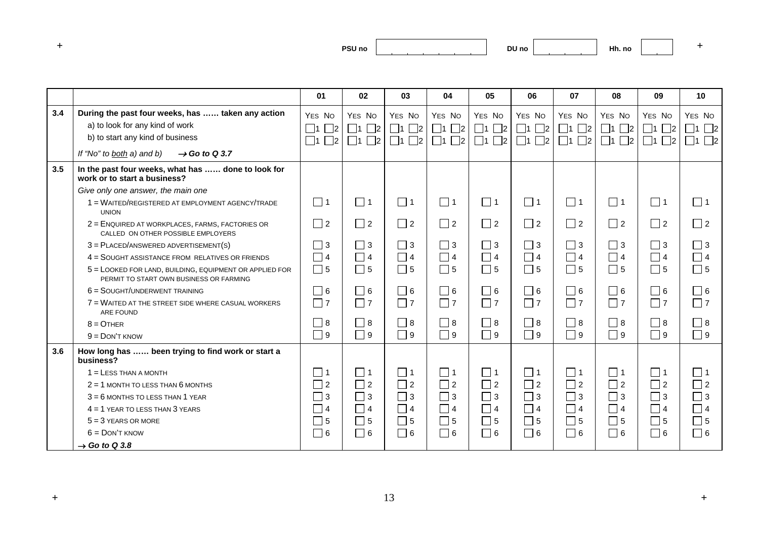| ___ | PSU <sub>no</sub> |  |
|-----|-------------------|--|
|-----|-------------------|--|

|     |                                                                                                    |                         |                      |                   | 04                   |                         |                   |                            |                      |                   |                   |
|-----|----------------------------------------------------------------------------------------------------|-------------------------|----------------------|-------------------|----------------------|-------------------------|-------------------|----------------------------|----------------------|-------------------|-------------------|
|     |                                                                                                    | 01                      | 02                   | 03                |                      | 05                      | 06                | 07                         | 08                   | 09                | 10                |
| 3.4 | During the past four weeks, has  taken any action                                                  | YES NO                  | YES NO               | YES NO            | YES NO               | YES NO                  | YES NO            | YES NO                     | YES NO               | YES NO            | YES NO            |
|     | a) to look for any kind of work                                                                    | $\Box$ 1<br>$\Box$ 2    | $\Box$ 1 $\Box$ 2    | $\Box$ 1 $\Box$ 2 | $\Box$ 1<br>$\Box$ 2 | $\Box$ 1 $\Box$ 2       | $\Box$ 1 $\Box$ 2 | $\Box$ 1 $\Box$ 2          | $\Box$ 1 $\Box$ 2    | $\Box$ 1 $\Box$ 2 | $\Box$ 1 $\Box$ 2 |
|     | b) to start any kind of business                                                                   | $\Box$ 1<br>$\square$ 2 | $\Box$ 2<br>$\Box$ 1 | $\Box$ 1 $\Box$ 2 | $\Box$ 2<br>$\Box$ 1 | $\square$ 1<br>$\Box$ 2 | $\Box$ 1 $\Box$ 2 | $\square$ 2<br>$\square$ 1 | $\Box$ 2<br>$\Box$ 1 | $\Box$ 1 $\Box$ 2 | $\Box$ 1 $\Box$ 2 |
|     | If "No" to both a) and b)<br>$\rightarrow$ Go to Q 3.7                                             |                         |                      |                   |                      |                         |                   |                            |                      |                   |                   |
| 3.5 | In the past four weeks, what has  done to look for<br>work or to start a business?                 |                         |                      |                   |                      |                         |                   |                            |                      |                   |                   |
|     | Give only one answer, the main one                                                                 |                         |                      |                   |                      |                         |                   |                            |                      |                   |                   |
|     | 1 = WAITED/REGISTERED AT EMPLOYMENT AGENCY/TRADE<br><b>UNION</b>                                   | $\Box$ 1                | $\Box$ 1             | $\Box$ 1          | $\Box$ 1             | $\Box$ 1                | $\Box$ 1          | $\Box$ 1                   | $\Box$ 1             | $\Box$ 1          | $\Box$ 1          |
|     | 2 = ENQUIRED AT WORKPLACES, FARMS, FACTORIES OR<br>CALLED ON OTHER POSSIBLE EMPLOYERS              | $\Box$ 2                | $\Box$ 2             | $\Box$ 2          | $\Box$ 2             | $\Box$ 2                | $\Box$ 2          | $\Box$ 2                   | $\Box$ 2             | $\Box$ 2          | $\Box$ 2          |
|     | $3 =$ PLACED/ANSWERED ADVERTISEMENT(S)                                                             | $\vert$ 3               | $\Box$ 3             | $\Box$ 3          | $\Box$ 3             | $\Box$ 3                | $\Box$ 3          | $\Box$ 3                   | $\Box$ 3             | $\Box$ 3          | $\Box$ 3          |
|     | 4 = SOUGHT ASSISTANCE FROM RELATIVES OR FRIENDS                                                    | $\Box$ 4                | $\Box$ 4             | $\Box$ 4          | $\Box$ 4             | $\Box$ 4                | $\Box$ 4          | $\Box$ 4                   | $\Box$ 4             | $\Box$ 4          | $\Box$ 4          |
|     | 5 = LOOKED FOR LAND, BUILDING, EQUIPMENT OR APPLIED FOR<br>PERMIT TO START OWN BUSINESS OR FARMING | $\Box$ 5                | $\Box$ 5             | $\Box$ 5          | $\Box$ 5             | $\Box$ 5                | $\Box$ 5          | $\Box$ 5                   | $\Box$ 5             | $\Box$ 5          | $\Box$ 5          |
|     | $6 =$ SOUGHT/UNDERWENT TRAINING                                                                    | $\Box$ 6                | $\Box$ 6             | $\Box$ 6          | $\Box$ 6             | $\Box$ 6                | $\Box$ 6          | $\Box$ 6                   | $\Box$ 6             | $\Box$ 6          | $\Box$ 6          |
|     | 7 = WAITED AT THE STREET SIDE WHERE CASUAL WORKERS<br>ARE FOUND                                    | $\Box$ 7                | $\Box$ 7             | $\Box$ 7          | $\Box$ 7             | $\Box$ 7                | $\Box$ 7          | $\Box$ 7                   | $\Box$ 7             | $\Box$ 7          | $\Box$ 7          |
|     | $8 =$ OTHER                                                                                        | $\Box$ 8                | $\Box$ 8             | $\Box$ 8          | $\Box$ 8             | $\Box$ 8                | $\Box$ 8          | $\Box$ 8                   | $\Box$ 8             | $\square$ 8       | $\Box$ 8          |
|     | $9 =$ DON'T KNOW                                                                                   | $\Box$ 9                | $\Box$ 9             | $\Box$ 9          | $\Box$ 9             | $\Box$ 9                | $\Box$ 9          | $\Box$ 9                   | $\Box$ 9             | $\square$ 9       | $\Box$ 9          |
| 3.6 | How long has  been trying to find work or start a<br>business?                                     |                         |                      |                   |                      |                         |                   |                            |                      |                   |                   |
|     | $1 =$ LESS THAN A MONTH                                                                            | _  1                    | $\Box$ 1             | $\Box$ 1          | $\Box$ 1             | $\Box$ 1                | $\Box$ 1          | $\Box$ 1                   | $\Box$ 1             | $\Box$ 1          | $\Box$ 1          |
|     | $2 = 1$ MONTH TO LESS THAN 6 MONTHS                                                                | $\sqsupset$ 2           | $\Box$ 2             | $\Box$ 2          | $\Box$ 2             | $\Box$ 2                | $\Box$ 2          | $\Box$ 2                   | $\Box$ 2             | $\Box$ 2          | $\Box$ 2          |
|     | $3 = 6$ MONTHS TO LESS THAN 1 YEAR                                                                 | $\Box$ 3                | $\Box$ 3             | $\Box$ 3          | $\Box$ 3             | $\Box$ 3                | $\Box$ 3          | $\Box$ 3                   | $\Box$ 3             | $\square$ 3       | $\Box$ 3          |
|     | $4 = 1$ YEAR TO LESS THAN 3 YEARS                                                                  | $\Box$ 4                | $\Box$ 4             | $\Box$ 4          | $\Box$ 4             | $\Box$ 4                | $\Box$ 4          | $\Box$ 4                   | $\Box$ 4             | $\Box$ 4          | $\Box$ 4          |
|     | $5 = 3$ YEARS OR MORE                                                                              | 5                       | $\Box$ 5             | $\Box$ 5          | $\Box$<br>5          | $\Box$ 5                | $\Box$ 5          | $\Box$ 5                   | $\Box$ 5             | $\square$ 5       | $\Box$ 5          |
|     | $6 =$ DON'T KNOW                                                                                   | $\Box$ 6                | $\Box$ 6             | $\Box$ 6          | $\Box$ 6             | $\Box$ 6                | $\Box$ 6          | $\Box$ 6                   | $\Box$ 6             | $\Box$ 6          | $\Box$ 6          |
|     | $\rightarrow$ Go to Q 3.8                                                                          |                         |                      |                   |                      |                         |                   |                            |                      |                   |                   |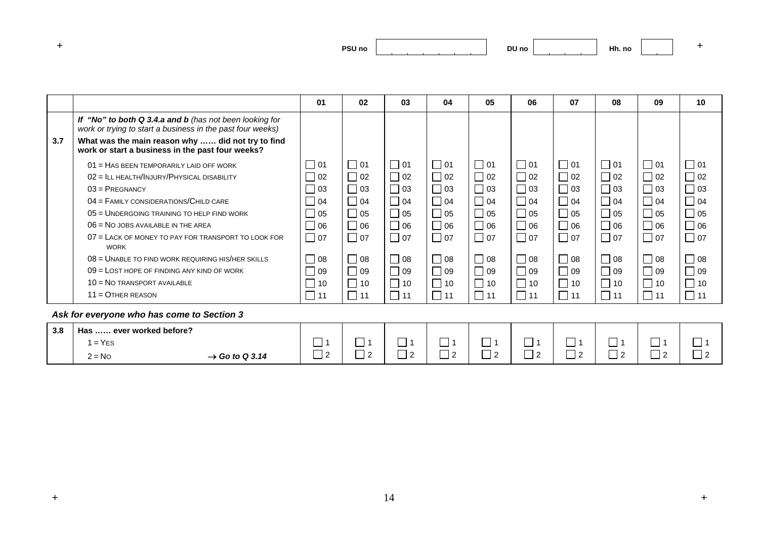| and the first process. | PSU <sub>no</sub><br>___ |
|------------------------|--------------------------|
|------------------------|--------------------------|

|     |                                                                                                                       | 01                          | 02           | 03        | 04                          | 05                          | 06        | 07                          | 08        | 09        | 10 <sup>1</sup>             |
|-----|-----------------------------------------------------------------------------------------------------------------------|-----------------------------|--------------|-----------|-----------------------------|-----------------------------|-----------|-----------------------------|-----------|-----------|-----------------------------|
|     | If "No" to both Q 3.4.a and b (has not been looking for<br>work or trying to start a business in the past four weeks) |                             |              |           |                             |                             |           |                             |           |           |                             |
| 3.7 | What was the main reason why  did not try to find<br>work or start a business in the past four weeks?                 |                             |              |           |                             |                             |           |                             |           |           |                             |
|     | 01 = HAS BEEN TEMPORARILY LAID OFF WORK                                                                               | $\overline{\phantom{0}}$ 01 | □ 01         | $\Box$ 01 | $\blacksquare$ 01           | $\overline{01}$             | $\Box$ 01 | 01                          | $\Box$ 01 | $\Box$ 01 | $\Box$ 01                   |
|     | 02 = ILL HEALTH/INJURY/PHYSICAL DISABILITY                                                                            | $\vert$ 02                  | 02           | $\Box$ 02 | $\Box$ 02                   | $\Box$ 02                   | $\Box$ 02 | $\Box$ 02                   | $\Box$ 02 | $\Box$ 02 | $\Box$ 02                   |
|     | $03 = PREGNANCY$                                                                                                      | $\Box$ 03                   | $\Box$ 03    | $\Box$ 03 | $\Box$ 03                   | $\Box$ 03                   | $\Box$ 03 | $\Box$ 03                   | $\Box$ 03 | $\Box$ 03 | $\Box$ 03                   |
|     | $04 =$ FAMILY CONSIDERATIONS/CHILD CARE                                                                               | $\vert$ 04                  | $\Box$ 04    | $\Box$ 04 | $\Box$ 04                   | $\Box$ 04                   | $\Box$ 04 | $\Box$ 04                   | $\Box$ 04 | $\Box$ 04 | $\Box$ 04                   |
|     | 05 = UNDERGOING TRAINING TO HELP FIND WORK                                                                            | $\overline{\phantom{a}}$ 05 | $\Box$ 05    | $\Box$ 05 | $\overline{\phantom{0}}$ 05 | ┓<br>05                     | $\Box$ 05 | $\Box$ 05                   | $\Box$ 05 | $\Box$ 05 | 05                          |
|     | $06 = No$ JOBS AVAILABLE IN THE AREA                                                                                  | 06                          | $\Box$ 06    | $\Box$ 06 | $\Box$ 06                   | $\overline{\phantom{0}}$ 06 | $\Box$ 06 | $\overline{\phantom{0}}$ 06 | $\Box$ 06 | $\Box$ 06 | $\Box$ 06                   |
|     | 07 = LACK OF MONEY TO PAY FOR TRANSPORT TO LOOK FOR<br><b>WORK</b>                                                    | $\Box$ 07                   | $\Box$ 07    | $\Box$ 07 | $\Box$ 07                   | $\Box$ 07                   | $\Box$ 07 | $\Box$ 07                   | $\Box$ 07 | $\Box$ 07 | $\Box$ 07                   |
|     | $08 =$ UNABLE TO FIND WORK REQUIRING HIS/HER SKILLS                                                                   | $\vert$ 08                  | $\Box$ 08    | $\Box$ 08 | $\Box$ 08                   | Ξ<br>08                     | $\Box$ 08 | $\Box$ 08                   | $\Box$ 08 | $\Box$ 08 | $\Box$ 08                   |
|     | $09$ = LOST HOPE OF FINDING ANY KIND OF WORK                                                                          | $\mid$ 09                   | $\Box$ 09    | $\Box$ 09 | $\Box$ 09                   | 09                          | $\Box$ 09 | ]09                         | $\Box$ 09 | $\Box$ 09 | $\Box$ 09                   |
|     | $10 = No$ TRANSPORT AVAILABLE                                                                                         | $\vert$ 10                  | $\sim$<br>10 | $\Box$ 10 | $\Box$ 10                   | $\sim$<br>10                | $\Box$ 10 | $\vert$ 10                  | П<br>10   | $\Box$ 10 | 10                          |
|     | $11 =$ OTHER REASON                                                                                                   | $\_$ 11                     | $\Box$<br>11 | $\Box$ 11 | $\Box$ 11                   | $\Box$ 11                   | $\Box$ 11 | $\Box$ 11                   | $\Box$ 11 | $\Box$ 11 | $\overline{\phantom{0}}$ 11 |
|     | Ask for everyone who has come to Section 3                                                                            |                             |              |           |                             |                             |           |                             |           |           |                             |

| 3.8 | Has  ever worked before? |                            |                       |        |              |                        |         |                   |                      |               |                  |         |
|-----|--------------------------|----------------------------|-----------------------|--------|--------------|------------------------|---------|-------------------|----------------------|---------------|------------------|---------|
|     | $1 = YES$                |                            | __                    | __     |              | _<br>_                 | –<br>–  |                   | _                    | _             |                  | _<br>_  |
|     | $2 = No$                 | $\rightarrow$ Go to Q 3.14 | –<br>$\sqrt{2}$<br>__ | –<br>— | $\sim$<br>__ | –<br>$\sim$<br>-<br>__ | —<br>__ | __<br>$\sim$<br>_ | $\sqrt{2}$<br>-<br>_ | -<br>. .<br>_ | $\sim$<br>-<br>_ | __<br>ᅳ |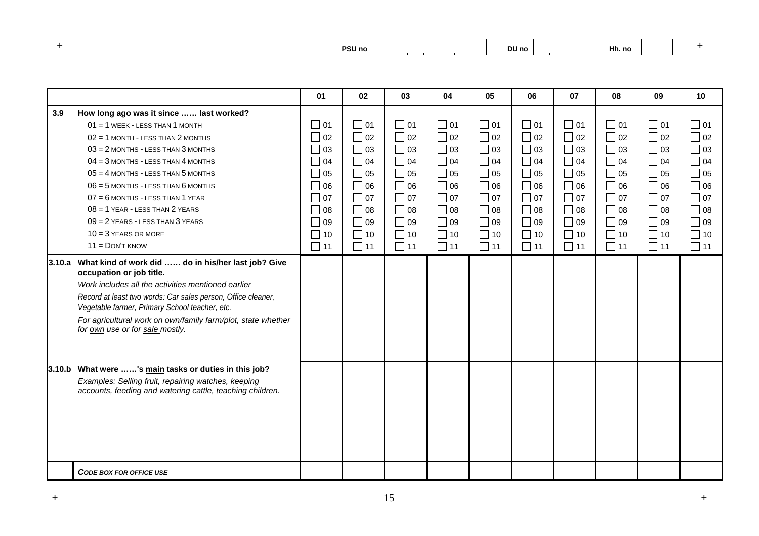| and the first process. | PSU <sub>no</sub><br>___ |
|------------------------|--------------------------|
|------------------------|--------------------------|

|        |                                                                                                                  | 01        | 02        | 03        | 04        | 05        | 06        | 07        | 08                          | 09        | 10        |
|--------|------------------------------------------------------------------------------------------------------------------|-----------|-----------|-----------|-----------|-----------|-----------|-----------|-----------------------------|-----------|-----------|
| 3.9    | How long ago was it since  last worked?                                                                          |           |           |           |           |           |           |           |                             |           |           |
|        | $01 = 1$ WEEK - LESS THAN 1 MONTH                                                                                | $\Box$ 01 | $\Box$ 01 | $\Box$ 01 | $\Box$ 01 | $\Box$ 01 | $\Box$ 01 | $\Box$ 01 | $\Box$ 01                   | $\Box$ 01 | $\Box$ 01 |
|        | $02 = 1$ MONTH - LESS THAN 2 MONTHS                                                                              | $\Box$ 02 | $\Box$ 02 | $\Box$ 02 | $\Box$ 02 | $\Box$ 02 | $\Box$ 02 | $\Box$ 02 | $\Box$ 02                   | $\Box$ 02 | $\Box$ 02 |
|        | $03 = 2$ MONTHS - LESS THAN 3 MONTHS                                                                             | 03        | $\Box$ 03 | $\Box$ 03 | $\Box$ 03 | $\Box$ 03 | $\Box$ 03 | $\Box$ 03 | $\Box$ 03                   | $\Box$ 03 | $\Box$ 03 |
|        | $04 = 3$ MONTHS - LESS THAN 4 MONTHS                                                                             | $\Box$ 04 | $\Box$ 04 | $\Box$ 04 | $\Box$ 04 | $\Box$ 04 | $\Box$ 04 | $\Box$ 04 | $\Box$ 04                   | $\Box$ 04 | $\Box$ 04 |
|        | $05 = 4$ MONTHS - LESS THAN 5 MONTHS                                                                             | $\Box$ 05 | $\Box$ 05 | $\Box$ 05 | $\Box$ 05 | $\Box$ 05 | $\Box$ 05 | $\Box$ 05 | $\Box$ 05                   | $\Box$ 05 | $\Box$ 05 |
|        | $06 = 5$ MONTHS - LESS THAN $6$ MONTHS                                                                           |           | 06        | $\Box$ 06 | $\Box$ 06 | $\Box$ 06 | $\Box$ 06 | $\Box$ 06 | $\Box$ 06                   | $\Box$ 06 | $\Box$ 06 |
|        | $07 = 6$ MONTHS - LESS THAN 1 YEAR                                                                               | $\Box$ 07 | $\Box$ 07 | $\Box$ 07 | $\Box$ 07 | $\Box$ 07 | $\Box$ 07 | $\Box$ 07 | $\overline{\phantom{0}}$ 07 | $\Box$ 07 | $\Box$ 07 |
|        | $08 = 1$ YEAR - LESS THAN $2$ YEARS                                                                              | $\Box$ 08 | $\Box$ 08 | $\Box$ 08 | $\Box$ 08 | $\Box$ 08 | $\Box$ 08 | $\Box$ 08 | $\Box$ 08                   | $\Box$ 08 | $\Box$ 08 |
|        | $09 = 2$ YEARS - LESS THAN 3 YEARS                                                                               | $\Box$ 09 | $\Box$ 09 | $\Box$ 09 | $\Box$ 09 | $\Box$ 09 | $\Box$ 09 | $\Box$ 09 | $\Box$ 09                   | $\Box$ 09 | $\Box$ 09 |
|        | $10 = 3$ YEARS OR MORE                                                                                           | $\Box$ 10 | $\Box$ 10 | $\Box$ 10 | $\Box$ 10 | $\Box$ 10 | $\Box$ 10 | $\Box$ 10 | $\Box$ 10                   | $\Box$ 10 | $\Box$ 10 |
|        | $11 =$ DON'T KNOW                                                                                                | $\Box$ 11 | $\Box$ 11 | $\Box$ 11 | $\Box$ 11 | $\Box$ 11 | $\Box$ 11 | $\Box$ 11 | $\Box$ 11                   | $\Box$ 11 | $\Box$ 11 |
| 3.10.a | What kind of work did  do in his/her last job? Give<br>occupation or job title.                                  |           |           |           |           |           |           |           |                             |           |           |
|        | Work includes all the activities mentioned earlier                                                               |           |           |           |           |           |           |           |                             |           |           |
|        | Record at least two words: Car sales person, Office cleaner,<br>Vegetable farmer, Primary School teacher, etc.   |           |           |           |           |           |           |           |                             |           |           |
|        | For agricultural work on own/family farm/plot, state whether<br>for own use or for sale mostly.                  |           |           |           |           |           |           |           |                             |           |           |
| 3.10 b | What were 's main tasks or duties in this job?                                                                   |           |           |           |           |           |           |           |                             |           |           |
|        | Examples: Selling fruit, repairing watches, keeping<br>accounts, feeding and watering cattle, teaching children. |           |           |           |           |           |           |           |                             |           |           |
|        |                                                                                                                  |           |           |           |           |           |           |           |                             |           |           |
|        |                                                                                                                  |           |           |           |           |           |           |           |                             |           |           |
|        | <b>CODE BOX FOR OFFICE USE</b>                                                                                   |           |           |           |           |           |           |           |                             |           |           |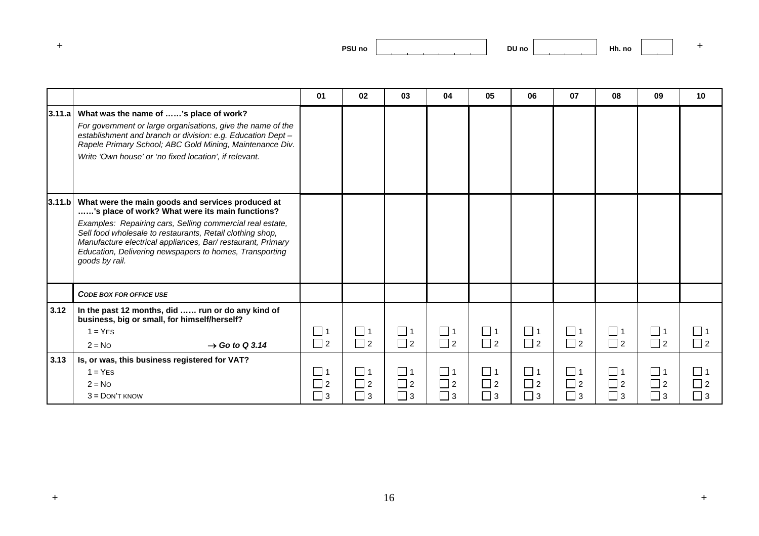| and the first process. |
|------------------------|
|                        |

|        |                                                                                                                                                                                                                                                                                                                                                                           | 01                               | 02                         | 03                              | 04                               | 05                                                 | 06                               | 07                          | 08                                  | 09                          | 10                                  |
|--------|---------------------------------------------------------------------------------------------------------------------------------------------------------------------------------------------------------------------------------------------------------------------------------------------------------------------------------------------------------------------------|----------------------------------|----------------------------|---------------------------------|----------------------------------|----------------------------------------------------|----------------------------------|-----------------------------|-------------------------------------|-----------------------------|-------------------------------------|
|        |                                                                                                                                                                                                                                                                                                                                                                           |                                  |                            |                                 |                                  |                                                    |                                  |                             |                                     |                             |                                     |
| 3.11.a | What was the name of 's place of work?<br>For government or large organisations, give the name of the<br>establishment and branch or division: e.g. Education Dept -<br>Rapele Primary School; ABC Gold Mining, Maintenance Div.<br>Write 'Own house' or 'no fixed location', if relevant.                                                                                |                                  |                            |                                 |                                  |                                                    |                                  |                             |                                     |                             |                                     |
| 3.11.b | What were the main goods and services produced at<br>'s place of work? What were its main functions?<br>Examples: Repairing cars, Selling commercial real estate,<br>Sell food wholesale to restaurants, Retail clothing shop,<br>Manufacture electrical appliances, Bar/restaurant, Primary<br>Education, Delivering newspapers to homes, Transporting<br>goods by rail. |                                  |                            |                                 |                                  |                                                    |                                  |                             |                                     |                             |                                     |
|        | <b>CODE BOX FOR OFFICE USE</b>                                                                                                                                                                                                                                                                                                                                            |                                  |                            |                                 |                                  |                                                    |                                  |                             |                                     |                             |                                     |
| 3.12   | In the past 12 months, did  run or do any kind of<br>business, big or small, for himself/herself?<br>$1 = YES$<br>$2 = No$<br>$\rightarrow$ Go to Q 3.14                                                                                                                                                                                                                  | $\Box$ 1<br>$\Box$ 2             | $\Box$ 1<br>$\Box$ 2       | $\Box$ 1<br>$\Box$ 2            | $\Box$ 1<br>$\Box$ 2             | $\Box$ 1<br>$\Box$ 2                               | $\Box$ 1<br>$\Box$ 2             | $\Box$ 1<br>$\Box$ 2        | $\Box$ 1<br>$\Box$ 2                | $\Box$ 1<br>$\Box$ 2        | $\Box$ 1<br>$\Box$ 2                |
| 3.13   | Is, or was, this business registered for VAT?                                                                                                                                                                                                                                                                                                                             |                                  |                            |                                 |                                  |                                                    |                                  |                             |                                     |                             |                                     |
|        | $1 = YES$<br>$2 = No$<br>$3 =$ DON'T KNOW                                                                                                                                                                                                                                                                                                                                 | 1 ⊔<br>$\Box$ 2<br>$\sqsupset$ 3 | $\Box$ 1<br>$\Box$ 2<br>ヿз | 1<br>$\square$ 2<br>$\square$ 3 | $\Box$ 1<br>$\Box$ 2<br>$\Box$ 3 | $\overline{\phantom{0}}$ 1<br>$\Box$ 2<br>$\Box$ 3 | $\Box$ 1<br>$\Box$ 2<br>$\Box$ 3 | □ 1<br>$\Box$ 2<br>$\Box$ 3 | $\square$ 1<br>$\Box$ 2<br>$\Box$ 3 | コ 1<br>$\Box$ 2<br>$\Box$ 3 | $\Box$ 1<br>$\square$ 2<br>$\Box$ 3 |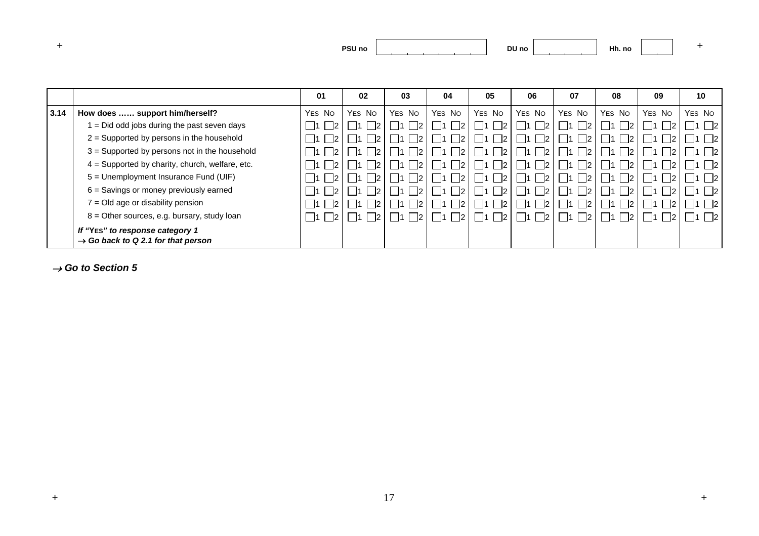| PSU no |  | DU no<br>$  -$ |  | шы<br>Hh. no |  |  |
|--------|--|----------------|--|--------------|--|--|
|--------|--|----------------|--|--------------|--|--|

|      |                                                                                   | 01                           | 02     | 03     | 04               | 05            | 06                      | 07                           | 08            | 09     | 10     |
|------|-----------------------------------------------------------------------------------|------------------------------|--------|--------|------------------|---------------|-------------------------|------------------------------|---------------|--------|--------|
| 3.14 | How does  support him/herself?                                                    | YES NO                       | YES NO | YES NO | YES NO           | YES NO        | YES NO                  | YES NO                       | YES NO        | YES NO | YES NO |
|      | = Did odd jobs during the past seven days                                         | $\overline{2}$<br>- 11       |        |        |                  |               |                         | $\vert$ 11                   |               |        |        |
|      | 2 = Supported by persons in the household                                         | $\overline{2}$<br>$\vert$ 11 |        |        | 2 <br>-11        | $\mathsf{I2}$ | $\vert$ 11<br> 2        | $\overline{2}$<br>$\vert$ 11 | $\mathsf{I2}$ |        | 2      |
|      | 3 = Supported by persons not in the household                                     | - 12<br>- 11                 |        |        | 2 <br>-11        | $\mathsf{I2}$ | $\vert$ 2<br>$\vert$ 11 | $\overline{2}$<br>- 11       | $\mathsf{I2}$ |        | 2      |
|      | $4 =$ Supported by charity, church, welfare, etc.                                 | $\overline{2}$<br>- 11       |        |        | 2 <br>$\vert$ 11 | $\vert$ 2     | $\vert$ 2<br>$\vert$ 11 | $\vert$ 2<br>$\overline{11}$ | 12            |        | 2      |
|      | 5 = Unemployment Insurance Fund (UIF)                                             | $\overline{2}$<br>- 11       |        |        | 2 <br>-11        | 12            | $\vert$ 2               | $\overline{2}$<br>$\vert$ 11 |               |        | 2      |
|      | 6 = Savings or money previously earned                                            | $\overline{2}$<br>- 11       |        |        | - 12             | 12            |                         | $\overline{2}$<br>$\vert$ 11 |               |        | 2      |
|      | 7 = Old age or disability pension                                                 | $\overline{2}$<br>$\vert$ 11 |        |        | $\vert$ 2        | -12           | - 11                    | $\overline{2}$<br>- 11       | 12            |        | 2      |
|      | $8 =$ Other sources, e.g. bursary, study loan                                     | $\vert$ 2<br>- 11            |        |        | 2                | l 12          |                         | $\overline{2}$<br>- 11       |               |        | 2      |
|      | If "YES" to response category 1<br>$\rightarrow$ Go back to Q 2.1 for that person |                              |        |        |                  |               |                         |                              |               |        |        |

→ *Go to Section 5*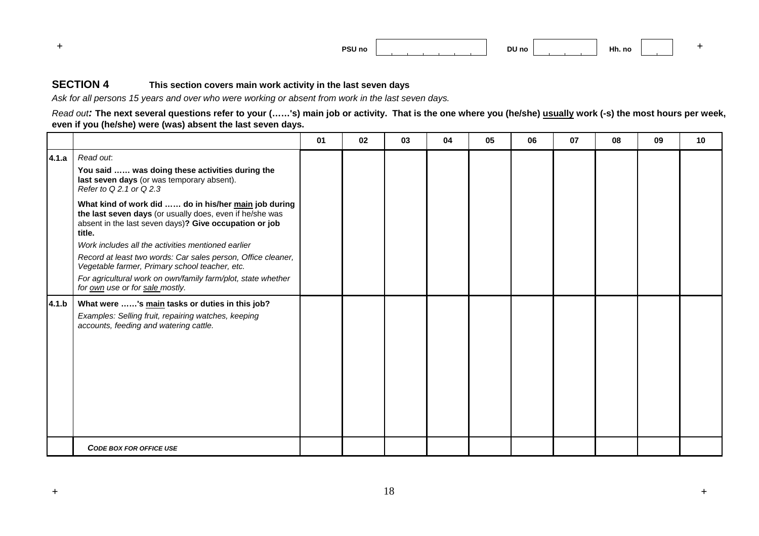|  | PSU no |  | DU no |  | 1 H.<br>Hh. no |  |  |
|--|--------|--|-------|--|----------------|--|--|
|--|--------|--|-------|--|----------------|--|--|

## **SECTION 4 This section covers main work activity in the last seven days**

*Ask for all persons 15 years and over who were working or absent from work in the last seven days.* 

*Read out:* **The next several questions refer to your (……'s) main job or activity. That is the one where you (he/she) usually work (-s) the most hours per week, even if you (he/she) were (was) absent the last seven days.**

|       |                                                                                                                                                                                               | 01 | 02 | 03 | 04 | 05 | 06 | 07 | 08 | 09 | 10 |
|-------|-----------------------------------------------------------------------------------------------------------------------------------------------------------------------------------------------|----|----|----|----|----|----|----|----|----|----|
| 4.1.a | Read out.<br>You said  was doing these activities during the<br>last seven days (or was temporary absent).<br>Refer to Q 2.1 or Q 2.3<br>What kind of work did  do in his/her main job during |    |    |    |    |    |    |    |    |    |    |
|       | the last seven days (or usually does, even if he/she was<br>absent in the last seven days)? Give occupation or job<br>title.<br>Work includes all the activities mentioned earlier            |    |    |    |    |    |    |    |    |    |    |
|       | Record at least two words: Car sales person, Office cleaner,<br>Vegetable farmer, Primary school teacher, etc.                                                                                |    |    |    |    |    |    |    |    |    |    |
|       | For agricultural work on own/family farm/plot, state whether<br>for own use or for sale mostly.                                                                                               |    |    |    |    |    |    |    |    |    |    |
| 4.1.b | What were 's main tasks or duties in this job?<br>Examples: Selling fruit, repairing watches, keeping<br>accounts, feeding and watering cattle.                                               |    |    |    |    |    |    |    |    |    |    |
|       | <b>CODE BOX FOR OFFICE USE</b>                                                                                                                                                                |    |    |    |    |    |    |    |    |    |    |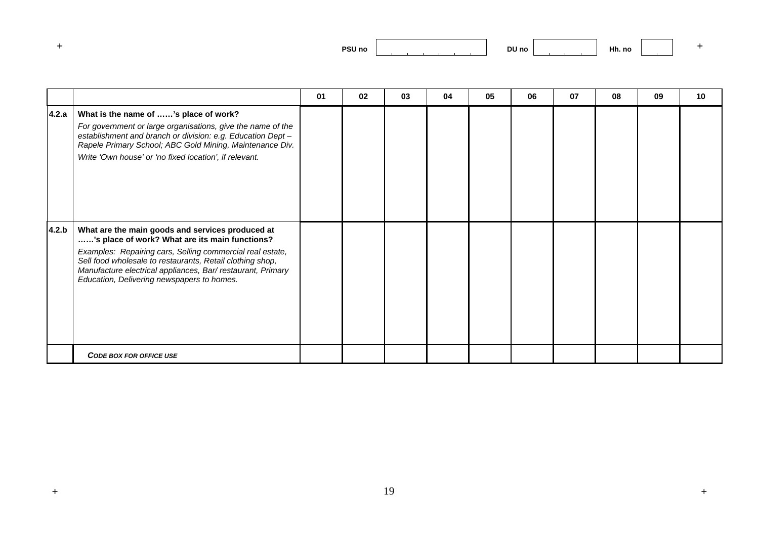| PSU no |  | DU no |  | L 11.<br>Hh. no |  |  |
|--------|--|-------|--|-----------------|--|--|
|--------|--|-------|--|-----------------|--|--|

|       |                                                                                                                                                                                                                                                                                                                                          | 01 | 02 | 03 | 04 | 05 | 06 | 07 | 08 | 09 | 10 |
|-------|------------------------------------------------------------------------------------------------------------------------------------------------------------------------------------------------------------------------------------------------------------------------------------------------------------------------------------------|----|----|----|----|----|----|----|----|----|----|
| 4.2.a | What is the name of 's place of work?<br>For government or large organisations, give the name of the<br>establishment and branch or division: e.g. Education Dept -<br>Rapele Primary School; ABC Gold Mining, Maintenance Div.<br>Write 'Own house' or 'no fixed location', if relevant.                                                |    |    |    |    |    |    |    |    |    |    |
| 4.2.b | What are the main goods and services produced at<br>'s place of work? What are its main functions?<br>Examples: Repairing cars, Selling commercial real estate,<br>Sell food wholesale to restaurants, Retail clothing shop,<br>Manufacture electrical appliances, Bar/restaurant, Primary<br>Education, Delivering newspapers to homes. |    |    |    |    |    |    |    |    |    |    |
|       | <b>CODE BOX FOR OFFICE USE</b>                                                                                                                                                                                                                                                                                                           |    |    |    |    |    |    |    |    |    |    |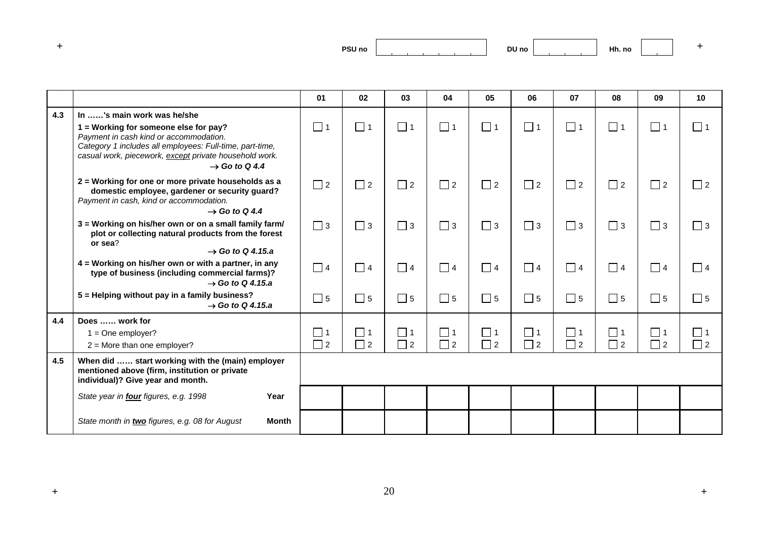| and the first process. | <b>PSU no</b> |
|------------------------|---------------|
|                        | ___           |

|     |                                                                                                                                                                                                                                    | 01       | 02       | 03       | 04       | 05       | 06       | 07       | 08       | 09       | 10          |
|-----|------------------------------------------------------------------------------------------------------------------------------------------------------------------------------------------------------------------------------------|----------|----------|----------|----------|----------|----------|----------|----------|----------|-------------|
| 4.3 | In 's main work was he/she                                                                                                                                                                                                         |          |          |          |          |          |          |          |          |          |             |
|     | 1 = Working for someone else for pay?<br>Payment in cash kind or accommodation.<br>Category 1 includes all employees: Full-time, part-time,<br>casual work, piecework, except private household work.<br>$\rightarrow$ Go to Q 4.4 | $\Box$ 1 | $\Box$ 1 | $\Box$ 1 | $\Box$ 1 | $\Box$ 1 | $\Box$ 1 | $\Box$ 1 | $\Box$ 1 | $\Box$ 1 | $\Box$ 1    |
|     | 2 = Working for one or more private households as a<br>domestic employee, gardener or security guard?<br>Payment in cash, kind or accommodation.<br>$\rightarrow$ Go to Q 4.4                                                      | $\Box$ 2 | $\Box$ 2 | $\Box$ 2 | $\Box$ 2 | $\Box$ 2 | $\Box$ 2 | $\Box$ 2 | $\Box$ 2 | $\Box$ 2 | $\Box$ 2    |
|     | 3 = Working on his/her own or on a small family farm/<br>plot or collecting natural products from the forest<br>or sea?<br>$\rightarrow$ Go to Q 4.15.a                                                                            | $\Box$ 3 | $\Box$ 3 | $\Box$ 3 | $\Box$ 3 | $\Box$ 3 | $\Box$ 3 | $\Box$ 3 | $\Box$ 3 | $\Box$ 3 | $\Box$ 3    |
|     | 4 = Working on his/her own or with a partner, in any<br>type of business (including commercial farms)?<br>$\rightarrow$ Go to Q 4.15.a                                                                                             | $\Box$ 4 | $\Box$ 4 | $\Box$ 4 | $\Box$ 4 | $\Box$ 4 | $\Box$ 4 | $\Box$ 4 | $\Box$ 4 | $\Box$ 4 | $\Box$ 4    |
|     | 5 = Helping without pay in a family business?<br>$\rightarrow$ Go to Q 4.15.a                                                                                                                                                      | $\Box$ 5 | $\Box$ 5 | $\Box$ 5 | $\Box$ 5 | $\Box$ 5 | $\Box$ 5 | $\Box$ 5 | $\Box$ 5 | $\Box$ 5 | $\square$ 5 |
| 4.4 | Does  work for                                                                                                                                                                                                                     |          |          |          |          |          |          |          |          |          |             |
|     | $1 = One$ employer?                                                                                                                                                                                                                | $\Box$ 1 | $\Box$ 1 | $\Box$ 1 | $\Box$ 1 | $\Box$ 1 | $\Box$ 1 | $\Box$ 1 | $\Box$ 1 | $\Box$ 1 | $\Box$ 1    |
|     | $2 =$ More than one employer?                                                                                                                                                                                                      | $\Box$ 2 | $\Box$ 2 | $\Box$ 2 | $\Box$ 2 | $\Box$ 2 | $\Box$ 2 | $\Box$ 2 | $\Box$ 2 | $\Box$ 2 | $\Box$ 2    |
| 4.5 | When did  start working with the (main) employer<br>mentioned above (firm, institution or private<br>individual)? Give year and month.                                                                                             |          |          |          |          |          |          |          |          |          |             |
|     | State year in four figures, e.g. 1998<br>Year                                                                                                                                                                                      |          |          |          |          |          |          |          |          |          |             |
|     | State month in two figures, e.g. 08 for August<br>Month                                                                                                                                                                            |          |          |          |          |          |          |          |          |          |             |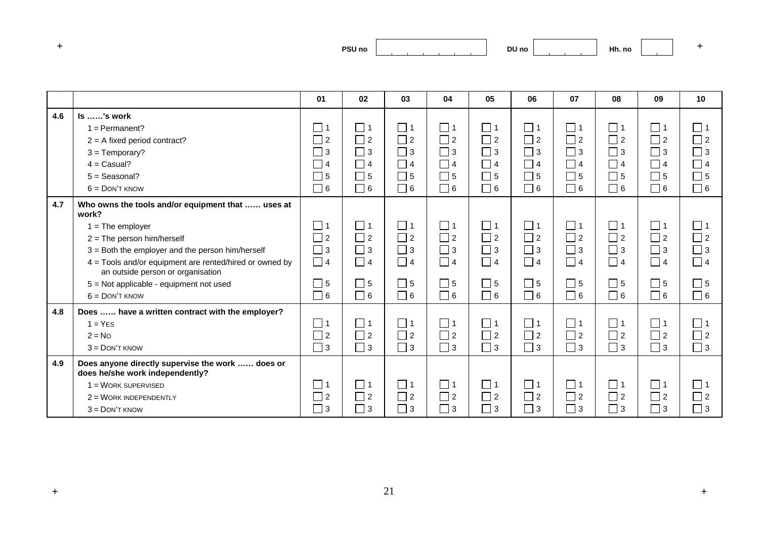| and the first process. | PSU <sub>no</sub><br>___ |
|------------------------|--------------------------|
|                        |                          |

|     |                                                                                              | 01          | 02          | 03       | 04          | 05       | 06       | 07          | 08          | 09          | 10          |
|-----|----------------------------------------------------------------------------------------------|-------------|-------------|----------|-------------|----------|----------|-------------|-------------|-------------|-------------|
| 4.6 | $ls$ 's work                                                                                 |             |             |          |             |          |          |             |             |             |             |
|     | $1 =$ Permanent?                                                                             | $\Box$ 1    | $\Box$ 1    | $\Box$ 1 | $\Box$ 1    | $\Box$ 1 | $\Box$ 1 | $\Box$ 1    | $\Box$ 1    | $\Box$ 1    | $\Box$ 1    |
|     | $2 = A$ fixed period contract?                                                               | $\Box$ 2    | $\Box$ 2    | $\Box$ 2 | $\Box$ 2    | $\Box$ 2 | $\Box$ 2 | $\Box$ 2    | $\Box$ 2    | $\Box$ 2    | $\Box$ 2    |
|     | $3 = Temporary?$                                                                             | $\Box$ 3    | $\Box$ 3    | $\Box$ 3 | $\Box$ 3    | $\Box$ 3 | $\Box$ 3 | $\Box$ 3    | $\Box$ 3    | $\Box$ 3    | $\Box$ 3    |
|     | $4 =$ Casual?                                                                                | $\Box$ 4    | $\Box$ 4    | $\Box$ 4 | $\Box$ 4    | $\Box$ 4 | $\Box$ 4 | $\Box$ 4    | $\Box$ 4    | $\Box$ 4    | $\Box$ 4    |
|     | $5 =$ Seasonal?                                                                              | $\Box$ 5    | $\Box$ 5    | $\Box$ 5 | $\Box$ 5    | $\Box$ 5 | $\Box$ 5 | $\Box$ 5    | $\square$ 5 | $\Box$ 5    | $\Box$ 5    |
|     | $6 =$ DON'T KNOW                                                                             | $\Box$ 6    | $\Box$ 6    | $\Box$ 6 | $\Box$ 6    | $\Box$ 6 | $\Box$ 6 | $\Box$ 6    | $\Box$ 6    | $\Box$ 6    | $\Box$ 6    |
| 4.7 | Who owns the tools and/or equipment that  uses at<br>work?                                   |             |             |          |             |          |          |             |             |             |             |
|     | $1 =$ The employer                                                                           | $\Box$ 1    | $\Box$ 1    | 1        | $\Box$ 1    | $\Box$ 1 | $\Box$ 1 | $\Box$ 1    | $\square$ 1 | $\vert$ 1   | $\Box$ 1    |
|     | $2 =$ The person him/herself                                                                 | $\Box$ 2    | $\Box$ 2    | $\Box$ 2 | $\Box$ 2    | $\Box$ 2 | $\Box$ 2 | $\Box$ 2    | $\Box$ 2    | $\Box$ 2    | $\Box$ 2    |
|     | $3 =$ Both the employer and the person him/herself                                           | $\Box$ 3    | $\Box$ 3    | $\Box$ 3 | $\Box$ 3    | $\Box$ 3 | $\Box$ 3 | $\Box$ 3    | $\Box$ 3    | $\square$ 3 | $\Box$ 3    |
|     | 4 = Tools and/or equipment are rented/hired or owned by<br>an outside person or organisation | $\Box$ 4    | $\Box$ 4    | $\Box$ 4 | $\Box$ 4    | $\Box$ 4 | $\Box$ 4 | $\Box$ 4    | $\Box$ 4    | $\Box$ 4    | $\Box$ 4    |
|     | 5 = Not applicable - equipment not used                                                      | $\square$ 5 | $\Box$ 5    | $\Box$ 5 | $\square$ 5 | $\Box$ 5 | $\Box$ 5 | $\Box$ 5    | $\Box$ 5    | $\Box$ 5    | $\square$ 5 |
|     | $6 =$ DON'T KNOW                                                                             | $\Box$ 6    | $\Box$ 6    | $\Box$ 6 | $\Box$ 6    | $\Box$ 6 | $\Box$ 6 | $\Box$ 6    | $\Box$ 6    | $\Box$ 6    | $\Box$ 6    |
| 4.8 | Does  have a written contract with the employer?                                             |             |             |          |             |          |          |             |             |             |             |
|     | $1 = YES$                                                                                    | $\Box$ 1    | $\Box$ 1    | $\Box$ 1 | $\Box$ 1    | $\Box$ 1 | $\Box$ 1 | $\Box$ 1    | $\Box$ 1    | $\Box$ 1    | $\square$ 1 |
|     | $2 = No$                                                                                     | $\Box$ 2    | $\Box$ 2    | $\Box$ 2 | $\Box$ 2    | $\Box$ 2 | $\Box$ 2 | $\Box$ 2    | $\Box$ 2    | $\Box$ 2    | $\Box$ 2    |
|     | $3 =$ DON'T KNOW                                                                             | $\Box$ 3    | $\Box$ 3    | $\Box$ 3 | $\Box$ 3    | $\Box$ 3 | $\Box$ 3 | $\Box$ 3    | $\Box$ 3    | $\Box$ 3    | $\Box$ 3    |
| 4.9 | Does anyone directly supervise the work  does or<br>does he/she work independently?          |             |             |          |             |          |          |             |             |             |             |
|     | $1 = \text{WORK SUPERVISED}$                                                                 | $\Box$ 1    | $\square$ 1 | $\Box$ 1 | $\Box$ 1    | $\Box$ 1 | $\Box$ 1 | $\square$ 1 | $\square$ 1 | $\Box$ 1    | $\Box$ 1    |
|     | $2 = \text{WORK INDEPENDENTLY}$                                                              | $\Box$ 2    | $\Box$ 2    | $\Box$ 2 | $\Box$ 2    | $\Box$ 2 | $\Box$ 2 | $\Box$ 2    | $\Box$ 2    | $\Box$ 2    | $\Box$ 2    |
|     | $3 =$ DON'T KNOW                                                                             | $\Box$ 3    | $\Box$ 3    | $\Box$ 3 | $\Box$ 3    | $\Box$ 3 | $\Box$ 3 | $\Box$ 3    | $\Box$ 3    | $\Box$ 3    | $\Box$ 3    |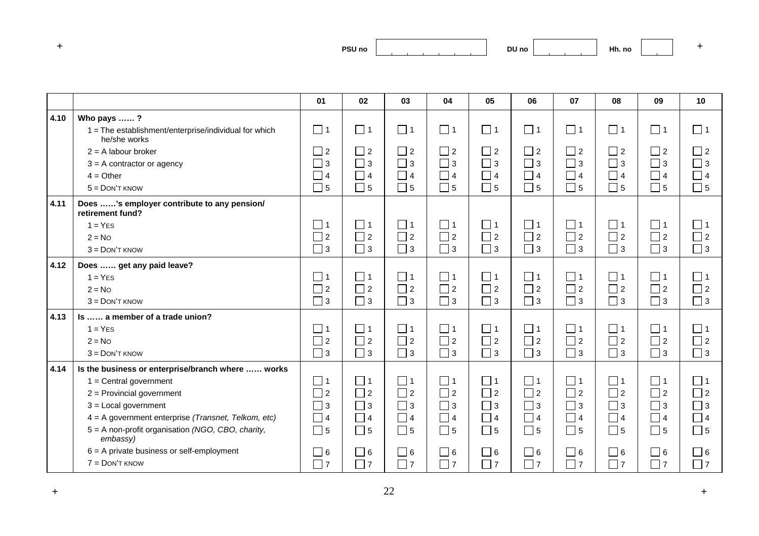**DU no Hh. no <sup>+</sup>**

|      |                                                                       | 01       | 02       | 03             | 04       | 05       | 06                         | 07          | 08       | 09                               | 10       |
|------|-----------------------------------------------------------------------|----------|----------|----------------|----------|----------|----------------------------|-------------|----------|----------------------------------|----------|
| 4.10 | Who pays ?                                                            |          |          |                |          |          |                            |             |          |                                  |          |
|      | 1 = The establishment/enterprise/individual for which<br>he/she works | $\Box$ 1 | $\Box$ 1 | $\Box$ 1       | $\Box$ 1 | $\Box$ 1 | $\Box$ 1                   | $\square$ 1 | $\Box$ 1 | $\Box$ 1                         | $\Box$ 1 |
|      | $2 = A$ labour broker                                                 | $\Box$ 2 | $\Box$ 2 | $\Box$ 2       | $\Box$ 2 | $\Box$ 2 | $\sqsupset$ 2              | $\Box$ 2    | $\Box$ 2 | $\Box$ 2                         | $\Box$ 2 |
|      | $3 = A$ contractor or agency                                          | $\Box$ 3 | $\Box$ 3 | $\Box$ 3       | $\Box$ 3 | $\Box$ 3 | $\Box$ 3                   | $\Box$<br>3 | $\Box$ 3 | $\Box$ 3                         | $\Box$ 3 |
|      | $4 = Other$                                                           | $\Box$ 4 | $\Box$ 4 | $\Box$ 4       | $\Box$ 4 | $\Box$ 4 | $\Box$ 4                   | $\Box$ 4    | $\Box$ 4 | $\Box$ 4                         | $\Box$ 4 |
|      | $5 =$ DON'T KNOW                                                      | $\Box$ 5 | $\Box$ 5 | $\Box$ 5       | $\Box$ 5 | $\Box$ 5 | $\Box$ 5                   | $\Box$ 5    | $\Box$ 5 | $\Box$ 5                         | $\Box$ 5 |
| 4.11 | Does 's employer contribute to any pension/<br>retirement fund?       |          |          |                |          |          |                            |             |          |                                  |          |
|      | $1 = YES$                                                             | $\Box$ 1 | $\Box$ 1 | $\Box$ 1       | $\Box$ 1 | $\Box$ 1 | □ 1                        | $\Box$ 1    | $\Box$ 1 | $\Box$ 1                         | $\Box$ 1 |
|      | $2 = No$                                                              | $\Box$ 2 | $\Box$ 2 | $\Box$ 2       | $\Box$ 2 | $\Box$ 2 | $\Box$ 2                   | $\Box$ 2    | $\Box$ 2 | $\Box$ 2                         | $\Box$ 2 |
|      | $3 =$ DON'T KNOW                                                      | $\Box$ 3 | $\Box$ 3 | $\Box$ 3       | $\Box$ 3 | $\Box$ 3 | $\Box$ 3                   | $\Box$ 3    | $\Box$ 3 | $\Box$ 3                         | $\Box$ 3 |
| 4.12 | Does  get any paid leave?                                             |          |          |                |          |          |                            |             |          |                                  |          |
|      | $1 = YES$                                                             | $\Box$ 1 | $\Box$ 1 | $\Box$ 1       | $\Box$ 1 | $\Box$ 1 | $\Box$ 1                   | $\Box$ 1    | $\Box$ 1 | $\Box$ 1                         | $\Box$ 1 |
|      | $2 = No$                                                              | $\Box$ 2 | $\Box$ 2 | $\Box$ 2       | $\Box$ 2 | $\Box$ 2 | $\Box$ 2                   | $\Box$ 2    | $\Box$ 2 | $\Box$ 2                         | $\Box$ 2 |
|      | $3 =$ DON'T KNOW                                                      | $\Box$ 3 | $\Box$ 3 | $\Box$ 3       | $\Box$ 3 | $\Box$ 3 | $\Box$ 3                   | $\Box$ 3    | $\Box$ 3 | $\Box$ 3                         | $\Box$ 3 |
| 4.13 | Is  a member of a trade union?                                        |          |          |                |          |          |                            |             |          |                                  |          |
|      | $1 = YES$                                                             | $\Box$ 1 | $\Box$ 1 | $\Box$ 1       | $\Box$ 1 | $\Box$ 1 | $\Box$ 1                   | $\Box$ 1    | $\Box$ 1 | $\Box$ 1                         | $\Box$ 1 |
|      | $2 = No$                                                              | $\Box$ 2 | $\Box$ 2 | $\Box$ 2       | $\Box$ 2 | $\Box$ 2 | $\overline{\phantom{a}}$ 2 | $\Box$ 2    | $\Box$ 2 | $\Box$ 2                         | $\Box$ 2 |
|      | $3 =$ DON'T KNOW                                                      | $\Box$ 3 | $\Box$ 3 | $\Box$ 3       | $\Box$ 3 | $\Box$ 3 | $\Box$ 3                   | $\Box$ 3    | $\Box$ 3 | $\Box$ 3                         | $\Box$ 3 |
| 4.14 | Is the business or enterprise/branch where  works                     |          |          |                |          |          |                            |             |          |                                  |          |
|      | $1 =$ Central government                                              | $\Box$ 1 | $\Box$ 1 | $\Box$ 1       | $\Box$ 1 | $\Box$ 1 | $\Box$ 1                   | $\Box$ 1    | $\Box$ 1 | $\Box$ 1                         | $\Box$ 1 |
|      | $2$ = Provincial government                                           | $\Box$ 2 | $\Box$ 2 | $\Box$ 2       | $\Box$ 2 | $\Box$ 2 | $\Box$ 2                   | $\Box$ 2    | $\Box$ 2 | $\Box$ 2                         | $\Box$ 2 |
|      | $3 =$ Local government                                                | $\Box$ 3 | $\Box$ 3 | $\sqsupset$ 3  | $\Box$ 3 | $\Box$ 3 | $\sqsupset$ 3              | $\Box$ 3    | $\Box$ 3 | $\sqsupset$ 3                    | $\Box$ 3 |
|      | 4 = A government enterprise (Transnet, Telkom, etc)                   | $\Box$ 4 | $\Box$ 4 | $\overline{4}$ | $\Box$ 4 | $\Box$ 4 | $\vert$ 4                  | $\Box$ 4    | $\Box$ 4 | $\blacksquare$<br>$\overline{4}$ | $\Box$ 4 |
|      | 5 = A non-profit organisation (NGO, CBO, charity,<br>embassy)         | $\Box$ 5 | $\Box$ 5 | $\Box$ 5       | $\Box$ 5 | $\Box$ 5 | $\Box$ 5                   | $\Box$ 5    | $\Box$ 5 | $\square$ 5                      | $\Box$ 5 |
|      | $6 = A$ private business or self-employment                           | $\Box$ 6 | $\Box$ 6 | $\Box$ 6       | $\Box$ 6 | $\Box$ 6 | $\Box$ 6                   | $\Box$ 6    | $\Box$ 6 | $\Box$ 6                         | $\Box$ 6 |
|      | $7 =$ DON'T KNOW                                                      | $\Box$ 7 | $\Box$ 7 | $\Box$ 7       | $\Box$ 7 | $\Box$ 7 | $\sqsupset$ 7              | $\Box$ 7    | $\Box$ 7 | $\overline{\phantom{a}}$ 7       | $\Box$ 7 |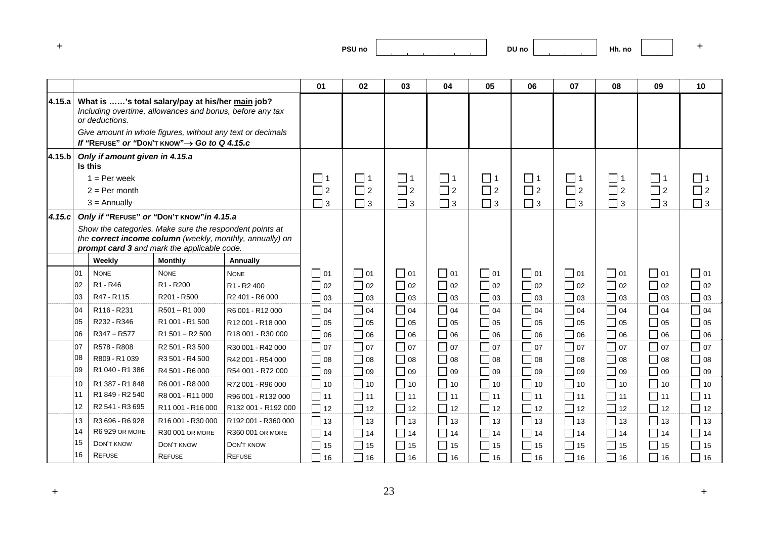|        |    |                                           |                                                                                                                                                                                                                                        |                                                          | 01          | 02             | 03                                | 04           | 05                          | 06             | 07                             | 08                | 09                          | 10                             |
|--------|----|-------------------------------------------|----------------------------------------------------------------------------------------------------------------------------------------------------------------------------------------------------------------------------------------|----------------------------------------------------------|-------------|----------------|-----------------------------------|--------------|-----------------------------|----------------|--------------------------------|-------------------|-----------------------------|--------------------------------|
| 4.15.a |    | or deductions.                            | What is 's total salary/pay at his/her main job?<br>Including overtime, allowances and bonus, before any tax<br>Give amount in whole figures, without any text or decimals<br>If "REFUSE" or "DON'T KNOW" $\rightarrow$ Go to Q 4.15.c |                                                          |             |                |                                   |              |                             |                |                                |                   |                             |                                |
| 4.15.b |    | Only if amount given in 4.15.a<br>Is this |                                                                                                                                                                                                                                        |                                                          |             |                |                                   |              |                             |                |                                |                   |                             |                                |
|        |    | $1 = Per week$                            |                                                                                                                                                                                                                                        |                                                          | $\Box$ 1    | $\Box$ 1       | $\Box$ 1                          | $\Box$ 1     | $\Box$ 1                    | $\Box$ 1       | $\Box$ 1                       | $\Box$ 1          | $\Box$ 1                    | $\mathsf{L}$                   |
|        |    | $2 = Per month$                           |                                                                                                                                                                                                                                        |                                                          | $\Box$ 2    | $\Box$ 2       | $\Box$ 2                          | $\Box$ 2     | $\Box$ 2                    | $\Box$ 2       | $\Box$ 2                       | $\Box$ 2          | $\Box$ 2                    | $\Box$ 2                       |
|        |    | $3 =$ Annually                            |                                                                                                                                                                                                                                        |                                                          | $\square$ 3 | $\Box$ 3       | $\Box$ 3                          | $\Box$ 3     | $\Box$ 3                    | $\Box$ 3       | $\Box$ 3                       | $\Box$ 3          | $\Box$ 3                    | $\Box$ 3                       |
| 4.15.c |    |                                           | Only if "REFUSE" or "DON'T KNOW" in 4.15.a                                                                                                                                                                                             |                                                          |             |                |                                   |              |                             |                |                                |                   |                             |                                |
|        |    |                                           | Show the categories. Make sure the respondent points at<br>prompt card 3 and mark the applicable code.                                                                                                                                 | the correct income column (weekly, monthly, annually) on |             |                |                                   |              |                             |                |                                |                   |                             |                                |
|        |    | Weekly                                    | <b>Monthly</b>                                                                                                                                                                                                                         | Annually                                                 |             |                |                                   |              |                             |                |                                |                   |                             |                                |
|        | 01 | <b>NONE</b>                               | <b>NONE</b>                                                                                                                                                                                                                            | <b>NONE</b>                                              | $\Box$ 01   | $\Box$ 01      | $\Box$ 01                         | $\Box$ 01    | $\Box$ 01                   | $\Box$ 01      | $\Box$ 01                      | $\square$ 01      | $\Box$ 01                   | $\Box$ 01                      |
|        | 02 | R <sub>1</sub> - R <sub>46</sub>          | R <sub>1</sub> - R <sub>200</sub>                                                                                                                                                                                                      | R <sub>1</sub> - R <sub>2</sub> 400                      | $\Box$ 02   | $\bigcap$ 02   | $\Box$ 02                         | $\Box$ 02    | $\Box$ 02                   | $\Box$ 02      | $\Box$ 02                      | $\Box$ 02         | $\Box$ 02                   | 02                             |
|        | 03 | R47 - R115                                | R201 - R500                                                                                                                                                                                                                            | R2 401 - R6 000                                          | $\Box$ 03   | $\Box$ 03      | $\Box$ 03                         | $\Box$ 03    | $\Box$ 03                   | ┓<br>03        | ┌<br>  03                      | $\sqsupset$ 03    | $\Box$ 03                   | П<br>03                        |
|        | 04 | R116 - R231                               | $R501 - R1000$                                                                                                                                                                                                                         | R6 001 - R12 000                                         | $\Box$ 04   | 04             | $\Box$ 04                         | $\Box$ 04    | $\Box$ 04                   | $\Box$ 04      | $\Box$ 04                      | $\Box$ 04         | $\Box$ 04                   | $\Box$<br>04                   |
|        | 05 | R232 - R346                               | R1 001 - R1 500                                                                                                                                                                                                                        | R12 001 - R18 000                                        | $\Box$ 05   | $\bigcap$ 05   | $\Box$ 05                         | $\Box$ 05    | $\Box$ 05                   | $\Box$ 05      | $\overline{\phantom{a}}$<br>05 | $\Box$ 05         | $\Box$ 05                   | 05                             |
|        | 06 | $R347 = R577$                             | $R1 501 = R2 500$                                                                                                                                                                                                                      | R18 001 - R30 000                                        | $\Box$ 06   | $\Box$ 06      | $\Box$ 06                         | $\Box$ 06    | $\overline{\phantom{0}}$ 06 | $\Box$<br>06   | $\mathcal{L}$<br>  06          | $\sqcap$ 06       | $\Box$ 06                   | 06                             |
|        | 07 | R578 - R808                               | R <sub>2</sub> 501 - R <sub>3</sub> 500                                                                                                                                                                                                | R30 001 - R42 000                                        | $\Box$ 07   | $\sqsupset$ 07 | $\Box$ 07                         | $\Box$ 07    | $\Box$ 07                   | $\sqsupset$ 07 | $\Box$ 07                      | $\sqsupset$ 07    | $\Box$ 07                   | $\Box$<br>07                   |
|        | 08 | R809 - R1 039                             | R3 501 - R4 500                                                                                                                                                                                                                        | R42 001 - R54 000                                        | $\Box$ 08   | $\bigcap$ 08   | $\Box$ 08                         | $\Box$ 08    | $\Box$ 08                   | $\bigcap$ 08   | $\Box$<br>08                   | $\Box$ 08         | $\bigcap$ 08                | 08                             |
|        | 09 | R1040 - R1386                             | R4 501 - R6 000                                                                                                                                                                                                                        | R54 001 - R72 000                                        | $\Box$ 09   | $\bigcap$ 09   | $\Box$ 09                         | $\Box$ 09    | $\Box$ 09                   | $\bigcap$ 09   | $\Box$<br>  09                 | $\bigcap$ 09      | $\Box$ 09                   | $\Box$<br>09                   |
|        | 10 | R1 387 - R1 848                           | R6 001 - R8 000                                                                                                                                                                                                                        | R72 001 - R96 000                                        | $\Box$ 10   | $\bigcap$ 10   | $\Box$ 10                         | $\Box$ 10    | $\Box$ 10                   | $\Box$ 10      | $\Box$ 10                      | $\bigcap_1$ 10    | $\Box$ 10                   | $\overline{\phantom{a}}$<br>10 |
|        | 11 | R1 849 - R2 540                           | R8 001 - R11 000                                                                                                                                                                                                                       | R96 001 - R132 000                                       | $\Box$ 11   | $\bigcap$ 11   | $\Box$ 11                         | $\Box$ 11    | $\overline{1}$ 11           | $\Box$ 11      | $\Box$ 11                      | $\Box$ 11         | $\overline{1}$ 11           | Г<br>11                        |
|        | 12 | R2 541 - R3 695                           | R11 001 - R16 000                                                                                                                                                                                                                      | R132 001 - R192 000                                      | $\Box$ 12   | $\Box$ 12      | $\Box$ 12                         | 12           | $\Box$ 12                   | $\Box$ 12      | $\Box$ 12                      | $\overline{1}$ 12 | $\sqsupset$ 12              | Г<br>12                        |
|        | 13 | R3 696 - R6 928                           | R16 001 - R30 000                                                                                                                                                                                                                      | R192 001 - R360 000                                      | $\Box$ 13   | $\bigcap$ 13   | $\Box$ 13                         | $\Box$ 13    | 13                          | $\sqsupset$ 13 | 13                             | $\Box$ 13         | $\Box$ 13                   | $\Box$<br>13                   |
|        | 14 | R6929 OR MORE                             | R30 001 OR MORE                                                                                                                                                                                                                        | R360 001 OR MORE                                         | $\Box$ 14   | $\vert$ 14     | $\Box$ 14                         | $\Box$<br>14 | $\Box$ 14                   | 14             | $\Box$<br>14                   | $\Box$ 14         | $\Box$ 14                   | 14                             |
|        | 15 | DON'T KNOW                                | DON'T KNOW                                                                                                                                                                                                                             | DON'T KNOW                                               | $\Box$ 15   | $\Box$ 15      | $\overline{\phantom{0}}$<br>15    | 15           | $\Box$ 15                   | $\Box$ 15      | 15                             | $\Box$ 15         | $\overline{\phantom{1}}$ 15 | 15                             |
|        | 16 | <b>REFUSE</b>                             | <b>REFUSE</b>                                                                                                                                                                                                                          | <b>REFUSE</b>                                            | ┑<br>16     | ┓<br>16        | $\mathcal{L}_{\mathcal{A}}$<br>16 | Г<br>16      | $\overline{1}$ 16           | $\Box$<br>16   | 16                             | 16                | ┓<br>16                     | 16                             |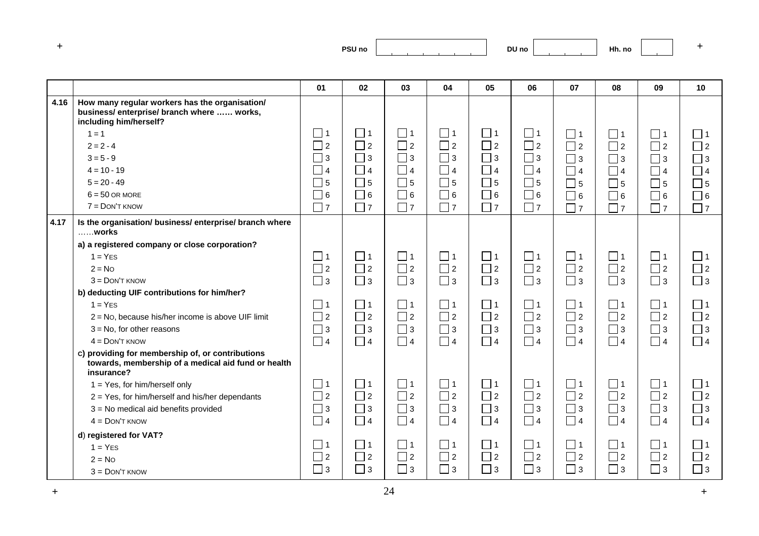|      |                                                                                                                       | 01       | 02         | 03       | 04       | 05            | 06          | 07          | 08       | 09       | 10          |
|------|-----------------------------------------------------------------------------------------------------------------------|----------|------------|----------|----------|---------------|-------------|-------------|----------|----------|-------------|
| 4.16 | How many regular workers has the organisation/<br>business/enterprise/branch where  works,<br>including him/herself?  |          |            |          |          |               |             |             |          |          |             |
|      | $1 = 1$                                                                                                               | □ 1      | $\sqcup$ 1 | $\Box$ 1 | $\Box$ 1 | □ 1           | $\Box$ 1    | $\Box$ 1    | $\Box$ 1 | $\Box$ 1 | $\Box$ 1    |
|      | $2 = 2 - 4$                                                                                                           | $\Box$ 2 | $\Box$ 2   | $\Box$ 2 | $\Box$ 2 | $\Box$ 2      | $\Box$ 2    | $\Box$ 2    | $\Box$ 2 | $\Box$ 2 | $\Box$ 2    |
|      | $3 = 5 - 9$                                                                                                           | $\Box$ 3 | $\Box$ 3   | $\Box$ 3 | $\Box$ 3 | $\square$ 3   | $\Box$ 3    | $\Box$ 3    | $\Box$ 3 | $\Box$ 3 | $\Box$ 3    |
|      | $4 = 10 - 19$                                                                                                         | 4        | $\Box$ 4   | $\Box$ 4 | $\Box$ 4 | $\Box$ 4      | $\Box$ 4    | $\Box$ 4    | $\Box$ 4 | $\Box$ 4 | $\Box$ 4    |
|      | $5 = 20 - 49$                                                                                                         | $\Box$ 5 | $\Box$ 5   | $\Box$ 5 | $\Box$ 5 | $\sqsupset$ 5 | $\Box$ 5    | $\square$ 5 | $\Box$ 5 | $\Box$ 5 | $\Box$ 5    |
|      | $6 = 50$ OR MORE                                                                                                      | $\Box$ 6 | $\Box$ 6   | $\Box$ 6 | $\Box$ 6 | $\Box$ 6      | $\square$ 6 | $\Box$ 6    | $\Box$ 6 | $\Box$ 6 | $\Box$ 6    |
|      | $7 =$ DON'T KNOW                                                                                                      | $\Box$ 7 | $\Box$ 7   | $\Box$ 7 | $\Box$ 7 | $\Box$ 7      | $\Box$ 7    | $\Box$ 7    | $\Box$ 7 | $\Box$ 7 | $\Box$ 7    |
| 4.17 | Is the organisation/ business/ enterprise/ branch where<br>works                                                      |          |            |          |          |               |             |             |          |          |             |
|      | a) a registered company or close corporation?                                                                         |          |            |          |          |               |             |             |          |          |             |
|      | $1 = YES$                                                                                                             | $\Box$ 1 | $\Box$ 1   | $\Box$ 1 | $\Box$ 1 | $\Box$ 1      | $\Box$ 1    | $\Box$ 1    | $\Box$ 1 | $\Box$ 1 | $\Box$ 1    |
|      | $2 = No$                                                                                                              | $\Box$ 2 | $\Box$ 2   | $\Box$ 2 | $\Box$ 2 | $\Box$ 2      | $\Box$ 2    | $\Box$ 2    | $\Box$ 2 | $\Box$ 2 | $\Box$ 2    |
|      | $3 =$ DON'T KNOW                                                                                                      | $\Box$ 3 | $\Box$ 3   | $\Box$ 3 | $\Box$ 3 | $\Box$ 3      | $\Box$ 3    | $\Box$ 3    | $\Box$ 3 | $\Box$ 3 | $\Box$ 3    |
|      | b) deducting UIF contributions for him/her?                                                                           |          |            |          |          |               |             |             |          |          |             |
|      | $1 = YES$                                                                                                             | $\Box$ 1 | $\Box$ 1   | $\Box$ 1 | $\Box$ 1 | $\Box$ 1      | $\Box$ 1    | $\square$ 1 | $\Box$ 1 | $\Box$ 1 | $\square$ 1 |
|      | 2 = No, because his/her income is above UIF limit                                                                     | $\Box$ 2 | $\Box$ 2   | $\Box$ 2 | $\Box$ 2 | $\Box$ 2      | $\Box$ 2    | $\Box$ 2    | $\Box$ 2 | $\Box$ 2 | $\Box$ 2    |
|      | $3 = No$ , for other reasons                                                                                          | $\Box$ 3 | $\Box$ 3   | $\Box$ 3 | $\Box$ 3 | $\Box$ 3      | $\Box$ 3    | $\Box$ 3    | $\Box$ 3 | $\Box$ 3 | $\Box$ 3    |
|      | $4 =$ DON'T KNOW                                                                                                      | $\Box$ 4 | $\Box$ 4   | $\Box$ 4 | $\Box$ 4 | $\Box$ 4      | $\Box$ 4    | $\Box$ 4    | $\Box$ 4 | $\Box$ 4 | $\Box$ 4    |
|      | c) providing for membership of, or contributions<br>towards, membership of a medical aid fund or health<br>insurance? |          |            |          |          |               |             |             |          |          |             |
|      | 1 = Yes, for him/herself only                                                                                         | $\Box$ 1 | $\Box$ 1   | $\Box$ 1 | $\Box$ 1 | $\Box$ 1      | $\Box$ 1    | $\Box$ 1    | $\Box$ 1 | $\Box$ 1 | $\Box$ 1    |
|      | 2 = Yes, for him/herself and his/her dependants                                                                       | $\Box$ 2 | $\Box$ 2   | $\Box$ 2 | $\Box$ 2 | $\Box$ 2      | $\Box$ 2    | $\Box$ 2    | $\Box$ 2 | $\Box$ 2 | $\Box$ 2    |
|      | 3 = No medical aid benefits provided                                                                                  | $\Box$ 3 | $\Box$ 3   | $\Box$ 3 | $\Box$ 3 | $\Box$ 3      | $\Box$ 3    | $\Box$ 3    | $\Box$ 3 | $\Box$ 3 | $\Box$ 3    |
|      | $4 =$ DON'T KNOW                                                                                                      | $\Box$ 4 | $\Box$ 4   | $\Box$ 4 | $\Box$ 4 | $\Box$ 4      | $\Box$ 4    | $\Box$ 4    | $\Box$ 4 | $\Box$ 4 | $\Box$ 4    |
|      | d) registered for VAT?                                                                                                |          |            |          |          |               |             |             |          |          |             |
|      | $1 = YES$                                                                                                             | $\Box$ 1 | $\Box$ 1   | $\Box$ 1 | $\Box$ 1 | $\Box$ 1      | $\Box$ 1    | $\square$ 1 | $\Box$ 1 | $\Box$ 1 | $\Box$ 1    |
|      | $2 = No$                                                                                                              | $\Box$ 2 | $\Box$ 2   | $\Box$ 2 | $\Box$ 2 | $\Box$ 2      | $\Box$ 2    | $\Box$ 2    | $\Box$ 2 | $\Box$ 2 | $\Box$ 2    |
|      | $3 =$ DON'T KNOW                                                                                                      | $\Box$ 3 | $\Box$ 3   | $\Box$ 3 | $\Box$ 3 | $\Box$ 3      | $\Box$ 3    | $\Box$ 3    | $\Box$ 3 | $\Box$ 3 | $\Box$ 3    |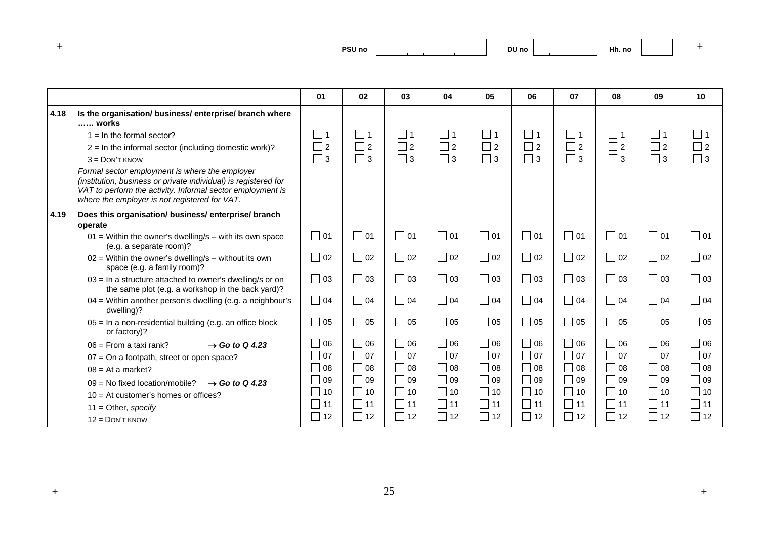|      |                                                                                                                                                                                                                                                                                                                                                                                                                                      | 01                               | 02                               | 03                        | 04                               | 05                               | 06                               | 07                               | 08                               | 09                               | 10                                                 |
|------|--------------------------------------------------------------------------------------------------------------------------------------------------------------------------------------------------------------------------------------------------------------------------------------------------------------------------------------------------------------------------------------------------------------------------------------|----------------------------------|----------------------------------|---------------------------|----------------------------------|----------------------------------|----------------------------------|----------------------------------|----------------------------------|----------------------------------|----------------------------------------------------|
| 4.18 | Is the organisation/ business/ enterprise/ branch where<br>works<br>$1 = \ln \text{ the formal sector?}$<br>$2 = \ln \text{ the informal sector}$ (including domestic work)?<br>$3 =$ DON'T KNOW<br>Formal sector employment is where the employer<br>(institution, business or private individual) is registered for<br>VAT to perform the activity. Informal sector employment is<br>where the employer is not registered for VAT. | $\Box$ 1<br>$\Box$ 2<br>$\Box$ 3 | $\Box$ 1<br>$\Box$ 2<br>$\Box$ 3 | 1<br>$\Box$ 2<br>$\Box$ 3 | $\Box$ 1<br>$\Box$ 2<br>$\Box$ 3 | $\Box$ 1<br>$\Box$ 2<br>$\Box$ 3 | $\Box$ 1<br>$\Box$ 2<br>$\Box$ 3 | $\Box$ 1<br>$\Box$ 2<br>$\Box$ 3 | $\Box$ 1<br>$\Box$ 2<br>$\Box$ 3 | $\Box$ 1<br>$\Box$ 2<br>$\Box$ 3 | $\Box$ 1<br>$\overline{\phantom{a}}$ 2<br>$\Box$ 3 |
| 4.19 | Does this organisation/ business/ enterprise/ branch<br>operate                                                                                                                                                                                                                                                                                                                                                                      |                                  |                                  |                           |                                  |                                  |                                  |                                  |                                  |                                  |                                                    |
|      | $01$ = Within the owner's dwelling/s – with its own space<br>(e.g. a separate room)?                                                                                                                                                                                                                                                                                                                                                 | $\Box$ 01                        | $\Box$ 01                        | $\square$ 01              | $\Box$ 01                        | $\Box$ 01                        | $\Box$ 01                        | $\Box$ 01                        | $\Box$ 01                        | $\Box$ 01                        | $\Box$ 01                                          |
|      | $02$ = Within the owner's dwelling/s – without its own<br>space (e.g. a family room)?                                                                                                                                                                                                                                                                                                                                                | $\Box$ 02                        | $\Box$ 02                        | $\Box$ 02                 | $\Box$ 02                        | $\Box$ 02                        | $\Box$ 02                        | $\Box$ 02                        | $\Box$ 02                        | $\Box$ 02                        | $\Box$ 02                                          |
|      | $03$ = In a structure attached to owner's dwelling/s or on<br>the same plot (e.g. a workshop in the back yard)?                                                                                                                                                                                                                                                                                                                      | $\Box$ 03                        | $\square$ 03                     | $\Box$ 03                 | $\Box$ 03                        | $\Box$ 03                        | $\Box$ 03                        | $\Box$ 03                        | $\Box$ 03                        | $\Box$ 03                        | $\Box$ 03                                          |
|      | 04 = Within another person's dwelling (e.g. a neighbour's<br>dwelling)?                                                                                                                                                                                                                                                                                                                                                              | $\Box$ 04                        | $\Box$ 04                        | $\Box$ 04                 | $\Box$ 04                        | $\Box$ 04                        | $\Box$ 04                        | $\Box$ 04                        | $\Box$ 04                        | $\Box$ 04                        | $\Box$ 04                                          |
|      | 05 = In a non-residential building (e.g. an office block<br>or factory)?                                                                                                                                                                                                                                                                                                                                                             | $\Box$ 05                        | $\Box$ 05                        | $\Box$ 05                 | $\Box$ 05                        | $\Box$ 05                        | $\Box$ 05                        | 05<br>$\Box$                     | $\Box$ 05                        | $\Box$ 05                        | $\Box$ 05                                          |
|      | $06$ = From a taxi rank?<br>$\rightarrow$ Go to Q 4.23                                                                                                                                                                                                                                                                                                                                                                               | $\Box$ 06                        | $\Box$ 06                        | $\Box$ 06                 | $\Box$ 06                        | $\Box$ 06                        | $\Box$ 06                        | $\Box$ 06                        | $\Box$ 06                        | $\Box$ 06                        | $\Box$ 06                                          |
|      | 07 = On a footpath, street or open space?                                                                                                                                                                                                                                                                                                                                                                                            | $\Box$ 07                        | $\Box$ 07                        | $\Box$ 07                 | $\Box$ 07                        | $\Box$ 07                        | $\Box$ 07                        | $\Box$<br>07                     | $\Box$ 07                        | $\Box$ 07                        | $\Box$ 07                                          |
|      | $08 = At a market?$                                                                                                                                                                                                                                                                                                                                                                                                                  | $\mathbf{I}$<br>08               | $\Box$ 08                        | $\bigcap$ 08              | $\overline{\phantom{a}}$<br>l 08 | $\Box$ 08                        | $\Box$ 08                        | $\mathbb{R}^n$<br> 08            | $\Box$ 08                        | $\Box$ 08                        | $\sim$<br>  08                                     |
|      | $09 = No$ fixed location/mobile?<br>$\rightarrow$ Go to Q 4.23                                                                                                                                                                                                                                                                                                                                                                       | 09<br>$\mathsf{L}$               | $\Box$ 09                        | $\bigcap$ 09              | $\Box$ 09                        | $\Box$ 09                        | $\Box$ 09                        | $\Box$<br>09                     | $\Box$ 09                        | $\Box$ 09                        | $ 09\rangle$                                       |
|      | $10 = At customer's homes or offices?$                                                                                                                                                                                                                                                                                                                                                                                               | $\Box$<br>10                     | $\Box$ 10                        | $\Box$ 10                 | $\Box$ 10                        | $\Box$ 10                        | $\Box$ 10                        | $\Box$<br>10                     | $\Box$ 10                        | $\Box$ 10                        | П<br>  10                                          |
|      | $11 =$ Other, specify                                                                                                                                                                                                                                                                                                                                                                                                                | $\Box$<br>11                     | $\Box$ 11                        | $\Box$ 11                 | $\Box$ 11                        | $\Box$ 11                        | $\Box$ 11                        | $\Box$ 11                        | $\Box$ 11                        | $\Box$ 11                        | П<br>11                                            |
|      | $12 =$ DON'T KNOW                                                                                                                                                                                                                                                                                                                                                                                                                    | $\Box$<br>12                     | $\Box$ 12                        | $\Box$ 12                 | $\Box$ 12                        | $\Box$ 12                        | $\Box$ 12                        | $\Box$<br>12                     | $\Box$ 12                        | $\Box$ 12                        | 12                                                 |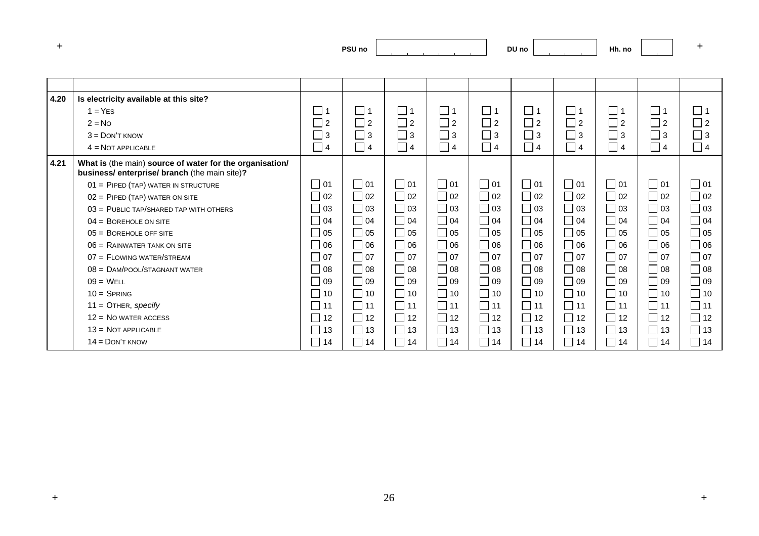| and the first process. |                   |
|------------------------|-------------------|
|                        | PSU <sub>no</sub> |
|                        |                   |

| 4.20 | Is electricity available at this site?                                                                  |           |             |                             |                            |           |                   |           |                             |             |           |
|------|---------------------------------------------------------------------------------------------------------|-----------|-------------|-----------------------------|----------------------------|-----------|-------------------|-----------|-----------------------------|-------------|-----------|
|      | $1 = YES$                                                                                               | _  1      | $\Box$ 1    | $\Box$ 1                    | $\Box$ 1                   | $\Box$ 1  | $\Box$ 1          | $\Box$ 1  | $\Box$ 1                    | $\square$ 1 | $\Box$ 1  |
|      | $2 = No$                                                                                                | $\Box$ 2  | $\Box$ 2    | $\Box$ 2                    | $\Box$ 2                   | $\Box$ 2  | $\Box$ 2          | $\Box$ 2  | $\sqsupset$ 2               | $\Box$ 2    | $\Box$ 2  |
|      | $3 =$ DON'T KNOW                                                                                        | $\Box$ 3  | $\square$ 3 | $\square$ 3                 | $\Box$ 3                   | $\Box$ 3  | $\Box$ 3          | $\Box$ 3  | $\Box$ 3                    | $\square$ 3 | $\Box$ 3  |
|      | $4 = NOT APPLICABLE$                                                                                    | $\Box$ 4  | $\Box$ 4    | $\Box$ 4                    | $\overline{\phantom{0}}$ 4 | $\Box$ 4  | $\Box$ 4          | $\Box$ 4  | $\Box$ 4                    | $\Box$ 4    | $\Box$ 4  |
| 4.21 | What is (the main) source of water for the organisation/<br>business/enterprise/branch (the main site)? |           |             |                             |                            |           |                   |           |                             |             |           |
|      | 01 = PIPED (TAP) WATER IN STRUCTURE                                                                     | $\Box$ 01 | $\Box$ 01   | $\Box$ 01                   | $\square$ 01               | $\Box$ 01 | $\Box$ 01         | $\Box$ 01 | $\Box$ 01                   | $\Box$ 01   | $\Box$ 01 |
|      | $02 =$ PIPED (TAP) WATER ON SITE                                                                        | 02        | $\Box$ 02   | $\sqsupset$ 02              | $\Box$<br>02               | $\Box$ 02 | 02                | $\Box$ 02 | $\Box$ 02                   | $\Box$ 02   | $\Box$ 02 |
|      | $03 =$ PUBLIC TAP/SHARED TAP WITH OTHERS                                                                | 03        | $\Box$ 03   | $\sqsupset$ 03              | $\Box$<br>03               | $\Box$ 03 | l 03              | $\Box$ 03 | $\Box$ 03                   | $\Box$ 03   | $\Box$ 03 |
|      | $04 = BOREHOLE ON SITE$                                                                                 | 04        | $\Box$ 04   | $\Box$ 04                   | $\Box$ 04                  | $\Box$ 04 | 04                | $\Box$ 04 | $\sqrt{04}$                 | $\Box$ 04   | $\Box$ 04 |
|      | $05 = B$ OREHOLE OFF SITE                                                                               | 05        | $\Box$ 05   | $\Box$ 05                   | $\Box$<br>05               | $\Box$ 05 | 05                | $\Box$ 05 | $\Box$ 05                   | $\Box$ 05   | $\Box$ 05 |
|      | $06 =$ RAINWATER TANK ON SITE                                                                           | 06        | $\Box$ 06   | $\overline{\phantom{0}}$ 06 | $\Box$<br>l 06             | $\Box$ 06 | 06                | $\Box$ 06 | $\Box$ 06                   | $\Box$ 06   | $\Box$ 06 |
|      | 07 = FLOWING WATER/STREAM                                                                               | 07        | $\Box$ 07   | $\bigcap$ 07                | $\Box$<br>07               | $\Box$ 07 | $\sqcap$ 07       | $\Box$ 07 | $\Box$ 07                   | $\Box$ 07   | $\Box$ 07 |
|      | $08 =$ DAM/POOL/STAGNANT WATER                                                                          | 08        | $\Box$ 08   | $\bigcap$ 08                | $\Box$ 08                  | $\Box$ 08 | 08                | $\Box$ 08 | $\overline{\phantom{0}}$ 08 | $\Box$ 08   | $\Box$ 08 |
|      | $09 = WELL$                                                                                             | 09        | $\Box$ 09   | $\Box$ 09                   | П<br>09                    | $\Box$ 09 | 09                | $\Box$ 09 | $\Box$ 09                   | $\Box$ 09   | $\Box$ 09 |
|      | $10 =$ SPRING                                                                                           | 10        | $\Box$ 10   | $\Box$ 10                   | $\Box$<br>10               | $\Box$ 10 | $\Box$ 10         | $\Box$ 10 | $\vert$ 10                  | $\Box$ 10   | $\Box$ 10 |
|      | $11 =$ OTHER, specify                                                                                   | 11        | $\Box$ 11   | $\Box$ 11                   | $\Box$<br>11               | $\Box$ 11 | $\overline{1}$ 11 | $\Box$ 11 | $\Box$ 11                   | $\Box$ 11   | $\Box$ 11 |
|      | $12 = No$ water access                                                                                  | 12        | $\Box$ 12   | $\Box$ 12                   | $\Box$<br>12               | $\Box$ 12 | $\Box$ 12         | $\Box$ 12 | $\Box$ 12                   | $\Box$ 12   | $\Box$ 12 |
|      | $13 = NOT APPLICABLE$                                                                                   | 13        | $\Box$ 13   | $\Box$ 13                   | $\Box$<br>13               | $\Box$ 13 | 13                | $\Box$ 13 | $\vert$ 13                  | $\Box$ 13   | $\Box$ 13 |
|      | $14 =$ DON'T KNOW                                                                                       | 14        | $\Box$ 14   | $\overline{\phantom{0}}$ 14 | $\Box$<br>14               | $\Box$ 14 | 14                | $\Box$ 14 | $ $ 14                      | $\Box$ 14   | $\Box$ 14 |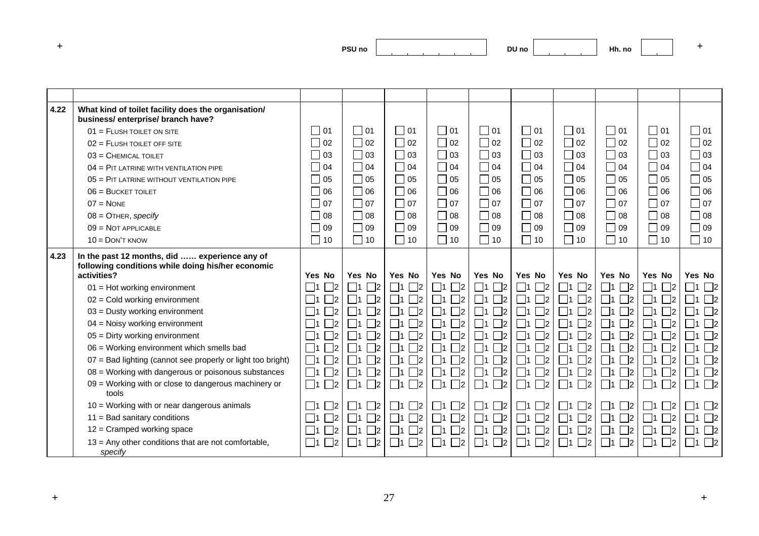| and the first process. |                   |
|------------------------|-------------------|
|                        | PSU <sub>no</sub> |
|                        |                   |

| 4.22 | What kind of toilet facility does the organisation/<br>business/enterprise/branch have?                           |                                  |                         |                            |                                  |                         |                            |                                              |                       |                              |                                 |
|------|-------------------------------------------------------------------------------------------------------------------|----------------------------------|-------------------------|----------------------------|----------------------------------|-------------------------|----------------------------|----------------------------------------------|-----------------------|------------------------------|---------------------------------|
|      | $01 =$ FLUSH TOILET ON SITE                                                                                       | $\Box$ 01                        | $\Box$ 01               | 01                         | $\Box$ 01                        | l 101                   | $\Box$ 01                  | $\Box$ 01                                    | $\Box$ 01             | $\Box$ 01                    | $\Box$ 01                       |
|      | $02 =$ FLUSH TOILET OFF SITE                                                                                      | 02                               | $\Box$ 02               | $\Box$ 02                  | $\Box$ 02                        | $\Box$ 02               | $\Box$ 02                  | $\Box$ 02                                    | $\Box$ 02             | $\Box$ 02                    | $\Box$ 02                       |
|      | $03 =$ CHEMICAL TOILET                                                                                            | 03                               | $\Box$ 03               | $\vert$ 03                 | $\Box$ 03                        | 03                      | $\Box$ 03                  | $\Box$ 03                                    | 103                   | $\Box$ 03                    | $\Box$ 03                       |
|      | $04 =$ PIT LATRINE WITH VENTILATION PIPE                                                                          | $\sim$<br>04                     | $\Box$ 04               | $\Box$ 04                  | $\Box$ 04                        | $\Box$ 04               | $\Box$ 04                  | $\Box$ 04                                    | $\Box$ 04             | $\Box$ 04                    | $\Box$ 04                       |
|      | $05 =$ PIT LATRINE WITHOUT VENTILATION PIPE                                                                       | 05<br>$\sim$                     | $\Box$ 05               | 05                         | $\Box$ 05                        | $\Box$ 05               | $\Box$ 05                  | $\Box$ 05                                    | $\Box$ 05             | $\Box$ 05                    | $\Box$ 05                       |
|      | $06 = BUCKET TOILET$                                                                                              | $\sim$<br>06                     | $\Box$ 06               | $\Box$ 06                  | $\Box$ 06                        | $\Box$ 06               | $\Box$ 06                  | $\Box$ 06                                    | $\Box$ 06             | $\Box$ 06                    | $\Box$ 06                       |
|      | $07 = \text{None}$                                                                                                | 07                               | $\Box$ 07               | 07                         | $\Box$ 07                        | $\Box$ 07               | $\Box$ 07                  | $\Box$ 07                                    | $\Box$ 07             | $\Box$ 07                    | $\Box$ 07                       |
|      | $08 =$ OTHER, specify                                                                                             | 08                               | $\Box$ 08               | ㄱ 08                       | $\Box$ 08                        | 08                      | $\Box$ 08                  | $\Box$ 08                                    | $\Box$ 08             | $\Box$ 08                    | $\Box$ 08                       |
|      | $09 = NOT APPLICABLE$                                                                                             | $\sim$<br>09                     | $\Box$ 09               | 90 ∏                       | $\Box$ 09                        | $\Box$ 09               | $\Box$ 09                  | $\Box$ 09                                    | $\Box$ 09             | $\Box$ 09                    | $\Box$ 09                       |
|      | $10 =$ DON'T KNOW                                                                                                 | $\mathsf{L}$<br>10               | $\Box$ 10               | $\vert$ 10                 | $\Box$ 10                        | $\Box$ 10               | $\Box$ 10                  | $\Box$ 10                                    | $\Box$ 10             | $\Box$ 10                    | $\Box$ 10                       |
| 4.23 | In the past 12 months, did  experience any of<br>following conditions while doing his/her economic<br>activities? | Yes No                           | Yes No                  | Yes No                     | Yes No                           | Yes No                  | Yes No                     | Yes No                                       | Yes No                | Yes No                       | Yes No                          |
|      | $01 =$ Hot working environment                                                                                    | $\mathbb{Z}^2$<br>$\Box$ 1       | $\Box$ 1<br>$\Box$ 2    | $\Box$ 1<br>$\Box$ 2       | $\mathbb{Z}^2$<br>$\mathsf{T}_1$ | $\Box$ 1<br>$\Box$ 2    | $\Box$ 1<br>$\Box$ 2       | $\Box$ 1<br>$\vert$ 12                       | $\Box$ 1<br>$\Box$ 2  | $\Box$ 2<br>- 11             | $\Box$ 2<br>$\Box$ 1            |
|      | $02 =$ Cold working environment                                                                                   | $\mathbb{Z}^2$<br>$\Box$ 1       | $\Box$ 1<br>$\Box$ 2    | $\Box$ 1<br>$\mathbb{Z}^2$ | $\mathbb{R}^2$<br>$\vert$ 1      | $\Box$ 1<br>$\Box$ 2    | $\Box$ 1<br>$\mathcal{L}$  | $\mathsf{T}_1$<br>$\overline{2}$             | $\Box$ 1<br>$\Box$ 2  | $\mathbin{\sqcap}$<br>- 11   | $\Box$ 2<br>$\blacksquare$ 1    |
|      | 03 = Dusty working environment                                                                                    | $\mathbb{Z}^2$<br>$\Box$ 1       | $\Box$ 2                | $\Box$ 1<br>$\mathbb{Z}^2$ | $\mathcal{a}_2$<br>- 11          | $\square$ 2             | $\mathbb{R}^2$<br>$\Box$ 1 | 1<br>$\overline{2}$                          | $\Box$ 2<br>$\Box$ 1  | $\mathbin{\sqcap}$           | $\square$ 2<br>$\vert$ 1        |
|      | 04 = Noisy working environment                                                                                    | $\mathbb{r}_1$<br>$\mathbb{Z}^2$ | $\Box$ 1<br>$\Box$ 2    | $\Box$ 1<br>$\mathbb{Z}^2$ | $\mathbb{R}^2$<br>□1             | $\Box$ 2                | $\Box$ 1<br>$\mathbb{r}_2$ | $\sqsupset$ 1<br>$\overline{2}$              | $\Box$ 1<br> 2        | $\mathbb{Z}^2$               | $\square$ 2<br>$\Box$ 1         |
|      | 05 = Dirty working environment                                                                                    | $\mathbin{\sqcap}_2$<br>  11     | $\Box$ 2                | $\Box$ 1<br>$\mathbb{Z}^2$ | $\mathbb{R}^2$                   | $\mathbb{I}^2$          | $\Box$ 1<br>$\mathbb{k}_2$ |                                              | $\Box$ 2              | 2                            | $\square$ 2                     |
|      | 06 = Working environment which smells bad                                                                         | $\mathbb{Z}^2$<br>$\Box$ 1       | $\Box$ 1<br>$\Box$ 2    | $\Box$ 1<br>$\Box$ 2       | $\mathbb{r}$<br>- 11             | $\Box$ 2<br>$\Box$ 1    | $\Box$ 1<br>$\mathbb{Z}^2$ | $\Box$ 1<br>$\overline{2}$                   | $\Box$ 1<br>$\Box$ 2  | 2                            | $\square$ 2<br>$\blacksquare$ 1 |
|      | 07 = Bad lighting (cannot see properly or light too bright)                                                       | $\mathbb{Z}^2$<br>$\Box$ 1       | $\Box$ 1<br>$\Box$ 2    | $\Box$ 1<br>$\mathbb{Z}^2$ | $\mathbb{R}^2$<br>- 11           | $\square$ 2<br>$\Box$ 1 | $\Box$ 1<br>$\mathbb{Z}^2$ | $\mathsf{T}_1$<br>$\overline{\phantom{0}}$ 2 | $\Box$ 1<br>$\Box$ 2  | $\Box$ 1<br>$\mathbb{r}_{2}$ | $\square$ 2<br>$\vert$ 1        |
|      | $08$ = Working with dangerous or poisonous substances                                                             | $\mathcal{L}_{2}$<br>$\Box$ 1    | $\Box$ 1<br>$\Box$ 2    | $\Box$ 1<br>$\mathbb{Z}^2$ | $\Box$ 2<br>- 11                 | $\Box$ 1<br>$\Box$ 2    | $\Box$ 1<br>$\mathsf{I}2$  | $\sqsupset$ 1<br>$\overline{2}$              | $\Box$ 1<br>$\Box$ 2  | $\mathbb{r}_{2}$<br>- 11     | $\square$ 2<br>$\Box$ 1         |
|      | 09 = Working with or close to dangerous machinery or<br>tools                                                     | $\mathbb{Z}^2$<br>$\Box$ 1       | $\Box$ 1<br>$\Box$ 2    | $\Box$ 1<br>$\Box$ 2       | $\mathbb{r}_{2}$<br>$\Box$ 1     | $\Box$ 2<br>$\square$ 1 | $\Box$ 1<br>$\square$ 2    | $\Box$ 1<br>$\Box$ 2                         | $\Box$ 1<br>$\Box$ 2  | $\Box$ 2<br>$\Box$ 1         | $\Box$ 2<br>$\Box$ 1            |
|      | $10 =$ Working with or near dangerous animals                                                                     | $\mathcal{L}_{2}$<br>  11        | $\Box$ 2<br>$\Box$ 1    | $\Box$ 1<br>$\Box$ 2       | $\mathbb{Z}^2$<br>- 11           | $\Box$ 2<br>$\Box$ 1    | $\Box$ 1<br>$\mathsf{I}_2$ | - 11<br>$\overline{2}$                       | $\Box$ 1<br>$\vert$ 2 | 2                            | $\Box$ 2<br>$\Box$ 1            |
|      | $11 =$ Bad sanitary conditions                                                                                    | $\mathbb{Z}^2$<br>$\Box$ 1       | $\Box$ 1<br>$\square$ 2 | $\Box$ 1<br>$\Box$ 2       | $\Box$ 2<br>- 11                 | $\Box$ 2<br>$\Box$ 1    | $\Box$ 2<br>$\Box$ 1       | $\Box$ 1<br>$\overline{2}$                   | $\Box$ 1<br>$\Box$ 2  | $\mathbb{Z}^2$               | $\Box$ 2<br>$\Box$ 1            |
|      | $12$ = Cramped working space                                                                                      | $\mathbb{Z}^2$<br>$\Box$ 1       | $\Box$ 1<br>$\Box$ 2    | $\Box$ 1<br>$\Box$ 2       | $\mathbb{R}^2$<br>- 11           | $\Box$ 1<br>$\Box$ 2    | $\Box$ 1<br>$\mathbb{Z}^2$ | $\Box$ 1<br>$\overline{2}$                   | $\Box$ 1<br>$\Box$ 2  | $\mathbb{R}^2$<br>- 11       | $\square$ 2<br>$\vert$ 1        |
|      | 13 = Any other conditions that are not comfortable,<br>specify                                                    | $\mathbin{\sqcap}$<br>$\Box$ 1   | $\Box$ 1<br>$\Box$ 2    | $\sqsupset$<br>$\Box$ 1    | $\mathbb{R}^2$<br>$\mathbb{k}$   | $\Box$ 2                | $\Box$ 1<br>$\mathbb{Z}^2$ | $\Box$ 1<br>$\overline{2}$                   | $\Box$ 1<br>$\Box$ 2  | $\mathbb{Z}^2$<br>$\Box$ 1   | $\Box$ 2<br>$\Box$ 1            |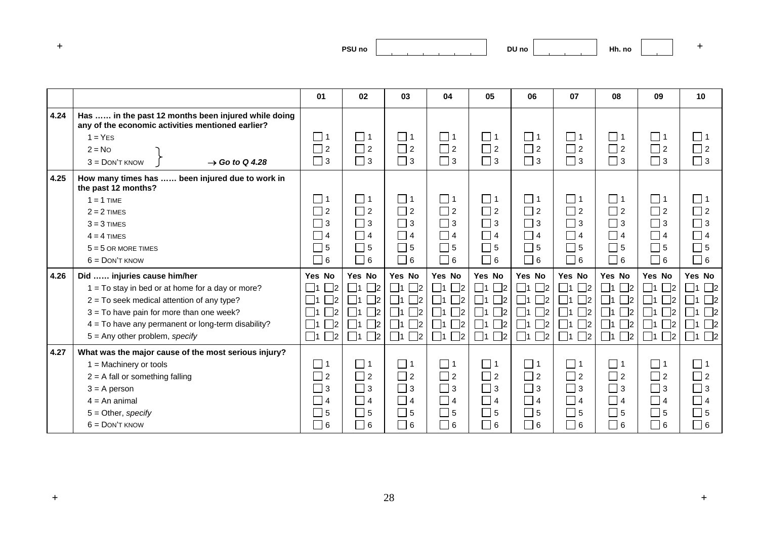| and the first process. | <b>PSU no</b><br>___ |
|------------------------|----------------------|
|------------------------|----------------------|

**DU no Hh. no <sup>+</sup>**

|      |                                                                                                          | 01                         | 02                         | 03                      | 04                         | 05                      | 06                   | 07                         | 08                   | 09                         | 10                   |
|------|----------------------------------------------------------------------------------------------------------|----------------------------|----------------------------|-------------------------|----------------------------|-------------------------|----------------------|----------------------------|----------------------|----------------------------|----------------------|
| 4.24 | Has  in the past 12 months been injured while doing<br>any of the economic activities mentioned earlier? |                            |                            |                         |                            |                         |                      |                            |                      |                            |                      |
|      | $1 = YES$                                                                                                | $\Box$ 1                   | $\Box$ 1                   | $\Box$ 1                | $\Box$ 1                   | $\Box$ 1                | $\Box$ 1             | $\Box$ 1                   | $\Box$ 1             | $\Box$ 1                   | $\Box$ 1             |
|      | $2 = No$                                                                                                 | $\Box$ 2                   | $\Box$ 2                   | $\Box$ 2                | $\Box$ 2                   | $\Box$ 2                | $\Box$ 2             | $\Box$ 2                   | $\Box$ 2             | $\Box$ 2                   | $\Box$ 2             |
|      | $3 =$ DON'T KNOW<br>$\rightarrow$ Go to Q 4.28                                                           | $\square$ 3                | $\Box$ 3                   | $\Box$ 3                | $\Box$ 3                   | $\Box$ 3                | $\Box$ 3             | $\Box$ 3                   | $\Box$ 3             | $\Box$ 3                   | $\Box$ 3             |
| 4.25 | How many times has<br>been injured due to work in<br>the past 12 months?                                 |                            |                            |                         |                            |                         |                      |                            |                      |                            |                      |
|      | $1 = 1$ TIME                                                                                             | $\Box$ 1                   | $\Box$ 1                   | $\Box$ 1                | $\Box$ 1                   | $\Box$ 1                | $\Box$ 1             | $\Box$ 1                   | $\Box$ 1             | $\Box$ 1                   | $\Box$ 1             |
|      | $2 = 2$ TIMES                                                                                            | $\sqsupset$ 2              | $\Box$ 2                   | $\Box$ 2                | $\Box$ 2                   | $\Box$ 2                | $\Box$ 2             | $\Box$ 2                   | $\Box$ 2             | $\Box$ 2                   | $\Box$ 2             |
|      | $3 = 3$ TIMES                                                                                            | $\sqsupset$ 3              | $\Box$ 3                   | $\Box$ 3                | $\Box$ 3                   | $\Box$ 3                | $\Box$ 3             | $\Box$ 3                   | $\Box$ 3             | $\Box$ 3                   | $\Box$ 3             |
|      | $4 = 4$ TIMES                                                                                            | □ 4                        | $\Box$ 4                   | $\Box$ 4                | $\Box$ 4                   | $\Box$ 4                | $\Box$ 4             | $\Box$ 4                   | $\Box$ 4             | $\Box$ 4                   | $\Box$ 4             |
|      | $5 = 5$ OR MORE TIMES                                                                                    | $\Box$ 5                   | $\square$ 5                | $\square$ 5             | $\Box$ 5                   | $\Box$ 5                | $\Box$ 5             | $\Box$ 5                   | $\Box$ 5             | $\square$ 5                | $\Box$ 5             |
|      | $6 =$ DON'T KNOW                                                                                         | $\Box$ 6                   | $\Box$ 6                   | $\Box$ 6                | $\Box$ 6                   | $\Box$ 6                | $\Box$ 6             | $\sqcap$ 6                 | $\Box$ 6             | $\Box$ 6                   | $\Box$ 6             |
| 4.26 | Did  injuries cause him/her                                                                              | Yes No                     | Yes No                     | Yes No                  | Yes No                     | Yes No                  | Yes No               | Yes No                     | Yes No               | Yes No                     | Yes No               |
|      | $1 = To stay in bed or at home for a day or more?$                                                       | $\Box$ 1<br>$\Box$ 2       | $\Box$ 2<br>$\Box$ 1       | $\Box$ 2<br>$\Box$ 1    | $\Box$ 1<br>$\Box$ 2       | $\Box$ 1<br>$\Box$ 2    | $\Box$ 2<br>$\Box$ 1 | $\Box$ 1<br>$\Box$ 2       | $\Box$ 2<br>$\Box$ 1 | $\Box$ 1 $\Box$ 2          | $\Box$ 1 $\Box$ 2    |
|      | $2 = To seek medical attention of any type?$                                                             | $\Box$ 1<br>$\mathbb{Z}^2$ | $\mathbb{Z}^2$<br>$\Box$ 1 | $\Box$ 2<br>$\Box$ 1    | $\Box$ 1<br>$\mathbb{Z}^2$ | $\Box$ 1<br>$\square$ 2 | $\Box$ 1<br>$\Box$ 2 | $\Box$ 1<br>$\mathsf{I}_2$ | $\Box$ 2<br>$\Box$ 1 | $\Box$ 1<br>$\Box$ 2       | $\Box$ 1<br>$\Box$ 2 |
|      | $3 = To$ have pain for more than one week?                                                               | $\Box$ 1<br>$\mathsf{I}_2$ | $\mathbb{Z}^2$<br>$\Box$ 1 | $\Box$ 2<br>$\Box$ 1    | $\Box$ 1<br>$\mathbb{R}^2$ | $\Box$ 2<br>$\Box$ 1    | $\Box$ 2<br>$\Box$ 1 | $\Box$ 1<br>$\mathsf{I}2$  | $\Box$ 2<br>$\Box$ 1 | $\Box$ 2<br>$\Box$ 1       | $\Box$ 1<br>$\Box$ 2 |
|      | $4 =$ To have any permanent or long-term disability?                                                     | $\Box$ 1<br>$\mathsf{I}_2$ | $\Box$ 2<br>$\Box$ 1       | $\square$ 2<br>$\Box$ 1 | $\Box$ 1<br>$\Box$ 2       | $\Box$ 2<br>$\Box$ 1    | $\Box$ 1<br>$\Box$ 2 | $\Box$ 1<br>$\Box$ 2       | $\Box$ 2<br>$\Box$ 1 | $\Box$ 1<br>$\square$ 2    | $\Box$ 1<br>$\Box$ 2 |
|      | $5 =$ Any other problem, specify                                                                         | $\Box$ 1<br>$\Box$ 2       | $\Box$ 1 $\Box$ 2          | $\square$ 2<br>$\Box$ 1 | $\Box$ 1<br>$\Box$ 2       | $\Box$ 1 $\Box$ 2       | $\Box$ 1<br>$\Box$ 2 | $\Box$ 1<br>$\Box$ 2       | $\Box$ 1 $\Box$ 2    | $\square$ 1<br>$\square$ 2 | $\Box$ 1 $\Box$ 2    |
| 4.27 | What was the major cause of the most serious injury?                                                     |                            |                            |                         |                            |                         |                      |                            |                      |                            |                      |
|      | $1 =$ Machinery or tools                                                                                 | $\Box$ 1                   | $\Box$ 1                   | $\Box$ 1                | $\Box$ 1                   | $\Box$ 1                | $\Box$ 1             | $\Box$ 1                   | $\Box$ 1             | $\Box$ 1                   | $\Box$ 1             |
|      | $2 = A$ fall or something falling                                                                        | $\Box$ 2                   | $\Box$ 2                   | $\Box$ 2                | $\Box$ 2                   | $\Box$ 2                | $\Box$ 2             | $\Box$ 2                   | $\Box$ 2             | $\Box$ 2                   | $\Box$ 2             |
|      | $3 = A$ person                                                                                           | $\Box$ 3                   | $\Box$ 3                   | $\Box$ 3                | $\Box$ 3                   | $\Box$ 3                | $\Box$ 3             | $\Box$ 3                   | $\Box$ 3             | $\Box$ 3                   | $\Box$ 3             |
|      | $4 = An animal$                                                                                          | $\Box$ 4                   | $\Box$ 4                   | $\Box$ 4                | $\Box$ 4                   | $\Box$ 4                | $\Box$ 4             | $\Box$ 4                   | $\Box$ 4             | $\Box$ 4                   | $\blacksquare$ 4     |
|      | $5 =$ Other, specify                                                                                     | ヿ5                         | $\square$ 5                | $\Box$ 5                | $\Box$ 5                   | $\Box$ 5                | $\Box$ 5             | $\sqsupset$ 5              | $\Box$ 5             | $\Box$ 5                   | $\Box$ 5             |
|      | $6 =$ DON'T KNOW                                                                                         | $\Box$ 6                   | $\Box$ 6                   | $\Box$ 6                | $\Box$ 6                   | $\Box$ 6                | $\Box$ 6             | $\Box$ 6                   | $\Box$ 6             | $\Box$ 6                   | $\Box$ 6             |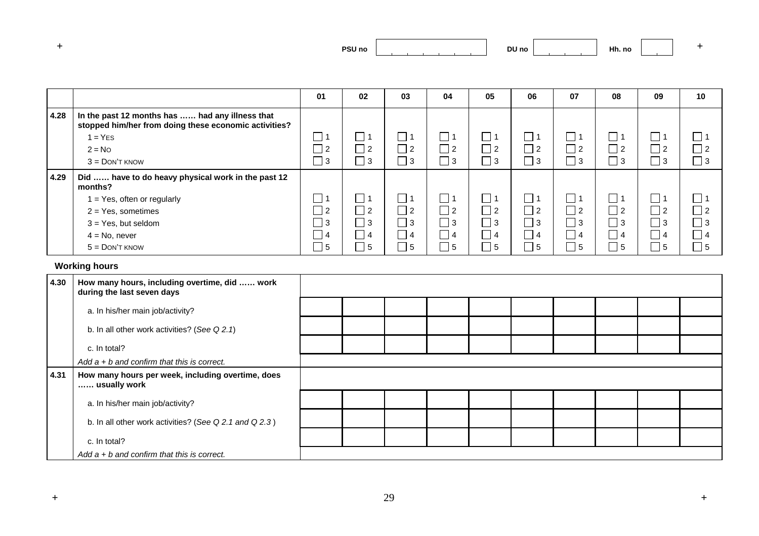**DU no Hh. no <sup>+</sup>**

|      |                                                                                                          | 01             | 02        | 03          | 04                               | 05        | 06                          | 07        | 08                | 09                         | 10                          |
|------|----------------------------------------------------------------------------------------------------------|----------------|-----------|-------------|----------------------------------|-----------|-----------------------------|-----------|-------------------|----------------------------|-----------------------------|
| 4.28 | In the past 12 months has  had any illness that<br>stopped him/her from doing these economic activities? |                |           |             |                                  |           |                             |           |                   |                            |                             |
|      | $1 = YES$                                                                                                | $\vert$ 1      |           |             |                                  |           | $\mathcal{L}$               |           | $\blacksquare$    | □ 1                        | $\mathcal{L}_{\mathcal{A}}$ |
|      | $2 = No$                                                                                                 | $\vert$ 2      | 2         | $\vert$ 2   | $\blacksquare$<br>$\overline{2}$ | $\vert$ 2 | ┑<br>$\overline{2}$         | $\vert$ 2 | $\bigcap$ 2       | $\Box$ 2                   | $\Box$ 2                    |
|      | $3 =$ DON'T KNOW                                                                                         | $\Box$ 3       | $\vert$ 3 | $\vert$ 3   | ┓<br>l 3                         | $\vert$ 3 | ٦<br>3                      | $\vert$ 3 | $\sqsupset$ 3     | $\lceil 3 \rceil$          | $\Box$ 3                    |
| 4.29 | Did  have to do heavy physical work in the past 12<br>months?                                            |                |           |             |                                  |           |                             |           |                   |                            |                             |
|      | 1 = Yes, often or regularly                                                                              | 」1             |           |             | $\sim$                           |           | $\mathcal{L}_{\mathcal{A}}$ | $\Box$    | $\blacksquare$    | □ 1                        | $\Box$                      |
|      | $2 = Yes$ , sometimes                                                                                    | $\vert$ 2      | $\vert$ 2 | $\vert$ 2   | $\Box$ 2                         | $\vert$ 2 | ┓<br>$\overline{2}$         | $\Box$ 2  | $\sqsupset$ 2     | $\Box$ 2                   | $\Box$ 2                    |
|      | $3 = Yes$ , but seldom                                                                                   | $\Box$ 3       | l 3       | $\bigcap$ 3 | ┓<br>-3                          | $\vert$ 3 | ┓<br>l 3                    | $\Box$ 3  | $\sqsupset$ 3     | $\Box$ 3                   | $\Box$ 3                    |
|      | $4 = No$ , never                                                                                         | 4              | l 4       | 4           | $\overline{4}$                   | $\vert 4$ | $\overline{4}$              | $\vert$ 4 | $\bigcap$ 4       | $\bigcap$ 4                | $\Box$ 4                    |
|      | $5 =$ DON'T KNOW                                                                                         | $\overline{5}$ | -5        | 5           | -5                               | 5         | 5                           | 5         | $\lceil 5 \rceil$ | $\overline{\phantom{a}}$ 5 | $\overline{\phantom{a}}$ 5  |

## **Working hours**

| 4.30 | How many hours, including overtime, did  work<br>during the last seven days |  |  |  |  |  |
|------|-----------------------------------------------------------------------------|--|--|--|--|--|
|      | a. In his/her main job/activity?                                            |  |  |  |  |  |
|      | b. In all other work activities? (See Q 2.1)                                |  |  |  |  |  |
|      | c. In total?                                                                |  |  |  |  |  |
|      | Add $a + b$ and confirm that this is correct.                               |  |  |  |  |  |
| 4.31 | How many hours per week, including overtime, does<br>usually work           |  |  |  |  |  |
|      | a. In his/her main job/activity?                                            |  |  |  |  |  |
|      | b. In all other work activities? (See Q 2.1 and Q 2.3)                      |  |  |  |  |  |
|      | c. In total?                                                                |  |  |  |  |  |
|      | Add $a + b$ and confirm that this is correct.                               |  |  |  |  |  |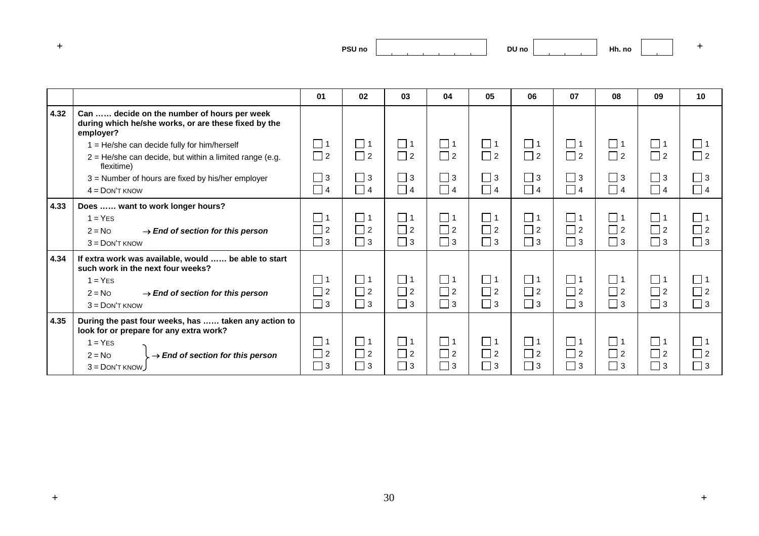| ___ | PSU <sub>no</sub> |
|-----|-------------------|
|     |                   |

Г

|      |                                                                                                                  | 01            | 02       | 03       | 04          | 05       | 06       | 07            | 08       | 09       | 10                         |
|------|------------------------------------------------------------------------------------------------------------------|---------------|----------|----------|-------------|----------|----------|---------------|----------|----------|----------------------------|
| 4.32 | Can  decide on the number of hours per week<br>during which he/she works, or are these fixed by the<br>employer? |               |          |          |             |          |          |               |          |          |                            |
|      | 1 = He/she can decide fully for him/herself                                                                      | $\Box$ 1      | $\Box$ 1 | $\Box$ 1 | $\Box$ 1    | $\Box$ 1 | $\Box$ 1 | $\Box$ 1      | $\Box$ 1 | $\Box$ 1 | $\Box$ 1                   |
|      | $2 = He/she$ can decide, but within a limited range (e.g.<br>flexitime)                                          | $\Box$ 2      | $\Box$ 2 | $\Box$ 2 | $\Box$ 2    | $\Box$ 2 | $\Box$ 2 | $\Box$ 2      | $\Box$ 2 | $\Box$ 2 | $\Box$ 2                   |
|      | 3 = Number of hours are fixed by his/her employer                                                                | $\Box$ 3      | $\Box$ 3 | $\Box$ 3 | $\Box$ 3    | $\Box$ 3 | $\Box$ 3 | $\Box$ 3      | $\Box$ 3 | $\Box$ 3 | $\Box$ 3                   |
|      | $4 =$ DON'T KNOW                                                                                                 | $\Box$ 4      | $\Box$ 4 | $\Box$ 4 | $\Box$ 4    | $\Box$ 4 | $\Box$ 4 | $\Box$ 4      | $\Box$ 4 | $\Box$ 4 | $\Box$ 4                   |
| 4.33 | Does  want to work longer hours?                                                                                 |               |          |          |             |          |          |               |          |          |                            |
|      | $1 = YES$                                                                                                        | $\square$ 1   | $\Box$ 1 | l 11     | $\square$ 1 | $\Box$ 1 | $\Box$ 1 | $\Box$ 1      | $\Box$ 1 | $\Box$ 1 | $\Box$ 1                   |
|      | $\rightarrow$ End of section for this person<br>$2 = No$                                                         | $\Box$ 2      | $\Box$ 2 | $\Box$ 2 | $\Box$ 2    | $\Box$ 2 | $\Box$ 2 | $\Box$ 2      | $\Box$ 2 | $\Box$ 2 | $\overline{1}$ 2           |
|      | $3 =$ DON'T KNOW                                                                                                 | $\Box$ 3      | $\Box$ 3 | $\Box$ 3 | $\Box$ 3    | $\Box$ 3 | $\Box$ 3 | $\sqsupset$ 3 | $\Box$ 3 | $\Box$ 3 | $\Box$ 3                   |
| 4.34 | If extra work was available, would  be able to start<br>such work in the next four weeks?                        |               |          |          |             |          |          |               |          |          |                            |
|      | $1 = YES$                                                                                                        | $\sqsupset$ 1 | $\Box$ 1 | $\Box$ 1 | $\Box$ 1    | $\Box$ 1 | $\Box$ 1 | $\Box$ 1      | $\Box$ 1 | $\Box$ 1 | $\Box$ 1                   |
|      | $2 = No$<br>$\rightarrow$ End of section for this person                                                         | $\Box$ 2      | $\Box$ 2 | $\Box$ 2 | $\Box$ 2    | $\Box$ 2 | $\Box$ 2 | $\Box$ 2      | $\Box$ 2 | $\Box$ 2 | $\Box$ 2                   |
|      | $3 =$ DON'T KNOW                                                                                                 | $\Box$ 3      | $\Box$ 3 | $\Box$ 3 | $\Box$ 3    | $\Box$ 3 | $\Box$ 3 | $\Box$ 3      | $\Box$ 3 | $\Box$ 3 | $\Box$ 3                   |
| 4.35 | During the past four weeks, has  taken any action to<br>look for or prepare for any extra work?                  |               |          |          |             |          |          |               |          |          |                            |
|      | $1 = YES$                                                                                                        | ヿ1            | $\Box$ 1 | $\Box$ 1 | $\Box$ 1    | $\Box$ 1 | $\Box$ 1 | $\Box$ 1      | $\Box$ 1 | $\Box$ 1 | $\sqsupset$ 1              |
|      | $\rightarrow$ End of section for this person<br>$2 = No$                                                         | $\Box$ 2      | $\Box$ 2 | $\Box$ 2 | $\Box$ 2    | $\Box$ 2 | $\Box$ 2 | $\Box$ 2      | $\Box$ 2 | $\Box$ 2 | $\overline{\phantom{a}}$ 2 |
|      | $3 =$ DON'T KNOW                                                                                                 | $\Box$ 3      | $\Box$ 3 | $\Box$ 3 | $\Box$ 3    | $\Box$ 3 | $\Box$ 3 | $\Box$ 3      | $\Box$ 3 | $\Box$ 3 | $\Box$ 3                   |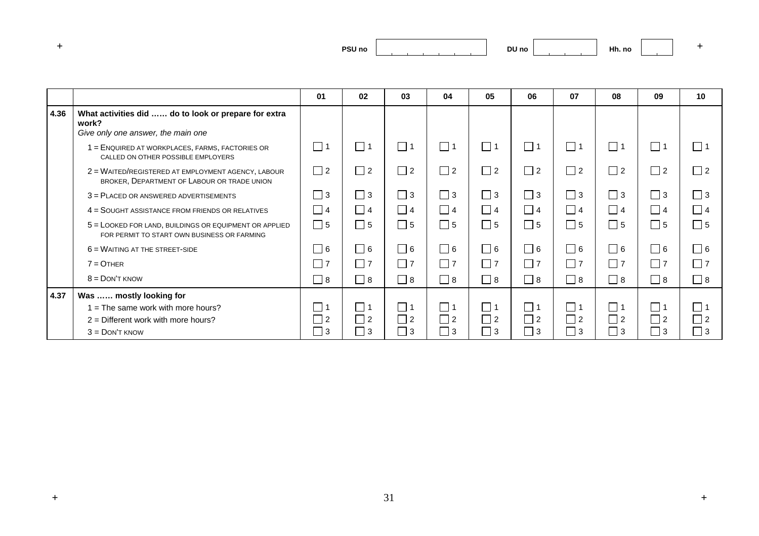| and the first process. | <b>PSU no</b> |
|------------------------|---------------|
|                        |               |

|      |                                                                                                         | 01              | 02          | 03       | 04                         | 05                       | 06       | 07       | 08       | 09          | 10          |
|------|---------------------------------------------------------------------------------------------------------|-----------------|-------------|----------|----------------------------|--------------------------|----------|----------|----------|-------------|-------------|
| 4.36 | What activities did  do to look or prepare for extra<br>work?<br>Give only one answer, the main one     |                 |             |          |                            |                          |          |          |          |             |             |
|      | 1 = ENQUIRED AT WORKPLACES, FARMS, FACTORIES OR<br>CALLED ON OTHER POSSIBLE EMPLOYERS                   | $\Box$ 1        | $\Box$ 1    | $\Box$ 1 | $\Box$ 1                   | $\Box$<br>$\overline{1}$ | $\Box$ 1 | $\Box$ 1 | $\Box$ 1 | $\Box$ 1    | $\Box$ 1    |
|      | 2 = WAITED/REGISTERED AT EMPLOYMENT AGENCY, LABOUR<br>BROKER, DEPARTMENT OF LABOUR OR TRADE UNION       | $\Box$ 2        | $\Box$ 2    | $\Box$ 2 | $\Box$ 2                   | $\Box$ 2                 | $\Box$ 2 | $\Box$ 2 | $\Box$ 2 | $\Box$ 2    | $\Box$ 2    |
|      | 3 = PLACED OR ANSWERED ADVERTISEMENTS                                                                   | $\Box$ 3        | $\Box$ 3    | $\Box$ 3 | $\Box$ 3                   | $\Box$ 3                 | $\Box$ 3 | $\Box$ 3 | $\Box$ 3 | $\Box$ 3    | $\Box$ 3    |
|      | 4 = SOUGHT ASSISTANCE FROM FRIENDS OR RELATIVES                                                         | $\sqsupset$ 4   | $\Box$ 4    | $\Box$ 4 | $\Box$ 4                   | $\Box$ 4                 | $\Box$ 4 | $\Box$ 4 | $\Box$ 4 | $\Box$ 4    | $\Box$ 4    |
|      | $5 =$ LOOKED FOR LAND, BUILDINGS OR EQUIPMENT OR APPLIED<br>FOR PERMIT TO START OWN BUSINESS OR FARMING | $\Box$ 5        | $\Box$ 5    | $\Box$ 5 | $\Box$ 5                   | $\Box$ 5                 | $\Box$ 5 | $\Box$ 5 | $\Box$ 5 | $\Box$ 5    | $\square$ 5 |
|      | $6 =$ WAITING AT THE STREET-SIDE                                                                        | 6               | $\Box$ 6    | $\Box$ 6 | $\Box$ 6                   | $\Box$ 6                 | $\Box$ 6 | $\Box$ 6 | $\Box$ 6 | $\Box$ 6    | $\Box$ 6    |
|      | $7 =$ OTHER                                                                                             | $\overline{17}$ | $\Box$ 7    | $\Box$ 7 | $\Box$ 7                   | $\Box$ 7                 | $\Box$ 7 | $\Box$ 7 | $\Box$ 7 | $\Box$ 7    | $\Box$ 7    |
|      | $8 =$ DON'T KNOW                                                                                        | 8               | $\Box$ 8    | $\Box$ 8 | $\overline{\phantom{0}}$ 8 | $\Box$ 8                 | $\Box$ 8 | $\Box$ 8 | 8        | $\Box$ 8    | $\Box$ 8    |
| 4.37 | Was  mostly looking for                                                                                 |                 |             |          |                            |                          |          |          |          |             |             |
|      | $=$ The same work with more hours?                                                                      |                 | $\Box$ 1    | $\Box$ 1 | $\Box$ 1                   | $\Box$                   | $\Box$ 1 | $\Box$ 1 | $\Box$ 1 | $\Box$ 1    | □ 1         |
|      | $2$ = Different work with more hours?                                                                   | $\perp$         | $\Box$ 2    | $\Box$ 2 | $\Box$ 2                   | $\frac{1}{2}$            | $\Box$ 2 | $\Box$ 2 | $\Box$ 2 | $\square$ 2 | $\Box$ 2    |
|      | $3 =$ DON'T KNOW                                                                                        | $\vert$ 3       | $\square$ 3 | $\Box$ 3 | ヿ 3                        | $\vert$ 3                | $\Box$ 3 | $\Box$ 3 | 3        | $\Box$ 3    | $\Box$ 3    |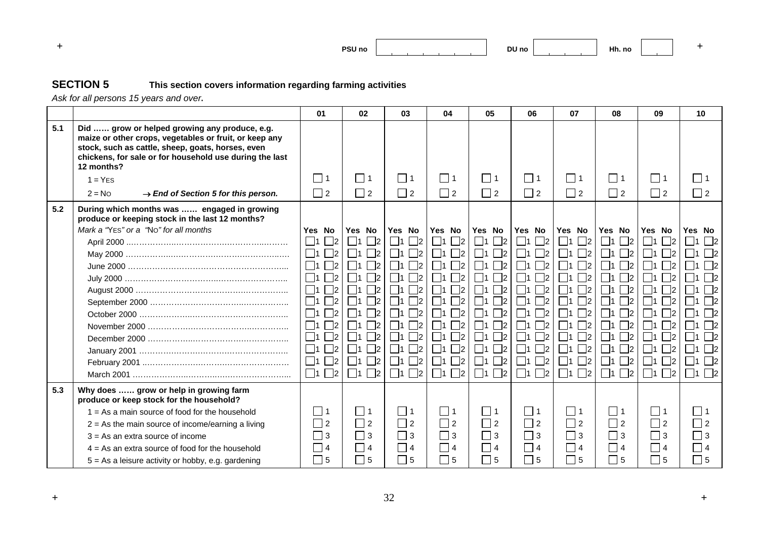

## **SECTION 5 This section covers information regarding farming activities**

*Ask for all persons 15 years and over***.**

|     |                                                                                                                                                                                                                                       | 01                                     | 02                 | 03                         | 04                                          | 05                      | 06                         | 07                       | 08                         | 09                      | 10                |
|-----|---------------------------------------------------------------------------------------------------------------------------------------------------------------------------------------------------------------------------------------|----------------------------------------|--------------------|----------------------------|---------------------------------------------|-------------------------|----------------------------|--------------------------|----------------------------|-------------------------|-------------------|
| 5.1 | Did  grow or helped growing any produce, e.g.<br>maize or other crops, vegetables or fruit, or keep any<br>stock, such as cattle, sheep, goats, horses, even<br>chickens, for sale or for household use during the last<br>12 months? |                                        |                    |                            |                                             |                         |                            |                          |                            |                         |                   |
|     | $1 = YFS$                                                                                                                                                                                                                             | $\Box$ 1                               | $\Box$ 1           | $\Box$ 1                   | $\Box$ 1                                    | $\Box$ 1                | $\Box$ 1                   | $\Box$ 1                 | $\Box$ 1                   | $\Box$ 1                | $\Box$ 1          |
|     | $2 = No$<br>$\rightarrow$ End of Section 5 for this person.                                                                                                                                                                           | $\Box$ 2                               | $\Box$ 2           | $\Box$ 2                   | $\Box$ 2                                    | $\Box$ 2                | $\Box$ 2                   | $\Box$ 2                 | $\Box$ 2                   | $\Box$ 2                | $\Box$ 2          |
| 5.2 | During which months was  engaged in growing<br>produce or keeping stock in the last 12 months?                                                                                                                                        |                                        |                    |                            |                                             |                         |                            |                          |                            |                         |                   |
|     | Mark a "YES" or a "No" for all months                                                                                                                                                                                                 | Yes No                                 | Yes No             | Yes No                     | Yes No                                      | Yes No                  | Yes No                     | Yes No                   | Yes No                     | Yes No                  | Yes No            |
|     |                                                                                                                                                                                                                                       | 1<br>$\overline{2}$                    | $\vert$ 2          | $\vert$ 2                  | 2 <br>$\vert$ 1                             | $\Box$ 1<br>$\vert$ 2   | $\Box$ 1<br>$\Box$ 2       | $\overline{2}$<br> 1     | $\Box$ 1<br>$\vert$ 2      | $\Box$ 1<br> 2          | 1<br>$\vert$ 2    |
|     |                                                                                                                                                                                                                                       | $\Box$ 1<br>$\overline{2}$             | $\vert$ 2          | $\vert$ 2                  | - 12                                        | $\Box$ 2                | $\Box$ 1<br>$\mathsf{I}2$  | $\overline{2}$           | 2                          | $\Box$ 1                |                   |
|     |                                                                                                                                                                                                                                       | $\Box$ 1<br>$\Box$ 2                   | $\vert$ 2          | 2                          | $\Box$ 1<br>72                              | $\Box$ 1<br>$\Box$ 2    | $\mathbb{r}_2$<br>$\Box$ 1 | $\Box$ 2<br>- 11         | $\vert$ 2                  | $\Box$ 1<br>$\vert$ 2   | $\Box$            |
|     |                                                                                                                                                                                                                                       | $\Box$ 1<br>$\overline{\phantom{1}}$ 2 | 72                 | 2                          | $\mathbb{R}^2$                              | $\Box$ 2                | $\mathbb{R}^2$<br>$\Box$ 1 | $\mathbb{Z}^2$<br>- 11   | 72                         | □1<br>$\vert$ 2         |                   |
|     |                                                                                                                                                                                                                                       | $\Box$ 1<br>$\overline{\phantom{0}}$   | $\mathsf{I}2$      | 2                          | $\mathbb{Z}^2$                              | $\Box$ 1<br>$\Box$ 2    | $\Box$ 1<br>$\mathsf{I}2$  | $\mathsf{r}_{2}$<br>- 11 | 2                          | $\vert$ 2               |                   |
|     |                                                                                                                                                                                                                                       | $\Box$ 1<br>$\vert$ 2                  | 72                 | $\vert$ 2                  | - 12                                        | $\Box$ 2                | $\mathbb{Z}^2$<br>- 11     | $\mathsf{I}_2$           | 72                         | - 11                    |                   |
|     |                                                                                                                                                                                                                                       | $\Box$ 1<br>$\vert$ 2                  | $\overline{2}$     | $\vert$ 2                  | - 12<br>- 11                                | 11<br>$\Box$ 2          | $\vert$ 2<br>$\vert$ 11    | $\vert$ 2<br>- 11        | $\vert$ 2                  | - 11<br>- 12            |                   |
|     |                                                                                                                                                                                                                                       | $\Box$ 1<br>$\overline{2}$             | $\mathbin{\sqcap}$ | $\mathbb{Z}^2$             | ㄱ2<br>$\vert$ 1                             | $\Box$ 1<br>$\Box$ 2    | $\mathbb{Z}^2$<br>$\Box$ 1 | $\overline{2}$<br>- 11   | 72                         | $\vert$ 1<br>$\vert$ 2  | $\Box$ 2          |
|     |                                                                                                                                                                                                                                       | $\mathbb{Z}^2$<br>$\Box$ 1             | $\mathbb{R}^2$     | <u> 72</u>                 | 72<br>$\vert$ 1                             | $\square$ 2<br>$\Box$ 1 | $\mathbb{r}_2$<br>  11     | $\mathbb{Z}^2$<br>- 11   | $\mathbb{R}^2$             | $\mathbb{Z}^2$<br>- 11  |                   |
|     |                                                                                                                                                                                                                                       | $\Box$ 1<br>$\overline{2}$             | -12                | $\vert$ 2                  | - 12                                        | ㄱ2                      | - 12<br>- 11               | $\overline{2}$           | $\mathsf{I}2$              | $\vert 2 \vert$<br>- 11 |                   |
|     |                                                                                                                                                                                                                                       | $\Box$ 1<br>$\mathbin{\sqcap}$         | $\mathbb{Z}^2$     | $\mathbin{\sqcap}$         | 72                                          | $\Box$ 2                | $\mathbb{Z}^2$<br>l 11     | $\Box$ 2<br>- 11         | $\mathbb{R}^2$             | □1<br>$\vert$ 2         |                   |
|     |                                                                                                                                                                                                                                       | $\Box$ 1<br>$\Box$ 2                   | $\Box$ 2<br>  11   | $\mathbb{R}^2$<br>$\Box$ 1 | $\Box$ 2<br>$\blacksquare$ 1                | $\Box$ 1<br>$\Box$ 2    | $\Box$ 2<br>$\Box$ 1       | $\Box$ 2<br>$\Box$ 1     | $\mathbb{Z}^2$<br>$\Box$ 1 | $\Box$ 1<br>$\Box$ 2    | $\Box$ 1 $\Box$ 2 |
| 5.3 | Why does  grow or help in growing farm<br>produce or keep stock for the household?                                                                                                                                                    |                                        |                    |                            |                                             |                         |                            |                          |                            |                         |                   |
|     | $1 = As a main source of food for the household$                                                                                                                                                                                      | $\vert$ 1                              | l 11               | l 11                       | □1                                          | l 11                    | $\overline{111}$           | $\Box$ 1                 | 1                          | l 11                    | 111               |
|     | $2 = As$ the main source of income/earning a living                                                                                                                                                                                   | $\vert$ 2                              | $\Box$ 2           | $\Box$ 2                   | $\Box$ 2                                    | $\Box$ 2                | $\Box$ 2                   | $\Box$ 2                 | $\Box$ 2                   | $\Box$ 2                | $\Box$ 2          |
|     | $3 = As$ an extra source of income                                                                                                                                                                                                    | $\Box$ 3                               | $\square$ 3        | $\Box$ 3                   | $\Box$ 3                                    | $\Box$ 3                | $\Box$ 3                   | $\Box$ 3                 | ヿз                         | $\Box$ 3                | $\Box$ 3          |
|     | $4 = As$ an extra source of food for the household                                                                                                                                                                                    | 4                                      | $\Box$ 4           | $ $   4                    | $\begin{array}{ c c c } \hline \end{array}$ | $\Box$ 4                | $ $   4                    | $\Box$ 4                 | 4                          | 4                       | $\Box$ 4          |
|     | $5 = As$ a leisure activity or hobby, e.g. gardening                                                                                                                                                                                  | $\Box$ 5                               | $\Box$ 5           | 5                          | $\Box$ 5                                    | 5                       | 5                          | $\Box$ 5                 | $\frac{1}{5}$              | 5                       | $\Box$ 5          |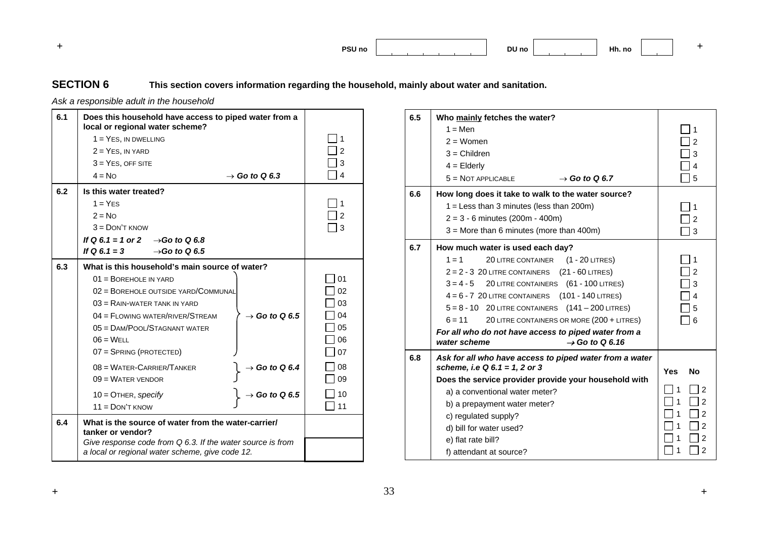**+ PSU noDU no Hh. no <sup>+</sup>**

## **SECTION 6 This section covers information regarding the household, mainly about water and sanitation.**

*Ask a responsible adult in the household* 

| 6.1 | Does this household have access to piped water from a<br>local or regional water scheme?                      |                |
|-----|---------------------------------------------------------------------------------------------------------------|----------------|
|     | $1 = Yes$ , IN DWELLING                                                                                       | 1              |
|     | $2 = Yes$ , IN YARD                                                                                           | $\mathfrak{p}$ |
|     | $3 = Yes$ , OFF SITE                                                                                          | 3              |
|     | $4 = NQ$<br>$\rightarrow$ Go to Q 6.3                                                                         | 4              |
| 6.2 | Is this water treated?                                                                                        |                |
|     | $1 = YFS$                                                                                                     | 1              |
|     | $2 = NQ$                                                                                                      | $\mathcal{P}$  |
|     | $3 =$ DON'T KNOW                                                                                              | 3              |
|     | If Q 6.1 = 1 or 2 $\rightarrow$ Go to Q 6.8                                                                   |                |
|     | If Q 6.1 = 3<br>$\rightarrow$ Go to Q 6.5                                                                     |                |
| 6.3 | What is this household's main source of water?                                                                |                |
|     | $01 = \text{BOREHOLE}$ IN YARD                                                                                | 01             |
|     | 02 = BOREHOLE OUTSIDE YARD/COMMUNAL                                                                           | 02             |
|     | $03 =$ RAIN-WATER TANK IN YARD                                                                                | 03             |
|     | $04 =$ FLOWING WATER/RIVER/STREAM<br>$\rightarrow$ Go to Q 6.5                                                | 04             |
|     | $05 =$ DAM/POOL/STAGNANT WATER                                                                                | 05             |
|     | $06 = WELL$                                                                                                   | 06             |
|     | 07 = SPRING (PROTECTED)                                                                                       | 07             |
|     | $08 = \text{Water-CARRIER/TANKER}$<br>$\rightarrow$ Go to Q 6.4                                               | 08             |
|     | $09 = \text{Water}$ vendor                                                                                    | 09             |
|     | $\rightarrow$ Go to Q 6.5<br>$10 =$ OTHER, specify                                                            | 10             |
|     | $11 =$ DON'T KNOW                                                                                             | 11             |
| 6.4 | What is the source of water from the water-carrier/<br>tanker or vendor?                                      |                |
|     | Give response code from Q 6.3. If the water source is from<br>a local or regional water scheme, give code 12. |                |

| 6.5 | Who mainly fetches the water?<br>$1 =$ Men<br>$2 =$ Women<br>$3 =$ Children<br>$4 =$ Elderly<br>$5 = NOT APPLICABLE$<br>$\rightarrow$ Go to Q 6.7                                                                                                                                                                                                                                                                                                                                                 | 1<br>2<br>3<br>4<br>5                                                                                                         |
|-----|---------------------------------------------------------------------------------------------------------------------------------------------------------------------------------------------------------------------------------------------------------------------------------------------------------------------------------------------------------------------------------------------------------------------------------------------------------------------------------------------------|-------------------------------------------------------------------------------------------------------------------------------|
| 6.6 | How long does it take to walk to the water source?<br>$1 =$ Less than 3 minutes (less than 200m)<br>$2 = 3 - 6$ minutes (200m - 400m)<br>$3 =$ More than 6 minutes (more than 400m)                                                                                                                                                                                                                                                                                                               | 1<br>$\overline{2}$<br>3                                                                                                      |
| 6.7 | How much water is used each day?<br>$1 = 1$<br>$(1 - 20$ LITRES)<br><b>20 LITRE CONTAINER</b><br>(21 - 60 LITRES)<br>$2 = 2 - 3$ 20 LITRE CONTAINERS<br>(61 - 100 LITRES)<br>$3 = 4 - 5$<br>20 LITRE CONTAINERS<br>(101 - 140 LITRES)<br>$4 = 6 - 7$ 20 LITRE CONTAINERS<br>$5 = 8 - 10$ 20 LITRE CONTAINERS $(141 - 200$ LITRES)<br>$6 = 11$<br>20 LITRE CONTAINERS OR MORE (200 + LITRES)<br>For all who do not have access to piped water from a<br>water scheme<br>$\rightarrow$ Go to Q 6.16 | 1<br>$\overline{2}$<br>3<br>4<br>5<br>6                                                                                       |
| 6.8 | Ask for all who have access to piped water from a water<br>scheme, i.e Q 6.1 = 1, 2 or 3<br>Does the service provider provide your household with<br>a) a conventional water meter?<br>b) a prepayment water meter?<br>c) regulated supply?<br>d) bill for water used?<br>e) flat rate bill?<br>f) attendant at source?                                                                                                                                                                           | <b>Yes</b><br><b>No</b><br>$\overline{2}$<br>1<br>1<br>$\overline{2}$<br>1<br>$\overline{2}$<br>1<br>2<br>$\overline{2}$<br>2 |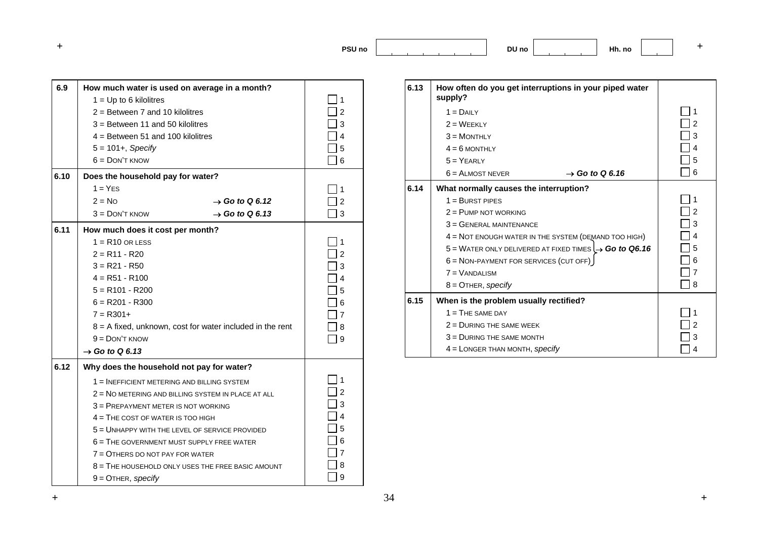**DU no Hh. no <sup>+</sup>**

| 6.9  | How much water is used on average in a month?               |   |
|------|-------------------------------------------------------------|---|
|      | $1 = Up to 6$ kilolitres                                    | 1 |
|      | $2 =$ Between 7 and 10 kilolitres                           |   |
|      | $3 =$ Between 11 and 50 kilolitres                          | 3 |
|      | $4 =$ Between 51 and 100 kilolitres                         | 4 |
|      | $5 = 101 +$ , Specify                                       | 5 |
|      | $6 =$ DON'T KNOW                                            | 6 |
| 6.10 | Does the household pay for water?                           |   |
|      | $1 = YFS$                                                   | 1 |
|      | $2 = No$<br>$\rightarrow$ Go to Q 6.12                      | 2 |
|      | $3 =$ DON'T KNOW<br>$\rightarrow$ Go to Q 6.13              | 3 |
| 6.11 | How much does it cost per month?                            |   |
|      | $1 = R10$ OR LESS                                           |   |
|      | $2 = R11 - R20$                                             |   |
|      | $3 = R21 - R50$                                             | 3 |
|      | $4 = R51 - R100$                                            |   |
|      | $5 = R101 - R200$                                           | 5 |
|      | $6 = R201 - R300$                                           |   |
|      | $7 = R301+$                                                 |   |
|      | $8 = A$ fixed, unknown, cost for water included in the rent | 8 |
|      | $9 =$ DON'T KNOW                                            | 9 |
|      | $\rightarrow$ Go to Q 6.13                                  |   |
| 6.12 | Why does the household not pay for water?                   |   |
|      | 1 = INEFFICIENT METERING AND BILLING SYSTEM                 |   |
|      | $2$ = NO METERING AND BILLING SYSTEM IN PLACE AT ALL        | 2 |
|      | 3 = PREPAYMENT METER IS NOT WORKING                         | 3 |
|      | $4 =$ THE COST OF WATER IS TOO HIGH                         | 4 |
|      | 5 = UNHAPPY WITH THE LEVEL OF SERVICE PROVIDED              | 5 |
|      | $6$ = THE GOVERNMENT MUST SUPPLY FREE WATER                 |   |
|      | 7 = OTHERS DO NOT PAY FOR WATER                             |   |
|      | $8$ = THE HOUSEHOLD ONLY USES THE FREE BASIC AMOUNT         | 8 |
|      | $9 =$ OTHER, specify                                        | 9 |
|      |                                                             |   |

| 6.13 | How often do you get interruptions in your piped water<br>supply?   |   |
|------|---------------------------------------------------------------------|---|
|      | $1 = D$ All Y                                                       | 1 |
|      | $2 = \text{WFFKI Y}$                                                | 2 |
|      | $3 = M$ ONTHLY                                                      | 3 |
|      | $4 = 6$ MONTHLY                                                     | 4 |
|      | $5 = YEARY$                                                         | 5 |
|      | $6 =$ ALMOST NEVER<br>$\rightarrow$ Go to Q 6.16                    | 6 |
| 6.14 | What normally causes the interruption?                              |   |
|      | $1 =$ BURST PIPES                                                   | 1 |
|      | $2 =$ PUMP NOT WORKING                                              | 2 |
|      | $3 =$ GENERAL MAINTENANCE                                           | 3 |
|      | $4 =$ NOT ENOUGH WATER IN THE SYSTEM (DEMAND TOO HIGH)              | 4 |
|      | $5 =$ WATER ONLY DELIVERED AT FIXED TIMES $\rightarrow$ Go to Q6.16 | 5 |
|      | 6 = NON-PAYMENT FOR SERVICES (CUT OFF)                              | 6 |
|      | $7 =$ VANDALISM                                                     | 7 |
|      | $8 =$ OTHER, specify                                                | 8 |
| 6.15 | When is the problem usually rectified?                              |   |
|      | $1 =$ THE SAME DAY                                                  |   |
|      | $2 =$ DURING THE SAME WEEK                                          | 2 |
|      | $3 =$ DURING THE SAME MONTH                                         | 3 |
|      | $4 =$ LONGER THAN MONTH, specify                                    | 4 |

**+** 34 **+**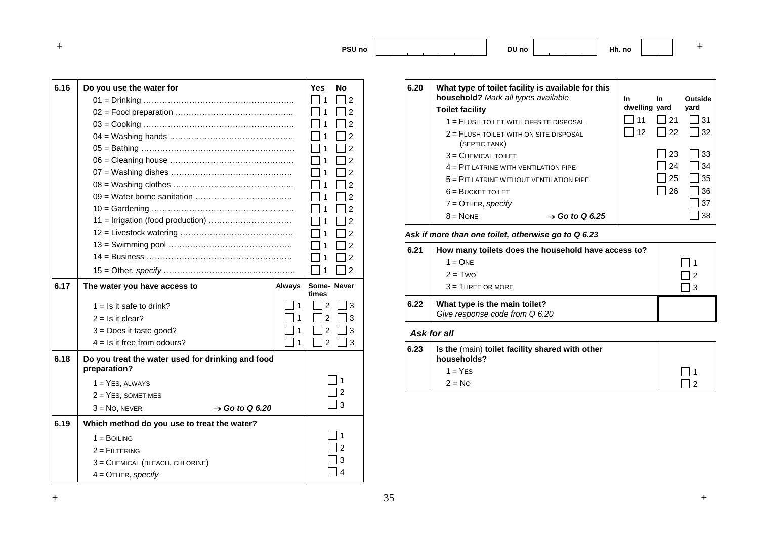**DU no Hh. no <sup>+</sup>**

| 6.16 | Do you use the water for                                          |               | Yes                 | No             |
|------|-------------------------------------------------------------------|---------------|---------------------|----------------|
|      |                                                                   |               | 1                   | 2              |
|      |                                                                   |               | 1                   | 2              |
|      |                                                                   |               | 1                   | $\overline{2}$ |
|      |                                                                   |               | 1                   | $\overline{2}$ |
|      |                                                                   |               |                     | $\overline{2}$ |
|      |                                                                   |               |                     | 2              |
|      |                                                                   |               | 1                   | $\overline{2}$ |
|      |                                                                   |               | 1                   | $\overline{2}$ |
|      |                                                                   |               |                     | 2              |
|      |                                                                   |               |                     | 2              |
|      |                                                                   |               |                     | 2              |
|      |                                                                   |               | 1                   | 2              |
|      |                                                                   |               | 1                   | $\overline{2}$ |
|      |                                                                   |               |                     | $\overline{2}$ |
|      |                                                                   |               | 1                   | $\overline{2}$ |
| 6.17 |                                                                   |               |                     |                |
|      | The water you have access to                                      | <b>Always</b> | Some-Never<br>times |                |
|      | $1 =$ Is it safe to drink?                                        | 1             | 2                   | 3              |
|      | $2 =$ Is it clear?                                                |               | 2                   | 3              |
|      | $3 = Does it taste good?$                                         |               | 2                   | 3              |
|      | $4 =$ Is it free from odours?                                     | 1             | $\overline{2}$      | 3              |
| 6.18 | Do you treat the water used for drinking and food<br>preparation? |               |                     |                |
|      | $1 = Yes$ , ALWAYS                                                |               |                     |                |
|      | $2 = Yes$ , SOMETIMES                                             |               |                     | 2              |
|      | $3 = No$ , NEVER<br>$\rightarrow$ Go to Q 6.20                    |               |                     | 3              |
| 6.19 | Which method do you use to treat the water?                       |               |                     |                |
|      | $1 = B$ OILING                                                    |               |                     |                |
|      | $2 =$ FILTERING                                                   |               |                     |                |
|      | 3 = CHEMICAL (BLEACH, CHLORINE)                                   |               |                     | 3              |

| 6.20 | What type of toilet facility is available for this<br>household? Mark all types available |                            | In            | In. | Outside    |
|------|-------------------------------------------------------------------------------------------|----------------------------|---------------|-----|------------|
|      | <b>Toilet facility</b>                                                                    |                            | dwelling yard |     | yard       |
|      | $1 =$ FLUSH TOILET WITH OFFSITE DISPOSAL                                                  |                            |               | 21  | 31         |
|      | $2$ = FLUSH TOILET WITH ON SITE DISPOSAL<br>(SEPTIC TANK)                                 |                            | 12            | 122 | $\vert$ 32 |
|      | $3 =$ CHEMICAL TOILET                                                                     |                            |               | -23 | 33         |
|      | $4 =$ PIT LATRINE WITH VENTILATION PIPE                                                   |                            |               | 24  | 34         |
|      | $5 =$ PIT LATRINE WITHOUT VENTILATION PIPE                                                |                            |               | 25  | 35         |
|      | $6 = BUCKET TOILET$                                                                       |                            |               | 26  | 36         |
|      | $7 =$ OTHER, specify                                                                      |                            |               |     | 37         |
|      | $8 = \text{None}$                                                                         | $\rightarrow$ Go to Q 6.25 |               |     | 38         |

#### *Ask if more than one toilet, otherwise go to Q 6.23*

| 6.21 | How many toilets does the household have access to?             |    |
|------|-----------------------------------------------------------------|----|
|      | $1 = ONF$                                                       |    |
|      | $2 = TWO$                                                       |    |
|      | $3 =$ THREE OR MORE                                             | -3 |
| 6.22 | What type is the main toilet?<br>Give response code from Q 6.20 |    |

#### *Ask for all*

| 6.23 | Is the (main) toilet facility shared with other<br>households? |  |
|------|----------------------------------------------------------------|--|
|      | $1 = YES$                                                      |  |
|      | $2 = No$                                                       |  |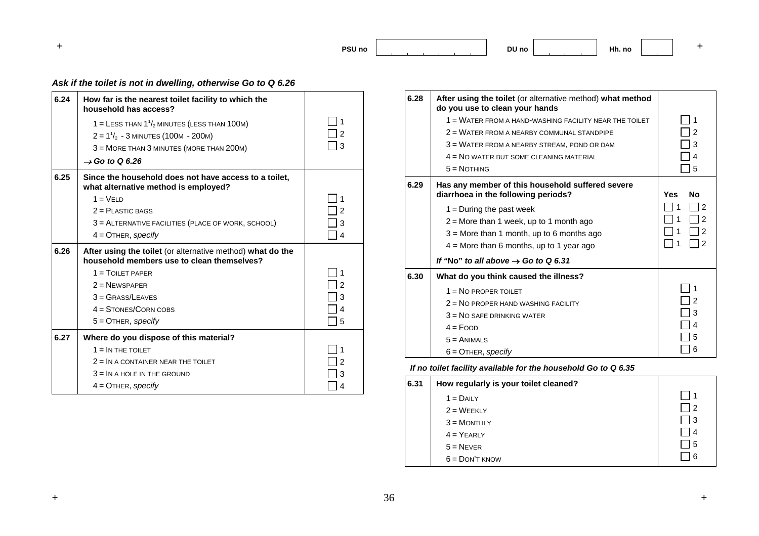**DU no Hh. no <sup>+</sup>**

## *Ask if the toilet is not in dwelling, otherwise Go to Q 6.26*

| 6.24 | How far is the nearest toilet facility to which the<br>household has access?                             |                |
|------|----------------------------------------------------------------------------------------------------------|----------------|
|      | 1 = LESS THAN $1\frac{1}{2}$ MINUTES (LESS THAN 100M)                                                    | 1              |
|      | $2 = 11/2 - 3$ MINUTES (100M - 200M)                                                                     | $\overline{2}$ |
|      | 3 = MORE THAN 3 MINUTES (MORE THAN 200M)                                                                 | 3              |
|      | $\rightarrow$ Go to Q 6.26                                                                               |                |
| 6.25 | Since the household does not have access to a toilet,<br>what alternative method is employed?            |                |
|      | $1 = VFI D$                                                                                              | 1              |
|      | $2 =$ PLASTIC BAGS                                                                                       | 2              |
|      | 3 = ALTERNATIVE FACILITIES (PLACE OF WORK, SCHOOL)                                                       | 3              |
|      | $4 =$ OTHER, specify                                                                                     | $\overline{4}$ |
|      |                                                                                                          |                |
| 6.26 | After using the toilet (or alternative method) what do the<br>household members use to clean themselves? |                |
|      | $1 = T$ OII FT PAPER                                                                                     | 1              |
|      | $2$ = NEWSPAPER                                                                                          | $\mathcal{P}$  |
|      | $3 = Grass/LEAVES$                                                                                       | 3              |
|      | $4 =$ STONES/CORN COBS                                                                                   | 4              |
|      | $5 =$ OTHER, specify                                                                                     | 5              |
| 6.27 | Where do you dispose of this material?                                                                   |                |
|      | $1 = IN THE TOLET$                                                                                       | 1              |
|      | $2 = IN$ A CONTAINER NEAR THE TOILET                                                                     | $\mathcal{P}$  |
|      | $3 = IN$ A HOLE IN THE GROUND                                                                            | 3              |

| 6.28 | After using the toilet (or alternative method) what method<br>do you use to clean your hands |                         |
|------|----------------------------------------------------------------------------------------------|-------------------------|
|      | 1 = WATER FROM A HAND-WASHING FACILITY NEAR THE TOILET                                       | 1                       |
|      | 2 = WATER FROM A NEARBY COMMUNAL STANDPIPE                                                   | $\mathcal{P}$           |
|      | 3 = WATER FROM A NEARBY STREAM, POND OR DAM                                                  | 3                       |
|      | $4 =$ NO WATER BUT SOME CLEANING MATERIAL                                                    | 4                       |
|      | $5 = \text{NOTHING}$                                                                         | 5                       |
| 6.29 | Has any member of this household suffered severe<br>diarrhoea in the following periods?      | <b>Yes</b><br><b>No</b> |
|      | $1 =$ During the past week                                                                   | 2                       |
|      | $2 =$ More than 1 week, up to 1 month ago                                                    | 2                       |
|      | $3$ = More than 1 month, up to 6 months ago                                                  | 2                       |
|      | $4 =$ More than 6 months, up to 1 year ago                                                   | 2                       |
|      | If "No" to all above $\rightarrow$ Go to Q 6.31                                              |                         |
| 6.30 | What do you think caused the illness?                                                        |                         |
|      | $1 = No$ PROPER TOILET                                                                       |                         |
|      | 2 = NO PROPER HAND WASHING FACILITY                                                          | $\overline{2}$          |
|      | $3 = No$ SAFE DRINKING WATER                                                                 | 3                       |
|      | $4 = F$ OOD                                                                                  | $\overline{4}$          |
|      | $5 =$ ANIMALS                                                                                | 5                       |
|      | $6 =$ OTHER, specify                                                                         | 6                       |

*If no toilet facility available for the household Go to Q 6.35* 

| 6.31 | How regularly is your toilet cleaned? |     |
|------|---------------------------------------|-----|
|      | $1 = DAILY$                           | l 1 |
|      | $2 = WEEKLY$                          | l 2 |
|      | $3 = M$ ONTHLY                        | l 3 |
|      | $4 = YEARLY$                          | l 4 |
|      | $5 =$ NEVER                           | 15  |
|      | $6 =$ DON'T KNOW                      | ∣ 6 |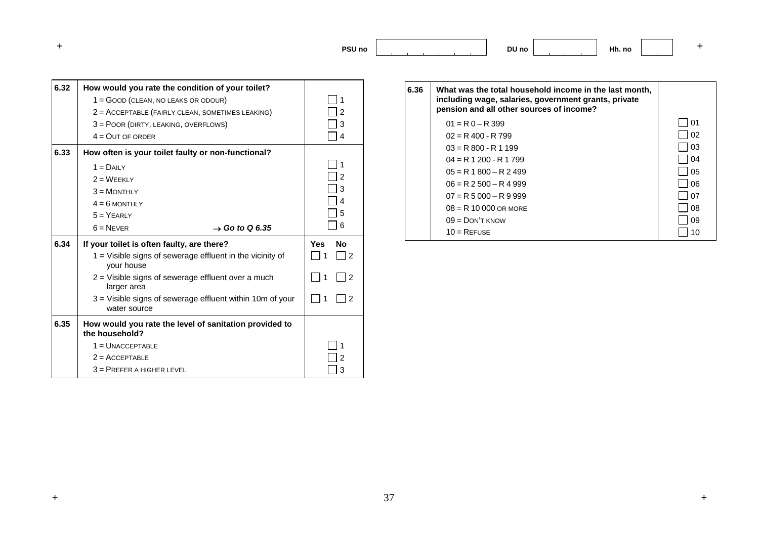**+ PSU noDU no Hh. no <sup>+</sup>**

| 6.32 | How would you rate the condition of your toilet?                            |                  |
|------|-----------------------------------------------------------------------------|------------------|
|      | 1 = GOOD (CLEAN, NO LEAKS OR ODOUR)                                         |                  |
|      | 2 = ACCEPTABLE (FAIRLY CLEAN, SOMETIMES LEAKING)                            |                  |
|      | 3 = POOR (DIRTY, LEAKING, OVERFLOWS)                                        |                  |
|      | $4 = QUT$ OF ORDER                                                          |                  |
| 6.33 | How often is your toilet faulty or non-functional?                          |                  |
|      | $1 = D$ All Y                                                               |                  |
|      | $2 = \text{WEEKLY}$                                                         |                  |
|      | $3 = M$ ONTHI Y                                                             | 3                |
|      | $4 = 6$ MONTHLY                                                             |                  |
|      | $5 = YFARIY$                                                                | 5                |
|      | $6 =$ NEVER<br>$\rightarrow$ Go to Q 6.35                                   | 6                |
| 6.34 | If your toilet is often faulty, are there?                                  | <b>Yes</b><br>No |
|      | 1 = Visible signs of sewerage effluent in the vicinity of<br>your house     | 2                |
|      | 2 = Visible signs of sewerage effluent over a much<br>larger area           | $\mathcal{P}$    |
|      | $3$ = Visible signs of sewerage effluent within 10m of your<br>water source |                  |
| 6.35 | How would you rate the level of sanitation provided to<br>the household?    |                  |
|      | $1 =$ UNACCEPTABLE                                                          |                  |
|      |                                                                             |                  |
|      | $2 =$ ACCEPTABLE                                                            |                  |

| 6.36 | What was the total household income in the last month,<br>including wage, salaries, government grants, private |    |
|------|----------------------------------------------------------------------------------------------------------------|----|
|      | pension and all other sources of income?                                                                       |    |
|      | $01 = R_0 - R_399$                                                                                             | 01 |
|      | $02 = R$ 400 - R 799                                                                                           | 02 |
|      | $03 = R$ 800 - R 1 199                                                                                         | 03 |
|      | $04 = R 1 200 - R 1 799$                                                                                       | 04 |
|      | $05 = R 1800 - R 2499$                                                                                         | 05 |
|      | $06 = R$ 2 500 $- R$ 4 999                                                                                     | 06 |
|      | $07 = R 5 000 - R 9 999$                                                                                       | 07 |
|      | $08 = R 10 000$ OR MORE                                                                                        | 08 |
|      | $09 =$ DON'T KNOW                                                                                              | 09 |
|      | $10 =$ REFUSE                                                                                                  |    |
|      |                                                                                                                |    |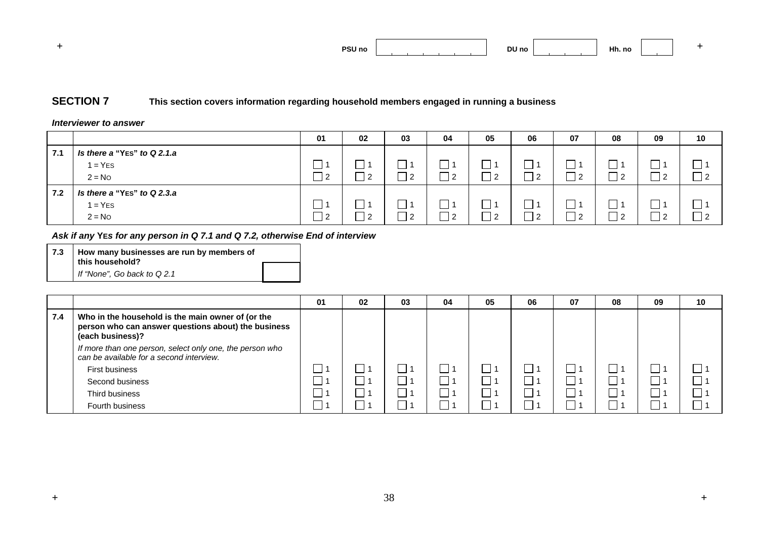|  | <b>PSU no</b> |  | DU no |  | 1 H.<br>Hh. no |  |  |
|--|---------------|--|-------|--|----------------|--|--|
|--|---------------|--|-------|--|----------------|--|--|

## **SECTION 7 This section covers information regarding household members engaged in running a business**

#### *Interviewer to answer*

|     |                                                      | 01    | 02 | 03             | 04              | 05                  | 06  | 07             | 08 | 09             | 10        |
|-----|------------------------------------------------------|-------|----|----------------|-----------------|---------------------|-----|----------------|----|----------------|-----------|
| 7.1 | Is there a "Yes" to Q 2.1.a<br>$1 = YES$<br>$2 = No$ | __  2 | n  | $\overline{2}$ | $\sqrt{2}$<br>∠ | -<br>$\overline{2}$ | 2   | $\frac{12}{2}$ |    | -2             | $\vert$ 2 |
| 7.2 | Is there a "Yes" to Q 2.3.a<br>$1 = YES$<br>$2 = No$ | __] 2 | n  | כ ו            | ົດ<br>∠         | ヿっ                  | ∣ ? | $\frac{12}{2}$ |    | $\overline{2}$ | $\vert$ 2 |

*Ask if any* **YE***s for any person in Q 7.1 and Q 7.2, otherwise End of interview* 

**7.3 How many businesses are run by members of this household?**  *If "None", Go back to Q 2.1* 

|     |                                                                                                                              | 01 | 02 | 03 | 04 | 05 | 06 | 07     | 08 | 09 | 10 |
|-----|------------------------------------------------------------------------------------------------------------------------------|----|----|----|----|----|----|--------|----|----|----|
| 7.4 | Who in the household is the main owner of (or the<br>person who can answer questions about) the business<br>(each business)? |    |    |    |    |    |    |        |    |    |    |
|     | If more than one person, select only one, the person who<br>can be available for a second interview.                         |    |    |    |    |    |    |        |    |    |    |
|     | First business                                                                                                               |    |    |    |    |    |    | $\Box$ |    |    |    |
|     | Second business                                                                                                              |    |    |    |    |    |    |        |    |    |    |
|     | Third business                                                                                                               |    |    |    |    |    |    |        |    |    |    |
|     | Fourth business                                                                                                              |    |    |    |    |    |    |        |    |    |    |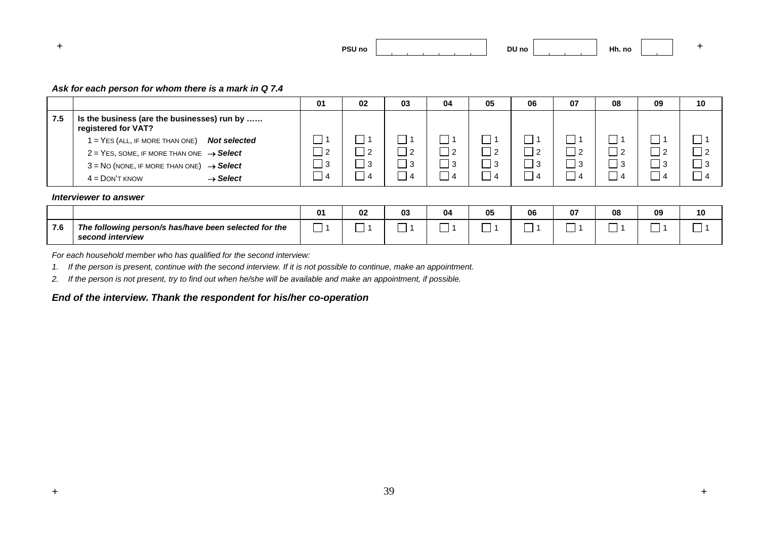

#### *Ask for each person for whom there is a mark in Q 7.4*

|     |                                                                    | 01 | 02         | 03             | 04       | 05 | 06             | 07       | 08 | 09  | 10       |
|-----|--------------------------------------------------------------------|----|------------|----------------|----------|----|----------------|----------|----|-----|----------|
| 7.5 | Is the business (are the businesses) run by<br>registered for VAT? |    |            |                |          |    |                |          |    |     |          |
|     | $1 = Yes$ (ALL, IF MORE THAN ONE)<br><b>Not selected</b>           |    |            |                |          |    |                |          |    |     |          |
|     | $2 = Yes$ , SOME, IF MORE THAN ONE $\rightarrow$ Select            |    |            | $\overline{2}$ | _  2     |    | $\overline{2}$ | $\Box$ 2 |    | - 2 |          |
|     | $3 = No$ (NONE, IF MORE THAN ONE) $\rightarrow$ Select             |    |            | l 3            | $\Box$ 3 | _  | -3             | $\Box$ 3 |    | -3  | $\Box$ 3 |
|     | $\rightarrow$ Select<br>$4 =$ DON'T KNOW                           |    | $\epsilon$ | 4              |          | ◢  | -4             | 4        |    | 4   |          |

#### *Interviewer to answer*

|     |                                                                           | 02 | 03 | 04 | 05 | 06 | $-$<br>U7 | 08 | 09 | 10 |
|-----|---------------------------------------------------------------------------|----|----|----|----|----|-----------|----|----|----|
| 7.6 | The following person/s has/have been selected for the<br>second interview |    |    |    |    |    |           |    |    |    |

*For each household member who has qualified for the second interview:* 

*1. If the person is present, continue with the second interview. If it is not possible to continue, make an appointment.* 

*2. If the person is not present, try to find out when he/she will be available and make an appointment, if possible.* 

#### *End of the interview. Thank the respondent for his/her co-operation*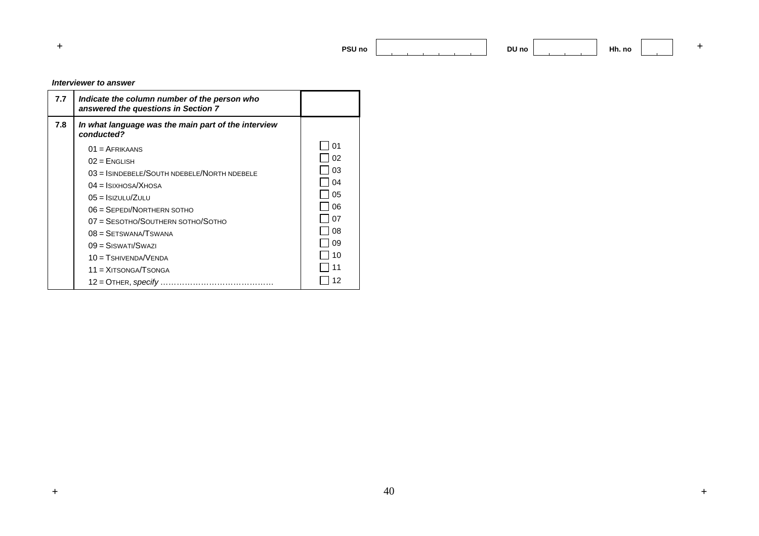**DU no Hh. no <sup>+</sup>**

 $+$ 

#### *Interviewer to answer*

| 7.7 | Indicate the column number of the person who<br>answered the questions in Section 7 |    |
|-----|-------------------------------------------------------------------------------------|----|
| 7.8 | In what language was the main part of the interview<br>conducted?                   |    |
|     | $01 = AFRIKAANS$                                                                    | 01 |
|     | $02$ = ENGLISH                                                                      | 02 |
|     | $03 =$ ISINDEBELE/SOUTH NDEBELE/NORTH NDEBELE                                       | 03 |
|     | $04 =$ ISIXHOSA/XHOSA                                                               | 04 |
|     | $05 =$ Isizulu/Zulu                                                                 | 05 |
|     | $06 =$ SEPEDI/NORTHERN SOTHO                                                        | 06 |
|     | 07 = SESOTHO/SOUTHERN SOTHO/SOTHO                                                   | 07 |
|     | $08 =$ SETSWANA/TSWANA                                                              | 08 |
|     | $09 =$ SISWATI/SWAZI                                                                | 09 |
|     | $10 =$ TSHIVENDA/VENDA                                                              | 10 |
|     | $11 = XITSONGA/TSONGA$                                                              |    |
|     | $12 =$ OTHER, specify                                                               |    |